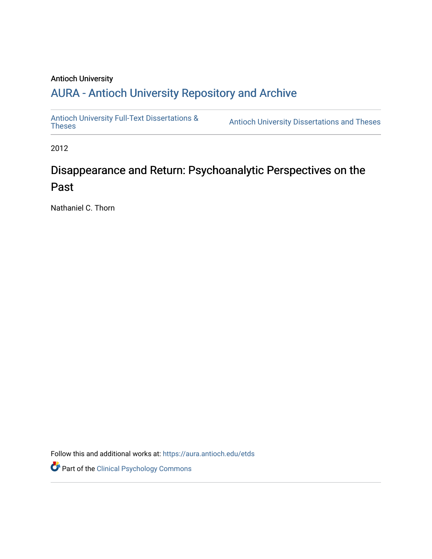# Antioch University

# A[URA - Antioch University Reposit](https://aura.antioch.edu/)ory and Archive

[Antioch University Full-Text Dissertations &](https://aura.antioch.edu/etds) Antioch University Dissertations and Theses

2012

# Disappearance and Return: Psychoanalytic Perspectives on the Past

Nathaniel C. Thorn

Follow this and additional works at: [https://aura.antioch.edu/etds](https://aura.antioch.edu/etds?utm_source=aura.antioch.edu%2Fetds%2F845&utm_medium=PDF&utm_campaign=PDFCoverPages)

Part of the [Clinical Psychology Commons](https://network.bepress.com/hgg/discipline/406?utm_source=aura.antioch.edu%2Fetds%2F845&utm_medium=PDF&utm_campaign=PDFCoverPages)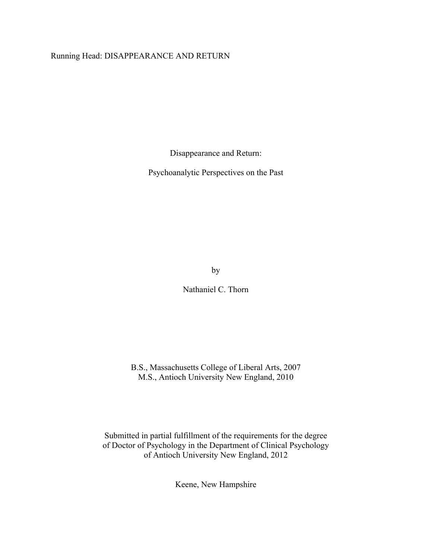## Running Head: DISAPPEARANCE AND RETURN

Disappearance and Return:

Psychoanalytic Perspectives on the Past

by

Nathaniel C. Thorn

B.S., Massachusetts College of Liberal Arts, 2007 M.S., Antioch University New England, 2010

Submitted in partial fulfillment of the requirements for the degree of Doctor of Psychology in the Department of Clinical Psychology of Antioch University New England, 2012

Keene, New Hampshire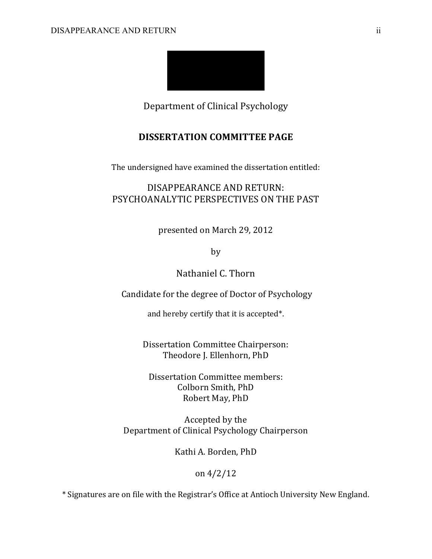

Department of Clinical Psychology

# **DISSERTATION COMMITTEE PAGE**

The undersigned have examined the dissertation entitled:

# DISAPPEARANCE AND RETURN: PSYCHOANALYTIC PERSPECTIVES ON THE PAST

presented on March 29, 2012

by

Nathaniel C. Thorn

Candidate for the degree of Doctor of Psychology

and hereby certify that it is accepted\*.

Dissertation Committee Chairperson: Theodore J. Ellenhorn, PhD

Dissertation Committee members: Colborn Smith, PhD Robert May, PhD

Accepted by the Department of Clinical Psychology Chairperson

Kathi A. Borden, PhD

## on  $4/2/12$

\* Signatures are on file with the Registrar's Office at Antioch University New England.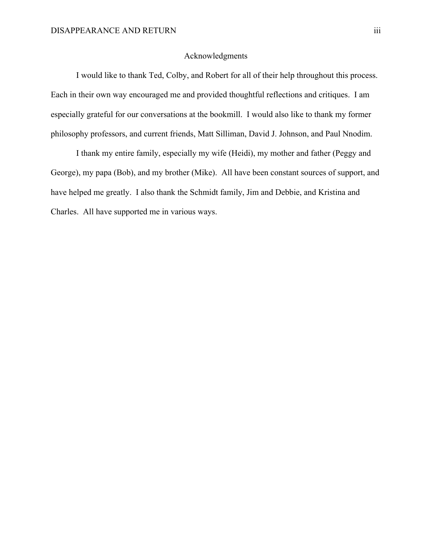## Acknowledgments

I would like to thank Ted, Colby, and Robert for all of their help throughout this process. Each in their own way encouraged me and provided thoughtful reflections and critiques. I am especially grateful for our conversations at the bookmill. I would also like to thank my former philosophy professors, and current friends, Matt Silliman, David J. Johnson, and Paul Nnodim.

I thank my entire family, especially my wife (Heidi), my mother and father (Peggy and George), my papa (Bob), and my brother (Mike). All have been constant sources of support, and have helped me greatly. I also thank the Schmidt family, Jim and Debbie, and Kristina and Charles. All have supported me in various ways.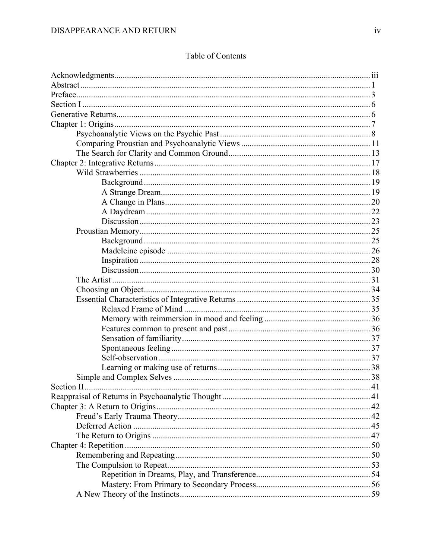# Table of Contents

| Section II | 41 |
|------------|----|
|            |    |
|            |    |
|            |    |
|            |    |
|            |    |
|            |    |
|            |    |
|            |    |
|            |    |
|            |    |
|            |    |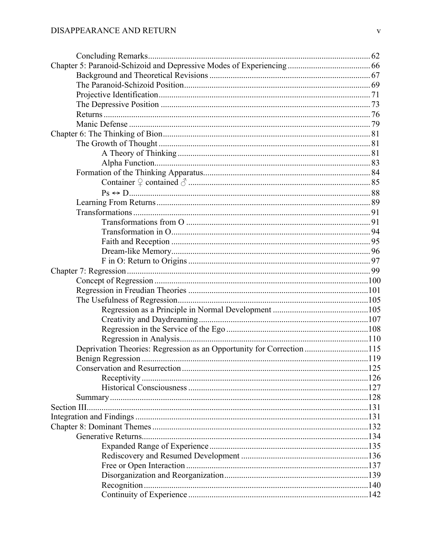| Deprivation Theories: Regression as an Opportunity for Correction 115 |  |
|-----------------------------------------------------------------------|--|
|                                                                       |  |
|                                                                       |  |
|                                                                       |  |
|                                                                       |  |
|                                                                       |  |
|                                                                       |  |
|                                                                       |  |
|                                                                       |  |
|                                                                       |  |
|                                                                       |  |
|                                                                       |  |
|                                                                       |  |
|                                                                       |  |
|                                                                       |  |
|                                                                       |  |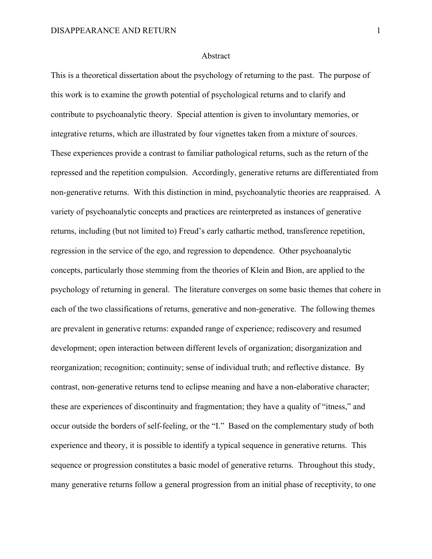#### Abstract

This is a theoretical dissertation about the psychology of returning to the past. The purpose of this work is to examine the growth potential of psychological returns and to clarify and contribute to psychoanalytic theory. Special attention is given to involuntary memories, or integrative returns, which are illustrated by four vignettes taken from a mixture of sources. These experiences provide a contrast to familiar pathological returns, such as the return of the repressed and the repetition compulsion. Accordingly, generative returns are differentiated from non-generative returns. With this distinction in mind, psychoanalytic theories are reappraised. A variety of psychoanalytic concepts and practices are reinterpreted as instances of generative returns, including (but not limited to) Freud's early cathartic method, transference repetition, regression in the service of the ego, and regression to dependence. Other psychoanalytic concepts, particularly those stemming from the theories of Klein and Bion, are applied to the psychology of returning in general. The literature converges on some basic themes that cohere in each of the two classifications of returns, generative and non-generative. The following themes are prevalent in generative returns: expanded range of experience; rediscovery and resumed development; open interaction between different levels of organization; disorganization and reorganization; recognition; continuity; sense of individual truth; and reflective distance. By contrast, non-generative returns tend to eclipse meaning and have a non-elaborative character; these are experiences of discontinuity and fragmentation; they have a quality of "itness," and occur outside the borders of self-feeling, or the "I." Based on the complementary study of both experience and theory, it is possible to identify a typical sequence in generative returns. This sequence or progression constitutes a basic model of generative returns. Throughout this study, many generative returns follow a general progression from an initial phase of receptivity, to one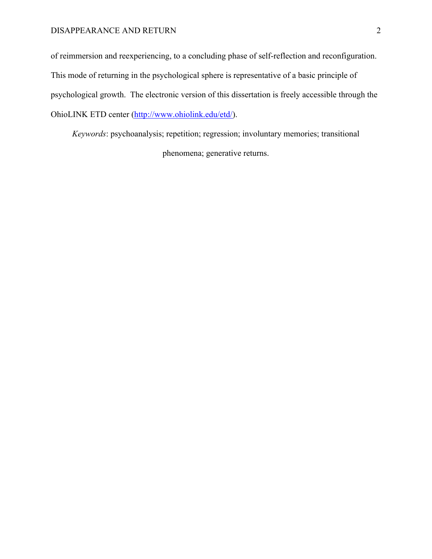of reimmersion and reexperiencing, to a concluding phase of self-reflection and reconfiguration. This mode of returning in the psychological sphere is representative of a basic principle of psychological growth. The electronic version of this dissertation is freely accessible through the OhioLINK ETD center (http://www.ohiolink.edu/etd/).

*Keywords*: psychoanalysis; repetition; regression; involuntary memories; transitional phenomena; generative returns.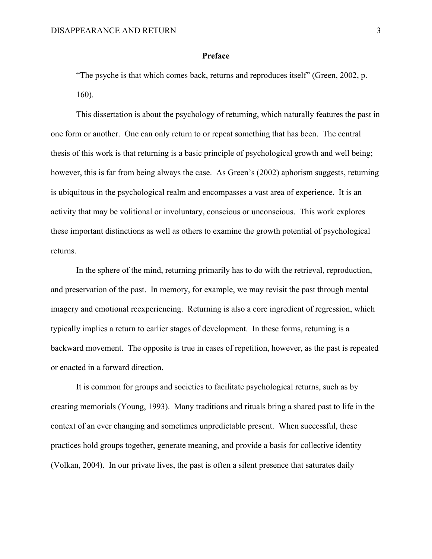#### **Preface**

"The psyche is that which comes back, returns and reproduces itself" (Green, 2002, p. 160).

This dissertation is about the psychology of returning, which naturally features the past in one form or another. One can only return to or repeat something that has been. The central thesis of this work is that returning is a basic principle of psychological growth and well being; however, this is far from being always the case. As Green's (2002) aphorism suggests, returning is ubiquitous in the psychological realm and encompasses a vast area of experience. It is an activity that may be volitional or involuntary, conscious or unconscious. This work explores these important distinctions as well as others to examine the growth potential of psychological returns.

In the sphere of the mind, returning primarily has to do with the retrieval, reproduction, and preservation of the past. In memory, for example, we may revisit the past through mental imagery and emotional reexperiencing. Returning is also a core ingredient of regression, which typically implies a return to earlier stages of development. In these forms, returning is a backward movement. The opposite is true in cases of repetition, however, as the past is repeated or enacted in a forward direction.

It is common for groups and societies to facilitate psychological returns, such as by creating memorials (Young, 1993). Many traditions and rituals bring a shared past to life in the context of an ever changing and sometimes unpredictable present. When successful, these practices hold groups together, generate meaning, and provide a basis for collective identity (Volkan, 2004). In our private lives, the past is often a silent presence that saturates daily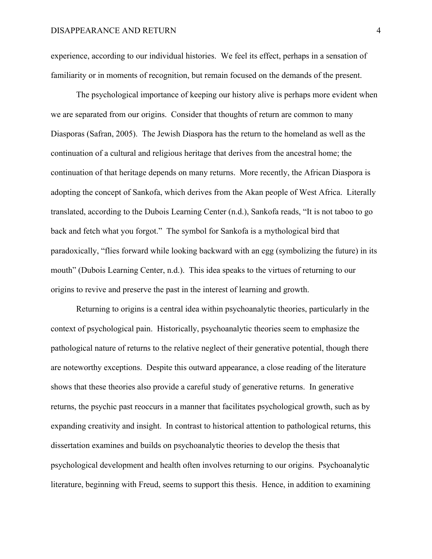experience, according to our individual histories. We feel its effect, perhaps in a sensation of familiarity or in moments of recognition, but remain focused on the demands of the present.

The psychological importance of keeping our history alive is perhaps more evident when we are separated from our origins. Consider that thoughts of return are common to many Diasporas (Safran, 2005). The Jewish Diaspora has the return to the homeland as well as the continuation of a cultural and religious heritage that derives from the ancestral home; the continuation of that heritage depends on many returns. More recently, the African Diaspora is adopting the concept of Sankofa, which derives from the Akan people of West Africa. Literally translated, according to the Dubois Learning Center (n.d.), Sankofa reads, "It is not taboo to go back and fetch what you forgot." The symbol for Sankofa is a mythological bird that paradoxically, "flies forward while looking backward with an egg (symbolizing the future) in its mouth" (Dubois Learning Center, n.d.). This idea speaks to the virtues of returning to our origins to revive and preserve the past in the interest of learning and growth.

Returning to origins is a central idea within psychoanalytic theories, particularly in the context of psychological pain. Historically, psychoanalytic theories seem to emphasize the pathological nature of returns to the relative neglect of their generative potential, though there are noteworthy exceptions. Despite this outward appearance, a close reading of the literature shows that these theories also provide a careful study of generative returns. In generative returns, the psychic past reoccurs in a manner that facilitates psychological growth, such as by expanding creativity and insight. In contrast to historical attention to pathological returns, this dissertation examines and builds on psychoanalytic theories to develop the thesis that psychological development and health often involves returning to our origins. Psychoanalytic literature, beginning with Freud, seems to support this thesis. Hence, in addition to examining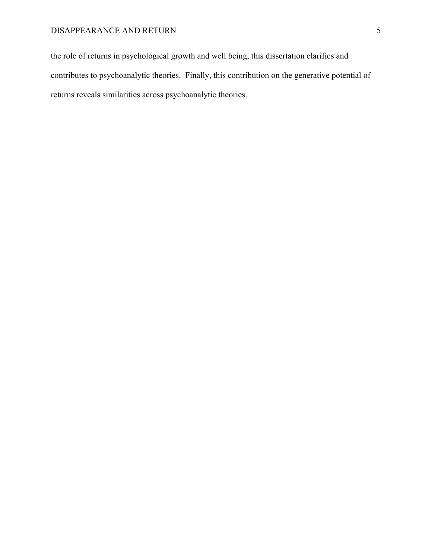## DISAPPEARANCE AND RETURN 5

the role of returns in psychological growth and well being, this dissertation clarifies and contributes to psychoanalytic theories. Finally, this contribution on the generative potential of returns reveals similarities across psychoanalytic theories.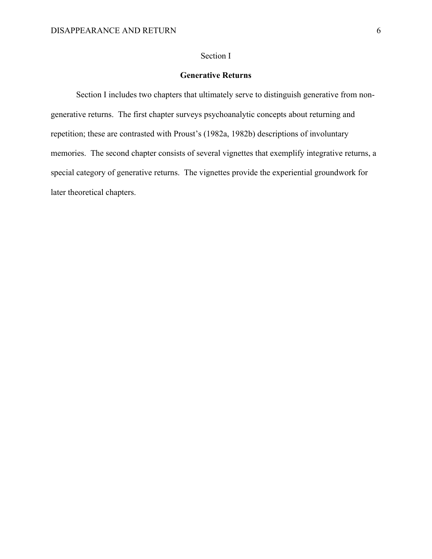## Section I

## **Generative Returns**

Section I includes two chapters that ultimately serve to distinguish generative from nongenerative returns. The first chapter surveys psychoanalytic concepts about returning and repetition; these are contrasted with Proust's (1982a, 1982b) descriptions of involuntary memories. The second chapter consists of several vignettes that exemplify integrative returns, a special category of generative returns. The vignettes provide the experiential groundwork for later theoretical chapters.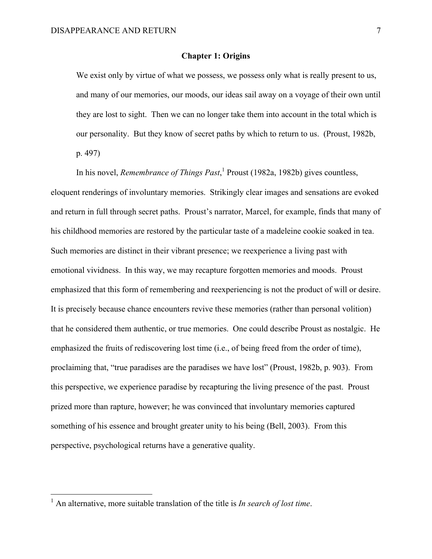## **Chapter 1: Origins**

We exist only by virtue of what we possess, we possess only what is really present to us, and many of our memories, our moods, our ideas sail away on a voyage of their own until they are lost to sight. Then we can no longer take them into account in the total which is our personality. But they know of secret paths by which to return to us. (Proust, 1982b, p. 497)

In his novel, *Remembrance of Things Past*, <sup>1</sup> Proust (1982a, 1982b) gives countless, eloquent renderings of involuntary memories. Strikingly clear images and sensations are evoked and return in full through secret paths. Proust's narrator, Marcel, for example, finds that many of his childhood memories are restored by the particular taste of a madeleine cookie soaked in tea. Such memories are distinct in their vibrant presence; we reexperience a living past with emotional vividness. In this way, we may recapture forgotten memories and moods. Proust emphasized that this form of remembering and reexperiencing is not the product of will or desire. It is precisely because chance encounters revive these memories (rather than personal volition) that he considered them authentic, or true memories. One could describe Proust as nostalgic. He emphasized the fruits of rediscovering lost time (i.e., of being freed from the order of time), proclaiming that, "true paradises are the paradises we have lost" (Proust, 1982b, p. 903). From this perspective, we experience paradise by recapturing the living presence of the past. Proust prized more than rapture, however; he was convinced that involuntary memories captured something of his essence and brought greater unity to his being (Bell, 2003). From this perspective, psychological returns have a generative quality.

 <sup>1</sup> An alternative, more suitable translation of the title is *In search of lost time*.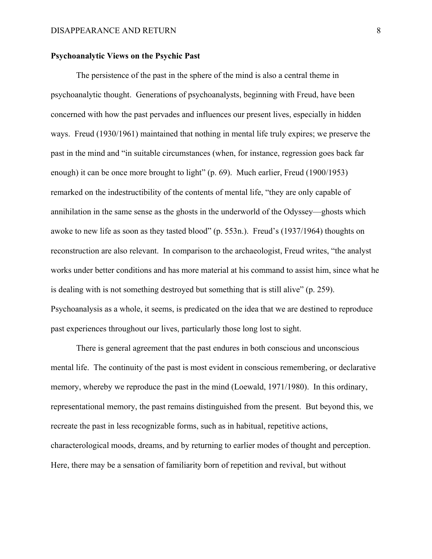## **Psychoanalytic Views on the Psychic Past**

The persistence of the past in the sphere of the mind is also a central theme in psychoanalytic thought. Generations of psychoanalysts, beginning with Freud, have been concerned with how the past pervades and influences our present lives, especially in hidden ways. Freud (1930/1961) maintained that nothing in mental life truly expires; we preserve the past in the mind and "in suitable circumstances (when, for instance, regression goes back far enough) it can be once more brought to light" (p. 69). Much earlier, Freud (1900/1953) remarked on the indestructibility of the contents of mental life, "they are only capable of annihilation in the same sense as the ghosts in the underworld of the Odyssey—ghosts which awoke to new life as soon as they tasted blood" (p. 553n.). Freud's (1937/1964) thoughts on reconstruction are also relevant. In comparison to the archaeologist, Freud writes, "the analyst works under better conditions and has more material at his command to assist him, since what he is dealing with is not something destroyed but something that is still alive" (p. 259). Psychoanalysis as a whole, it seems, is predicated on the idea that we are destined to reproduce past experiences throughout our lives, particularly those long lost to sight.

There is general agreement that the past endures in both conscious and unconscious mental life. The continuity of the past is most evident in conscious remembering, or declarative memory, whereby we reproduce the past in the mind (Loewald, 1971/1980). In this ordinary, representational memory, the past remains distinguished from the present. But beyond this, we recreate the past in less recognizable forms, such as in habitual, repetitive actions, characterological moods, dreams, and by returning to earlier modes of thought and perception. Here, there may be a sensation of familiarity born of repetition and revival, but without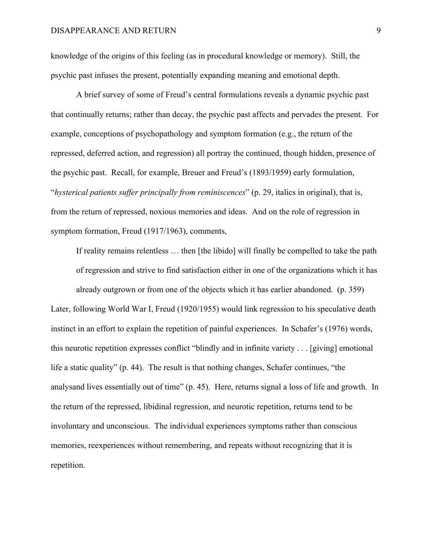knowledge of the origins of this feeling (as in procedural knowledge or memory). Still, the psychic past infuses the present, potentially expanding meaning and emotional depth.

A brief survey of some of Freud's central formulations reveals a dynamic psychic past that continually returns; rather than decay, the psychic past affects and pervades the present. For example, conceptions of psychopathology and symptom formation (e.g., the return of the repressed, deferred action, and regression) all portray the continued, though hidden, presence of the psychic past. Recall, for example, Breuer and Freud's (1893/1959) early formulation, "*hysterical patients suffer principally from reminiscences*" (p. 29, italics in original), that is, from the return of repressed, noxious memories and ideas. And on the role of regression in symptom formation, Freud (1917/1963), comments,

If reality remains relentless … then [the libido] will finally be compelled to take the path of regression and strive to find satisfaction either in one of the organizations which it has already outgrown or from one of the objects which it has earlier abandoned. (p. 359)

Later, following World War I, Freud (1920/1955) would link regression to his speculative death instinct in an effort to explain the repetition of painful experiences. In Schafer's (1976) words, this neurotic repetition expresses conflict "blindly and in infinite variety . . . [giving] emotional life a static quality" (p. 44). The result is that nothing changes, Schafer continues, "the analysand lives essentially out of time" (p. 45). Here, returns signal a loss of life and growth. In the return of the repressed, libidinal regression, and neurotic repetition, returns tend to be involuntary and unconscious. The individual experiences symptoms rather than conscious memories, reexperiences without remembering, and repeats without recognizing that it is repetition.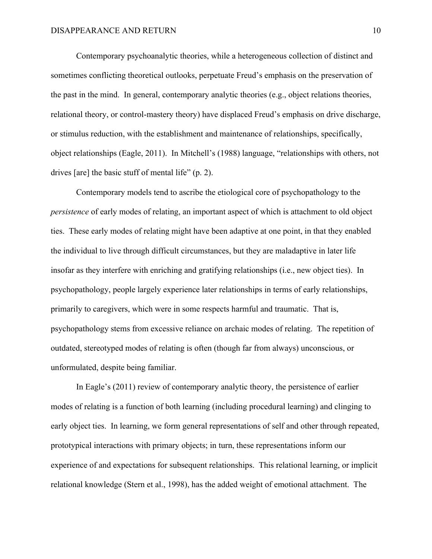Contemporary psychoanalytic theories, while a heterogeneous collection of distinct and sometimes conflicting theoretical outlooks, perpetuate Freud's emphasis on the preservation of the past in the mind. In general, contemporary analytic theories (e.g., object relations theories, relational theory, or control-mastery theory) have displaced Freud's emphasis on drive discharge, or stimulus reduction, with the establishment and maintenance of relationships, specifically, object relationships (Eagle, 2011). In Mitchell's (1988) language, "relationships with others, not drives [are] the basic stuff of mental life" (p. 2).

Contemporary models tend to ascribe the etiological core of psychopathology to the *persistence* of early modes of relating, an important aspect of which is attachment to old object ties. These early modes of relating might have been adaptive at one point, in that they enabled the individual to live through difficult circumstances, but they are maladaptive in later life insofar as they interfere with enriching and gratifying relationships (i.e., new object ties). In psychopathology, people largely experience later relationships in terms of early relationships, primarily to caregivers, which were in some respects harmful and traumatic. That is, psychopathology stems from excessive reliance on archaic modes of relating. The repetition of outdated, stereotyped modes of relating is often (though far from always) unconscious, or unformulated, despite being familiar.

In Eagle's (2011) review of contemporary analytic theory, the persistence of earlier modes of relating is a function of both learning (including procedural learning) and clinging to early object ties. In learning, we form general representations of self and other through repeated, prototypical interactions with primary objects; in turn, these representations inform our experience of and expectations for subsequent relationships. This relational learning, or implicit relational knowledge (Stern et al., 1998), has the added weight of emotional attachment. The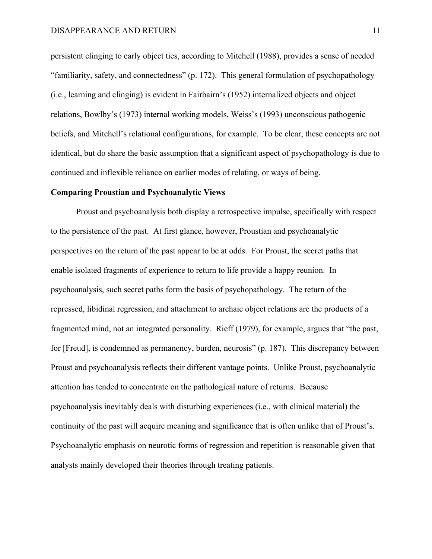persistent clinging to early object ties, according to Mitchell (1988), provides a sense of needed "familiarity, safety, and connectedness" (p. 172). This general formulation of psychopathology (i.e., learning and clinging) is evident in Fairbairn's (1952) internalized objects and object relations, Bowlby's (1973) internal working models, Weiss's (1993) unconscious pathogenic beliefs, and Mitchell's relational configurations, for example. To be clear, these concepts are not identical, but do share the basic assumption that a significant aspect of psychopathology is due to continued and inflexible reliance on earlier modes of relating, or ways of being.

## **Comparing Proustian and Psychoanalytic Views**

Proust and psychoanalysis both display a retrospective impulse, specifically with respect to the persistence of the past. At first glance, however, Proustian and psychoanalytic perspectives on the return of the past appear to be at odds. For Proust, the secret paths that enable isolated fragments of experience to return to life provide a happy reunion. In psychoanalysis, such secret paths form the basis of psychopathology. The return of the repressed, libidinal regression, and attachment to archaic object relations are the products of a fragmented mind, not an integrated personality. Rieff (1979), for example, argues that "the past, for [Freud], is condemned as permanency, burden, neurosis" (p. 187). This discrepancy between Proust and psychoanalysis reflects their different vantage points. Unlike Proust, psychoanalytic attention has tended to concentrate on the pathological nature of returns. Because psychoanalysis inevitably deals with disturbing experiences (i.e., with clinical material) the continuity of the past will acquire meaning and significance that is often unlike that of Proust's. Psychoanalytic emphasis on neurotic forms of regression and repetition is reasonable given that analysts mainly developed their theories through treating patients.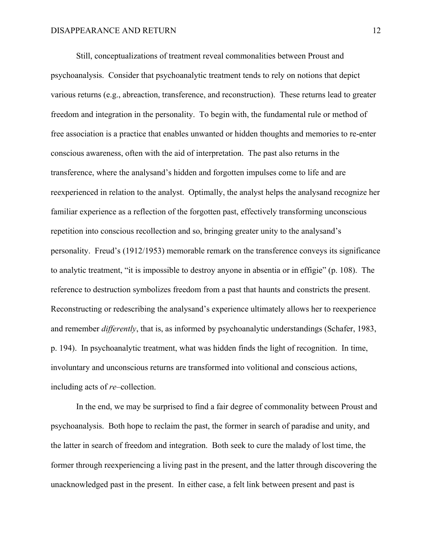Still, conceptualizations of treatment reveal commonalities between Proust and psychoanalysis. Consider that psychoanalytic treatment tends to rely on notions that depict various returns (e.g., abreaction, transference, and reconstruction). These returns lead to greater freedom and integration in the personality. To begin with, the fundamental rule or method of free association is a practice that enables unwanted or hidden thoughts and memories to re-enter conscious awareness, often with the aid of interpretation. The past also returns in the transference, where the analysand's hidden and forgotten impulses come to life and are reexperienced in relation to the analyst. Optimally, the analyst helps the analysand recognize her familiar experience as a reflection of the forgotten past, effectively transforming unconscious repetition into conscious recollection and so, bringing greater unity to the analysand's personality. Freud's (1912/1953) memorable remark on the transference conveys its significance to analytic treatment, "it is impossible to destroy anyone in absentia or in effigie" (p. 108). The reference to destruction symbolizes freedom from a past that haunts and constricts the present. Reconstructing or redescribing the analysand's experience ultimately allows her to reexperience and remember *differently*, that is, as informed by psychoanalytic understandings (Schafer, 1983, p. 194). In psychoanalytic treatment, what was hidden finds the light of recognition. In time, involuntary and unconscious returns are transformed into volitional and conscious actions, including acts of *re*–collection.

In the end, we may be surprised to find a fair degree of commonality between Proust and psychoanalysis. Both hope to reclaim the past, the former in search of paradise and unity, and the latter in search of freedom and integration. Both seek to cure the malady of lost time, the former through reexperiencing a living past in the present, and the latter through discovering the unacknowledged past in the present. In either case, a felt link between present and past is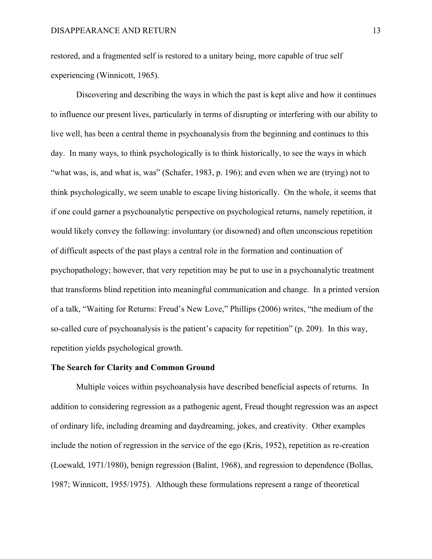restored, and a fragmented self is restored to a unitary being, more capable of true self experiencing (Winnicott, 1965).

Discovering and describing the ways in which the past is kept alive and how it continues to influence our present lives, particularly in terms of disrupting or interfering with our ability to live well, has been a central theme in psychoanalysis from the beginning and continues to this day. In many ways, to think psychologically is to think historically, to see the ways in which "what was, is, and what is, was" (Schafer, 1983, p. 196); and even when we are (trying) not to think psychologically, we seem unable to escape living historically. On the whole, it seems that if one could garner a psychoanalytic perspective on psychological returns, namely repetition, it would likely convey the following: involuntary (or disowned) and often unconscious repetition of difficult aspects of the past plays a central role in the formation and continuation of psychopathology; however, that very repetition may be put to use in a psychoanalytic treatment that transforms blind repetition into meaningful communication and change. In a printed version of a talk, "Waiting for Returns: Freud's New Love," Phillips (2006) writes, "the medium of the so-called cure of psychoanalysis is the patient's capacity for repetition" (p. 209). In this way, repetition yields psychological growth.

#### **The Search for Clarity and Common Ground**

Multiple voices within psychoanalysis have described beneficial aspects of returns. In addition to considering regression as a pathogenic agent, Freud thought regression was an aspect of ordinary life, including dreaming and daydreaming, jokes, and creativity. Other examples include the notion of regression in the service of the ego (Kris, 1952), repetition as re-creation (Loewald, 1971/1980), benign regression (Balint, 1968), and regression to dependence (Bollas, 1987; Winnicott, 1955/1975). Although these formulations represent a range of theoretical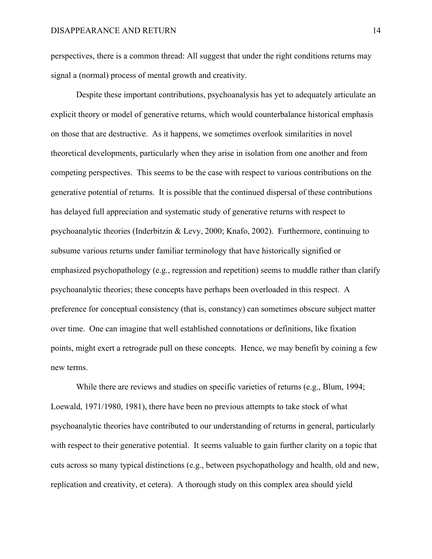perspectives, there is a common thread: All suggest that under the right conditions returns may signal a (normal) process of mental growth and creativity.

Despite these important contributions, psychoanalysis has yet to adequately articulate an explicit theory or model of generative returns, which would counterbalance historical emphasis on those that are destructive. As it happens, we sometimes overlook similarities in novel theoretical developments, particularly when they arise in isolation from one another and from competing perspectives. This seems to be the case with respect to various contributions on the generative potential of returns. It is possible that the continued dispersal of these contributions has delayed full appreciation and systematic study of generative returns with respect to psychoanalytic theories (Inderbitzin & Levy, 2000; Knafo, 2002). Furthermore, continuing to subsume various returns under familiar terminology that have historically signified or emphasized psychopathology (e.g., regression and repetition) seems to muddle rather than clarify psychoanalytic theories; these concepts have perhaps been overloaded in this respect. A preference for conceptual consistency (that is, constancy) can sometimes obscure subject matter over time. One can imagine that well established connotations or definitions, like fixation points, might exert a retrograde pull on these concepts. Hence, we may benefit by coining a few new terms.

While there are reviews and studies on specific varieties of returns (e.g., Blum, 1994; Loewald, 1971/1980, 1981), there have been no previous attempts to take stock of what psychoanalytic theories have contributed to our understanding of returns in general, particularly with respect to their generative potential. It seems valuable to gain further clarity on a topic that cuts across so many typical distinctions (e.g., between psychopathology and health, old and new, replication and creativity, et cetera). A thorough study on this complex area should yield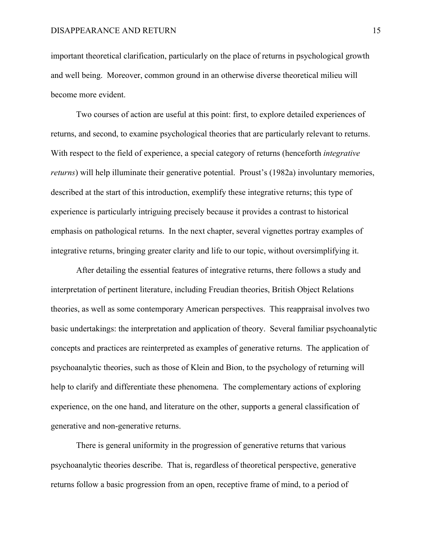important theoretical clarification, particularly on the place of returns in psychological growth and well being. Moreover, common ground in an otherwise diverse theoretical milieu will become more evident.

Two courses of action are useful at this point: first, to explore detailed experiences of returns, and second, to examine psychological theories that are particularly relevant to returns. With respect to the field of experience, a special category of returns (henceforth *integrative returns*) will help illuminate their generative potential. Proust's (1982a) involuntary memories, described at the start of this introduction, exemplify these integrative returns; this type of experience is particularly intriguing precisely because it provides a contrast to historical emphasis on pathological returns. In the next chapter, several vignettes portray examples of integrative returns, bringing greater clarity and life to our topic, without oversimplifying it.

After detailing the essential features of integrative returns, there follows a study and interpretation of pertinent literature, including Freudian theories, British Object Relations theories, as well as some contemporary American perspectives. This reappraisal involves two basic undertakings: the interpretation and application of theory. Several familiar psychoanalytic concepts and practices are reinterpreted as examples of generative returns. The application of psychoanalytic theories, such as those of Klein and Bion, to the psychology of returning will help to clarify and differentiate these phenomena. The complementary actions of exploring experience, on the one hand, and literature on the other, supports a general classification of generative and non-generative returns.

There is general uniformity in the progression of generative returns that various psychoanalytic theories describe. That is, regardless of theoretical perspective, generative returns follow a basic progression from an open, receptive frame of mind, to a period of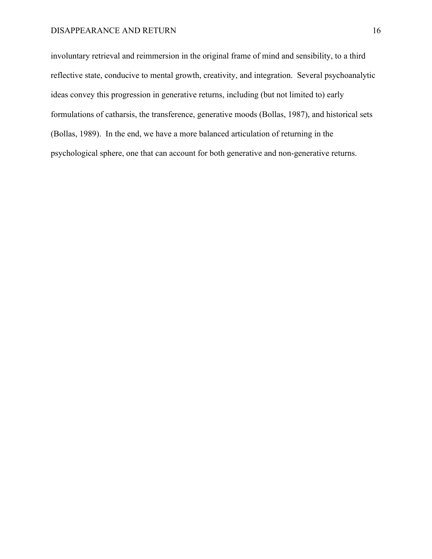## DISAPPEARANCE AND RETURN 16

involuntary retrieval and reimmersion in the original frame of mind and sensibility, to a third reflective state, conducive to mental growth, creativity, and integration. Several psychoanalytic ideas convey this progression in generative returns, including (but not limited to) early formulations of catharsis, the transference, generative moods (Bollas, 1987), and historical sets (Bollas, 1989). In the end, we have a more balanced articulation of returning in the psychological sphere, one that can account for both generative and non-generative returns.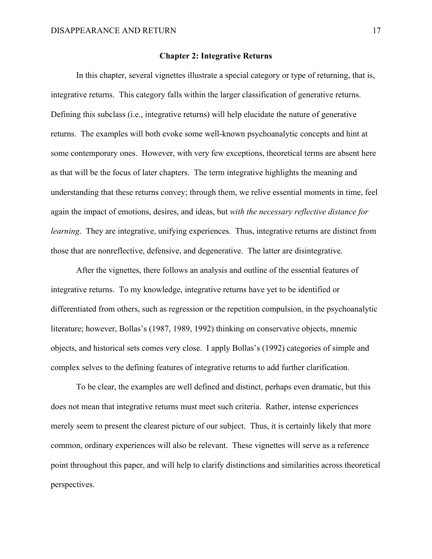## **Chapter 2: Integrative Returns**

In this chapter, several vignettes illustrate a special category or type of returning, that is, integrative returns. This category falls within the larger classification of generative returns. Defining this subclass (i.e., integrative returns) will help elucidate the nature of generative returns. The examples will both evoke some well-known psychoanalytic concepts and hint at some contemporary ones. However, with very few exceptions, theoretical terms are absent here as that will be the focus of later chapters. The term integrative highlights the meaning and understanding that these returns convey; through them, we relive essential moments in time, feel again the impact of emotions, desires, and ideas, but *with the necessary reflective distance for learning*. They are integrative, unifying experiences. Thus, integrative returns are distinct from those that are nonreflective, defensive, and degenerative. The latter are disintegrative.

After the vignettes, there follows an analysis and outline of the essential features of integrative returns. To my knowledge, integrative returns have yet to be identified or differentiated from others, such as regression or the repetition compulsion, in the psychoanalytic literature; however, Bollas's (1987, 1989, 1992) thinking on conservative objects, mnemic objects, and historical sets comes very close. I apply Bollas's (1992) categories of simple and complex selves to the defining features of integrative returns to add further clarification.

To be clear, the examples are well defined and distinct, perhaps even dramatic, but this does not mean that integrative returns must meet such criteria. Rather, intense experiences merely seem to present the clearest picture of our subject. Thus, it is certainly likely that more common, ordinary experiences will also be relevant. These vignettes will serve as a reference point throughout this paper, and will help to clarify distinctions and similarities across theoretical perspectives.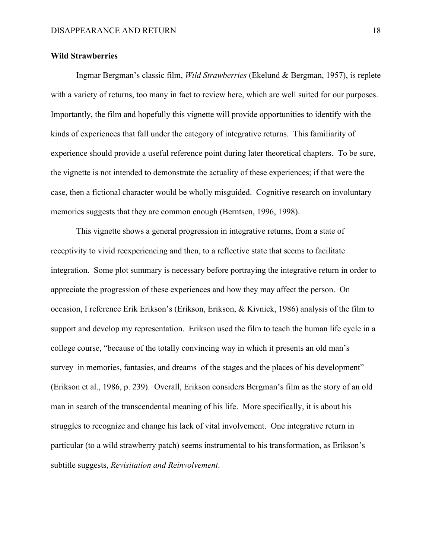## **Wild Strawberries**

Ingmar Bergman's classic film, *Wild Strawberries* (Ekelund & Bergman, 1957), is replete with a variety of returns, too many in fact to review here, which are well suited for our purposes. Importantly, the film and hopefully this vignette will provide opportunities to identify with the kinds of experiences that fall under the category of integrative returns. This familiarity of experience should provide a useful reference point during later theoretical chapters. To be sure, the vignette is not intended to demonstrate the actuality of these experiences; if that were the case, then a fictional character would be wholly misguided. Cognitive research on involuntary memories suggests that they are common enough (Berntsen, 1996, 1998).

This vignette shows a general progression in integrative returns, from a state of receptivity to vivid reexperiencing and then, to a reflective state that seems to facilitate integration. Some plot summary is necessary before portraying the integrative return in order to appreciate the progression of these experiences and how they may affect the person. On occasion, I reference Erik Erikson's (Erikson, Erikson, & Kivnick, 1986) analysis of the film to support and develop my representation. Erikson used the film to teach the human life cycle in a college course, "because of the totally convincing way in which it presents an old man's survey–in memories, fantasies, and dreams–of the stages and the places of his development" (Erikson et al., 1986, p. 239). Overall, Erikson considers Bergman's film as the story of an old man in search of the transcendental meaning of his life. More specifically, it is about his struggles to recognize and change his lack of vital involvement. One integrative return in particular (to a wild strawberry patch) seems instrumental to his transformation, as Erikson's subtitle suggests, *Revisitation and Reinvolvement*.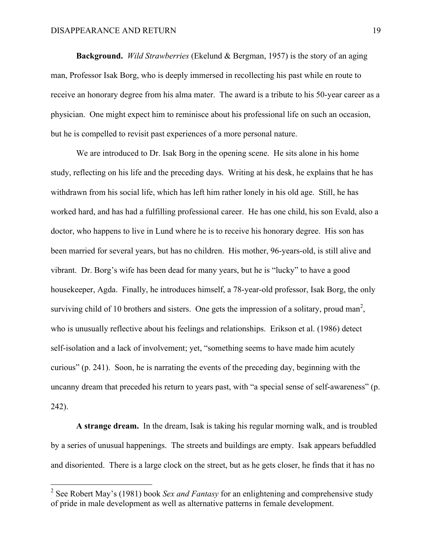**Background.** *Wild Strawberries* (Ekelund & Bergman, 1957) is the story of an aging man, Professor Isak Borg, who is deeply immersed in recollecting his past while en route to receive an honorary degree from his alma mater. The award is a tribute to his 50-year career as a physician. One might expect him to reminisce about his professional life on such an occasion, but he is compelled to revisit past experiences of a more personal nature.

We are introduced to Dr. Isak Borg in the opening scene. He sits alone in his home study, reflecting on his life and the preceding days. Writing at his desk, he explains that he has withdrawn from his social life, which has left him rather lonely in his old age. Still, he has worked hard, and has had a fulfilling professional career. He has one child, his son Evald, also a doctor, who happens to live in Lund where he is to receive his honorary degree. His son has been married for several years, but has no children. His mother, 96-years-old, is still alive and vibrant. Dr. Borg's wife has been dead for many years, but he is "lucky" to have a good housekeeper, Agda. Finally, he introduces himself, a 78-year-old professor, Isak Borg, the only surviving child of 10 brothers and sisters. One gets the impression of a solitary, proud man<sup>2</sup>, who is unusually reflective about his feelings and relationships. Erikson et al. (1986) detect self-isolation and a lack of involvement; yet, "something seems to have made him acutely curious" (p. 241). Soon, he is narrating the events of the preceding day, beginning with the uncanny dream that preceded his return to years past, with "a special sense of self-awareness" (p. 242).

**A strange dream.** In the dream, Isak is taking his regular morning walk, and is troubled by a series of unusual happenings. The streets and buildings are empty. Isak appears befuddled and disoriented. There is a large clock on the street, but as he gets closer, he finds that it has no

 <sup>2</sup> See Robert May's (1981) book *Sex and Fantasy* for an enlightening and comprehensive study of pride in male development as well as alternative patterns in female development.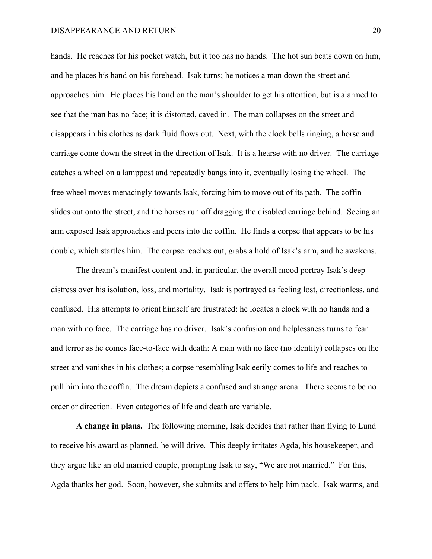## DISAPPEARANCE AND RETURN 20

hands. He reaches for his pocket watch, but it too has no hands. The hot sun beats down on him, and he places his hand on his forehead. Isak turns; he notices a man down the street and approaches him. He places his hand on the man's shoulder to get his attention, but is alarmed to see that the man has no face; it is distorted, caved in. The man collapses on the street and disappears in his clothes as dark fluid flows out. Next, with the clock bells ringing, a horse and carriage come down the street in the direction of Isak. It is a hearse with no driver. The carriage catches a wheel on a lamppost and repeatedly bangs into it, eventually losing the wheel. The free wheel moves menacingly towards Isak, forcing him to move out of its path. The coffin slides out onto the street, and the horses run off dragging the disabled carriage behind. Seeing an arm exposed Isak approaches and peers into the coffin. He finds a corpse that appears to be his double, which startles him. The corpse reaches out, grabs a hold of Isak's arm, and he awakens.

The dream's manifest content and, in particular, the overall mood portray Isak's deep distress over his isolation, loss, and mortality. Isak is portrayed as feeling lost, directionless, and confused. His attempts to orient himself are frustrated: he locates a clock with no hands and a man with no face. The carriage has no driver. Isak's confusion and helplessness turns to fear and terror as he comes face-to-face with death: A man with no face (no identity) collapses on the street and vanishes in his clothes; a corpse resembling Isak eerily comes to life and reaches to pull him into the coffin. The dream depicts a confused and strange arena. There seems to be no order or direction. Even categories of life and death are variable.

**A change in plans.** The following morning, Isak decides that rather than flying to Lund to receive his award as planned, he will drive. This deeply irritates Agda, his housekeeper, and they argue like an old married couple, prompting Isak to say, "We are not married." For this, Agda thanks her god. Soon, however, she submits and offers to help him pack. Isak warms, and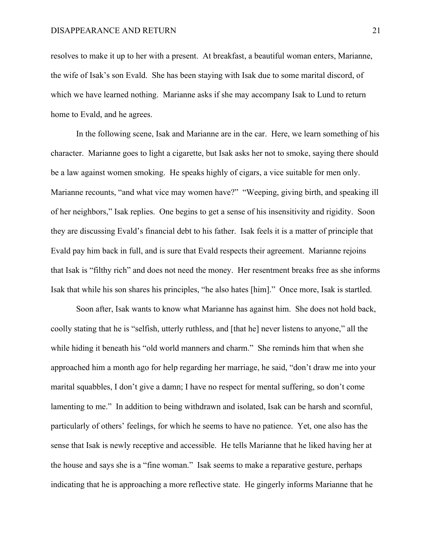resolves to make it up to her with a present. At breakfast, a beautiful woman enters, Marianne, the wife of Isak's son Evald. She has been staying with Isak due to some marital discord, of which we have learned nothing. Marianne asks if she may accompany Isak to Lund to return home to Evald, and he agrees.

In the following scene, Isak and Marianne are in the car. Here, we learn something of his character. Marianne goes to light a cigarette, but Isak asks her not to smoke, saying there should be a law against women smoking. He speaks highly of cigars, a vice suitable for men only. Marianne recounts, "and what vice may women have?" "Weeping, giving birth, and speaking ill of her neighbors," Isak replies. One begins to get a sense of his insensitivity and rigidity. Soon they are discussing Evald's financial debt to his father. Isak feels it is a matter of principle that Evald pay him back in full, and is sure that Evald respects their agreement. Marianne rejoins that Isak is "filthy rich" and does not need the money. Her resentment breaks free as she informs Isak that while his son shares his principles, "he also hates [him]." Once more, Isak is startled.

Soon after, Isak wants to know what Marianne has against him. She does not hold back, coolly stating that he is "selfish, utterly ruthless, and [that he] never listens to anyone," all the while hiding it beneath his "old world manners and charm." She reminds him that when she approached him a month ago for help regarding her marriage, he said, "don't draw me into your marital squabbles, I don't give a damn; I have no respect for mental suffering, so don't come lamenting to me." In addition to being withdrawn and isolated, Isak can be harsh and scornful, particularly of others' feelings, for which he seems to have no patience. Yet, one also has the sense that Isak is newly receptive and accessible. He tells Marianne that he liked having her at the house and says she is a "fine woman." Isak seems to make a reparative gesture, perhaps indicating that he is approaching a more reflective state. He gingerly informs Marianne that he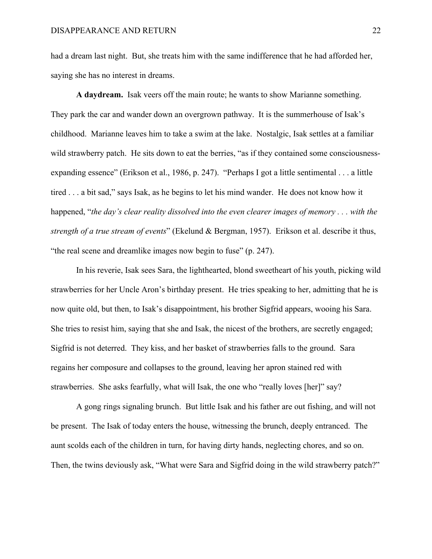had a dream last night. But, she treats him with the same indifference that he had afforded her, saying she has no interest in dreams.

**A daydream.** Isak veers off the main route; he wants to show Marianne something. They park the car and wander down an overgrown pathway. It is the summerhouse of Isak's childhood. Marianne leaves him to take a swim at the lake. Nostalgic, Isak settles at a familiar wild strawberry patch. He sits down to eat the berries, "as if they contained some consciousnessexpanding essence" (Erikson et al., 1986, p. 247). "Perhaps I got a little sentimental . . . a little tired . . . a bit sad," says Isak, as he begins to let his mind wander. He does not know how it happened, "*the day's clear reality dissolved into the even clearer images of memory . . . with the strength of a true stream of events*" (Ekelund & Bergman, 1957). Erikson et al. describe it thus, "the real scene and dreamlike images now begin to fuse" (p. 247).

In his reverie, Isak sees Sara, the lighthearted, blond sweetheart of his youth, picking wild strawberries for her Uncle Aron's birthday present. He tries speaking to her, admitting that he is now quite old, but then, to Isak's disappointment, his brother Sigfrid appears, wooing his Sara. She tries to resist him, saying that she and Isak, the nicest of the brothers, are secretly engaged; Sigfrid is not deterred. They kiss, and her basket of strawberries falls to the ground. Sara regains her composure and collapses to the ground, leaving her apron stained red with strawberries. She asks fearfully, what will Isak, the one who "really loves [her]" say?

A gong rings signaling brunch. But little Isak and his father are out fishing, and will not be present. The Isak of today enters the house, witnessing the brunch, deeply entranced. The aunt scolds each of the children in turn, for having dirty hands, neglecting chores, and so on. Then, the twins deviously ask, "What were Sara and Sigfrid doing in the wild strawberry patch?"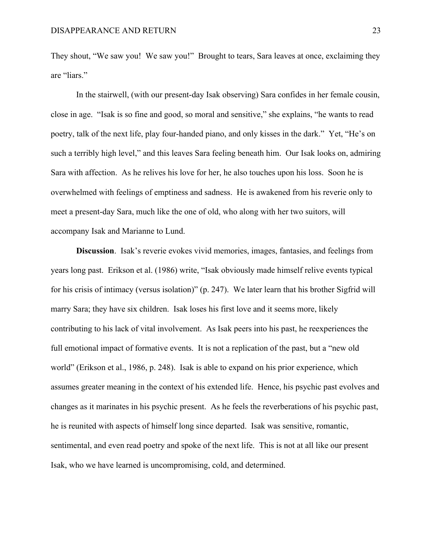They shout, "We saw you! We saw you!" Brought to tears, Sara leaves at once, exclaiming they are "liars."

In the stairwell, (with our present-day Isak observing) Sara confides in her female cousin, close in age. "Isak is so fine and good, so moral and sensitive," she explains, "he wants to read poetry, talk of the next life, play four-handed piano, and only kisses in the dark." Yet, "He's on such a terribly high level," and this leaves Sara feeling beneath him. Our Isak looks on, admiring Sara with affection. As he relives his love for her, he also touches upon his loss. Soon he is overwhelmed with feelings of emptiness and sadness. He is awakened from his reverie only to meet a present-day Sara, much like the one of old, who along with her two suitors, will accompany Isak and Marianne to Lund.

**Discussion**. Isak's reverie evokes vivid memories, images, fantasies, and feelings from years long past. Erikson et al. (1986) write, "Isak obviously made himself relive events typical for his crisis of intimacy (versus isolation)" (p. 247). We later learn that his brother Sigfrid will marry Sara; they have six children. Isak loses his first love and it seems more, likely contributing to his lack of vital involvement. As Isak peers into his past, he reexperiences the full emotional impact of formative events. It is not a replication of the past, but a "new old world" (Erikson et al., 1986, p. 248). Isak is able to expand on his prior experience, which assumes greater meaning in the context of his extended life. Hence, his psychic past evolves and changes as it marinates in his psychic present. As he feels the reverberations of his psychic past, he is reunited with aspects of himself long since departed. Isak was sensitive, romantic, sentimental, and even read poetry and spoke of the next life. This is not at all like our present Isak, who we have learned is uncompromising, cold, and determined.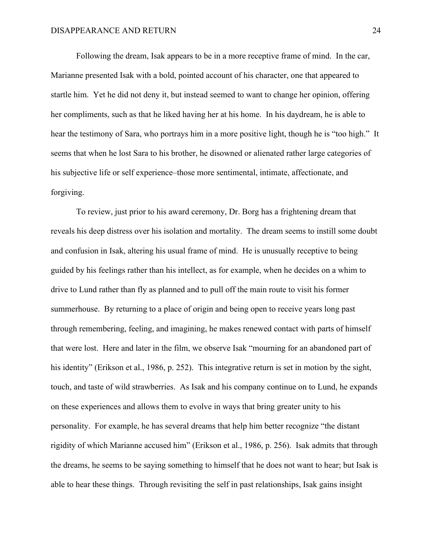Following the dream, Isak appears to be in a more receptive frame of mind. In the car, Marianne presented Isak with a bold, pointed account of his character, one that appeared to startle him. Yet he did not deny it, but instead seemed to want to change her opinion, offering her compliments, such as that he liked having her at his home. In his daydream, he is able to hear the testimony of Sara, who portrays him in a more positive light, though he is "too high." It seems that when he lost Sara to his brother, he disowned or alienated rather large categories of his subjective life or self experience–those more sentimental, intimate, affectionate, and forgiving.

To review, just prior to his award ceremony, Dr. Borg has a frightening dream that reveals his deep distress over his isolation and mortality. The dream seems to instill some doubt and confusion in Isak, altering his usual frame of mind. He is unusually receptive to being guided by his feelings rather than his intellect, as for example, when he decides on a whim to drive to Lund rather than fly as planned and to pull off the main route to visit his former summerhouse. By returning to a place of origin and being open to receive years long past through remembering, feeling, and imagining, he makes renewed contact with parts of himself that were lost. Here and later in the film, we observe Isak "mourning for an abandoned part of his identity" (Erikson et al., 1986, p. 252). This integrative return is set in motion by the sight, touch, and taste of wild strawberries. As Isak and his company continue on to Lund, he expands on these experiences and allows them to evolve in ways that bring greater unity to his personality. For example, he has several dreams that help him better recognize "the distant rigidity of which Marianne accused him" (Erikson et al., 1986, p. 256). Isak admits that through the dreams, he seems to be saying something to himself that he does not want to hear; but Isak is able to hear these things. Through revisiting the self in past relationships, Isak gains insight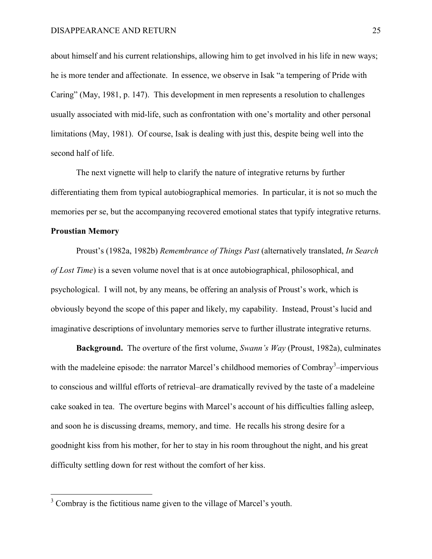about himself and his current relationships, allowing him to get involved in his life in new ways; he is more tender and affectionate. In essence, we observe in Isak "a tempering of Pride with Caring" (May, 1981, p. 147). This development in men represents a resolution to challenges usually associated with mid-life, such as confrontation with one's mortality and other personal limitations (May, 1981). Of course, Isak is dealing with just this, despite being well into the second half of life.

The next vignette will help to clarify the nature of integrative returns by further differentiating them from typical autobiographical memories. In particular, it is not so much the memories per se, but the accompanying recovered emotional states that typify integrative returns.

## **Proustian Memory**

Proust's (1982a, 1982b) *Remembrance of Things Past* (alternatively translated, *In Search of Lost Time*) is a seven volume novel that is at once autobiographical, philosophical, and psychological. I will not, by any means, be offering an analysis of Proust's work, which is obviously beyond the scope of this paper and likely, my capability. Instead, Proust's lucid and imaginative descriptions of involuntary memories serve to further illustrate integrative returns.

**Background.** The overture of the first volume, *Swann's Way* (Proust, 1982a), culminates with the madeleine episode: the narrator Marcel's childhood memories of Combray<sup>3</sup> $-$ impervious to conscious and willful efforts of retrieval–are dramatically revived by the taste of a madeleine cake soaked in tea. The overture begins with Marcel's account of his difficulties falling asleep, and soon he is discussing dreams, memory, and time. He recalls his strong desire for a goodnight kiss from his mother, for her to stay in his room throughout the night, and his great difficulty settling down for rest without the comfort of her kiss.

 $3$  Combray is the fictitious name given to the village of Marcel's youth.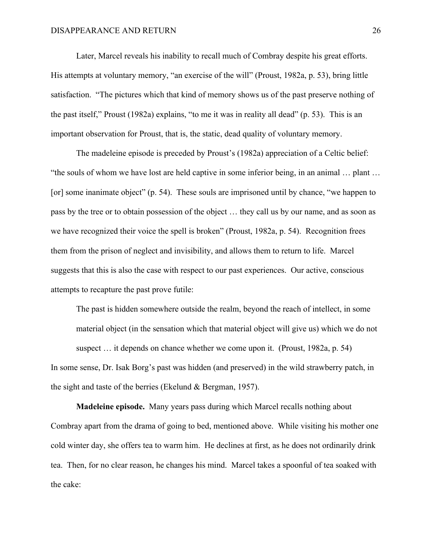Later, Marcel reveals his inability to recall much of Combray despite his great efforts. His attempts at voluntary memory, "an exercise of the will" (Proust, 1982a, p. 53), bring little satisfaction. "The pictures which that kind of memory shows us of the past preserve nothing of the past itself," Proust (1982a) explains, "to me it was in reality all dead" (p. 53). This is an important observation for Proust, that is, the static, dead quality of voluntary memory.

The madeleine episode is preceded by Proust's (1982a) appreciation of a Celtic belief: "the souls of whom we have lost are held captive in some inferior being, in an animal … plant … [or] some inanimate object" (p. 54). These souls are imprisoned until by chance, "we happen to pass by the tree or to obtain possession of the object … they call us by our name, and as soon as we have recognized their voice the spell is broken" (Proust, 1982a, p. 54). Recognition frees them from the prison of neglect and invisibility, and allows them to return to life. Marcel suggests that this is also the case with respect to our past experiences. Our active, conscious attempts to recapture the past prove futile:

The past is hidden somewhere outside the realm, beyond the reach of intellect, in some material object (in the sensation which that material object will give us) which we do not suspect … it depends on chance whether we come upon it. (Proust, 1982a, p. 54) In some sense, Dr. Isak Borg's past was hidden (and preserved) in the wild strawberry patch, in the sight and taste of the berries (Ekelund & Bergman, 1957).

**Madeleine episode.** Many years pass during which Marcel recalls nothing about Combray apart from the drama of going to bed, mentioned above. While visiting his mother one cold winter day, she offers tea to warm him. He declines at first, as he does not ordinarily drink tea. Then, for no clear reason, he changes his mind. Marcel takes a spoonful of tea soaked with the cake: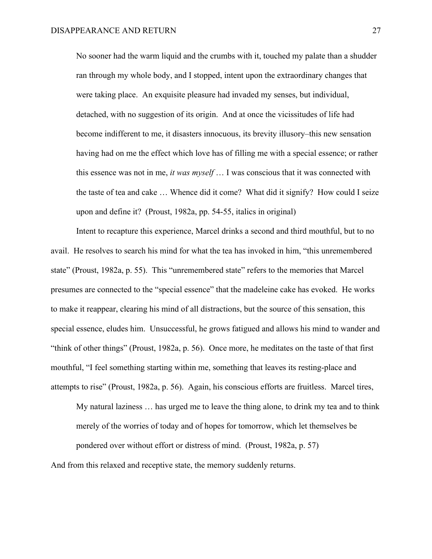No sooner had the warm liquid and the crumbs with it, touched my palate than a shudder ran through my whole body, and I stopped, intent upon the extraordinary changes that were taking place. An exquisite pleasure had invaded my senses, but individual, detached, with no suggestion of its origin. And at once the vicissitudes of life had become indifferent to me, it disasters innocuous, its brevity illusory–this new sensation having had on me the effect which love has of filling me with a special essence; or rather this essence was not in me, *it was myself* … I was conscious that it was connected with the taste of tea and cake … Whence did it come? What did it signify? How could I seize upon and define it? (Proust, 1982a, pp. 54-55, italics in original)

Intent to recapture this experience, Marcel drinks a second and third mouthful, but to no avail. He resolves to search his mind for what the tea has invoked in him, "this unremembered state" (Proust, 1982a, p. 55). This "unremembered state" refers to the memories that Marcel presumes are connected to the "special essence" that the madeleine cake has evoked. He works to make it reappear, clearing his mind of all distractions, but the source of this sensation, this special essence, eludes him. Unsuccessful, he grows fatigued and allows his mind to wander and "think of other things" (Proust, 1982a, p. 56). Once more, he meditates on the taste of that first mouthful, "I feel something starting within me, something that leaves its resting-place and attempts to rise" (Proust, 1982a, p. 56). Again, his conscious efforts are fruitless. Marcel tires,

My natural laziness … has urged me to leave the thing alone, to drink my tea and to think merely of the worries of today and of hopes for tomorrow, which let themselves be

pondered over without effort or distress of mind. (Proust, 1982a, p. 57)

And from this relaxed and receptive state, the memory suddenly returns.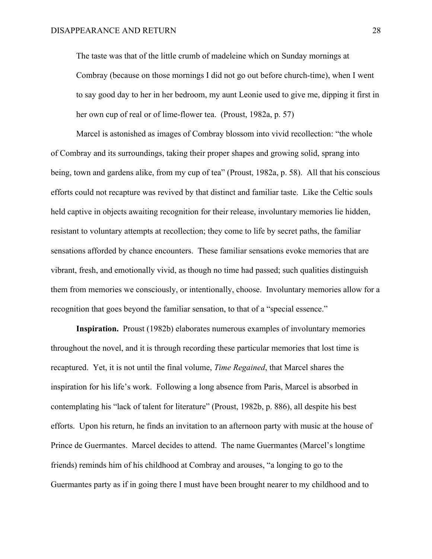The taste was that of the little crumb of madeleine which on Sunday mornings at Combray (because on those mornings I did not go out before church-time), when I went to say good day to her in her bedroom, my aunt Leonie used to give me, dipping it first in her own cup of real or of lime-flower tea. (Proust, 1982a, p. 57)

Marcel is astonished as images of Combray blossom into vivid recollection: "the whole of Combray and its surroundings, taking their proper shapes and growing solid, sprang into being, town and gardens alike, from my cup of tea" (Proust, 1982a, p. 58). All that his conscious efforts could not recapture was revived by that distinct and familiar taste. Like the Celtic souls held captive in objects awaiting recognition for their release, involuntary memories lie hidden, resistant to voluntary attempts at recollection; they come to life by secret paths, the familiar sensations afforded by chance encounters. These familiar sensations evoke memories that are vibrant, fresh, and emotionally vivid, as though no time had passed; such qualities distinguish them from memories we consciously, or intentionally, choose. Involuntary memories allow for a recognition that goes beyond the familiar sensation, to that of a "special essence."

**Inspiration.** Proust (1982b) elaborates numerous examples of involuntary memories throughout the novel, and it is through recording these particular memories that lost time is recaptured. Yet, it is not until the final volume, *Time Regained*, that Marcel shares the inspiration for his life's work. Following a long absence from Paris, Marcel is absorbed in contemplating his "lack of talent for literature" (Proust, 1982b, p. 886), all despite his best efforts. Upon his return, he finds an invitation to an afternoon party with music at the house of Prince de Guermantes. Marcel decides to attend. The name Guermantes (Marcel's longtime friends) reminds him of his childhood at Combray and arouses, "a longing to go to the Guermantes party as if in going there I must have been brought nearer to my childhood and to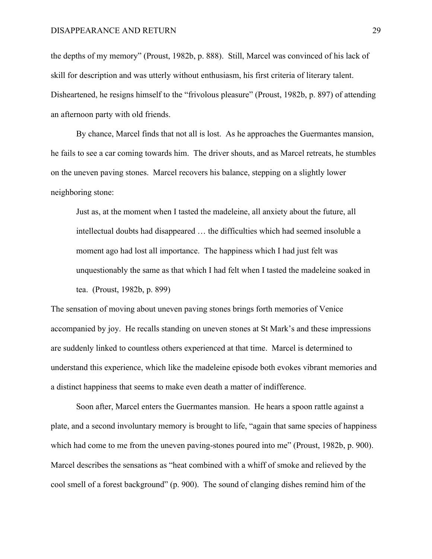the depths of my memory" (Proust, 1982b, p. 888). Still, Marcel was convinced of his lack of skill for description and was utterly without enthusiasm, his first criteria of literary talent. Disheartened, he resigns himself to the "frivolous pleasure" (Proust, 1982b, p. 897) of attending an afternoon party with old friends.

By chance, Marcel finds that not all is lost. As he approaches the Guermantes mansion, he fails to see a car coming towards him. The driver shouts, and as Marcel retreats, he stumbles on the uneven paving stones. Marcel recovers his balance, stepping on a slightly lower neighboring stone:

Just as, at the moment when I tasted the madeleine, all anxiety about the future, all intellectual doubts had disappeared … the difficulties which had seemed insoluble a moment ago had lost all importance. The happiness which I had just felt was unquestionably the same as that which I had felt when I tasted the madeleine soaked in tea. (Proust, 1982b, p. 899)

The sensation of moving about uneven paving stones brings forth memories of Venice accompanied by joy. He recalls standing on uneven stones at St Mark's and these impressions are suddenly linked to countless others experienced at that time. Marcel is determined to understand this experience, which like the madeleine episode both evokes vibrant memories and a distinct happiness that seems to make even death a matter of indifference.

Soon after, Marcel enters the Guermantes mansion. He hears a spoon rattle against a plate, and a second involuntary memory is brought to life, "again that same species of happiness which had come to me from the uneven paving-stones poured into me" (Proust, 1982b, p. 900). Marcel describes the sensations as "heat combined with a whiff of smoke and relieved by the cool smell of a forest background" (p. 900). The sound of clanging dishes remind him of the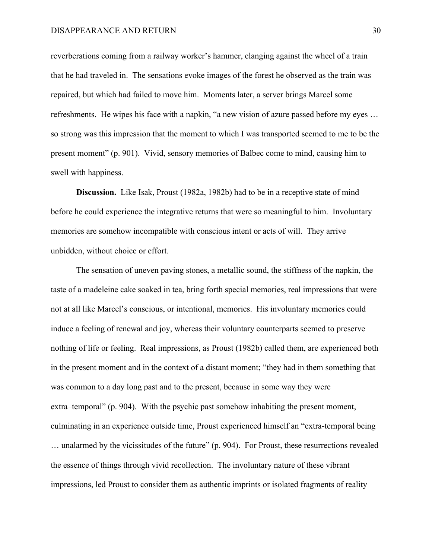reverberations coming from a railway worker's hammer, clanging against the wheel of a train that he had traveled in. The sensations evoke images of the forest he observed as the train was repaired, but which had failed to move him. Moments later, a server brings Marcel some refreshments. He wipes his face with a napkin, "a new vision of azure passed before my eyes … so strong was this impression that the moment to which I was transported seemed to me to be the present moment" (p. 901). Vivid, sensory memories of Balbec come to mind, causing him to swell with happiness.

**Discussion.** Like Isak, Proust (1982a, 1982b) had to be in a receptive state of mind before he could experience the integrative returns that were so meaningful to him. Involuntary memories are somehow incompatible with conscious intent or acts of will. They arrive unbidden, without choice or effort.

The sensation of uneven paving stones, a metallic sound, the stiffness of the napkin, the taste of a madeleine cake soaked in tea, bring forth special memories, real impressions that were not at all like Marcel's conscious, or intentional, memories. His involuntary memories could induce a feeling of renewal and joy, whereas their voluntary counterparts seemed to preserve nothing of life or feeling. Real impressions, as Proust (1982b) called them, are experienced both in the present moment and in the context of a distant moment; "they had in them something that was common to a day long past and to the present, because in some way they were extra–temporal" (p. 904). With the psychic past somehow inhabiting the present moment, culminating in an experience outside time, Proust experienced himself an "extra-temporal being … unalarmed by the vicissitudes of the future" (p. 904). For Proust, these resurrections revealed the essence of things through vivid recollection. The involuntary nature of these vibrant impressions, led Proust to consider them as authentic imprints or isolated fragments of reality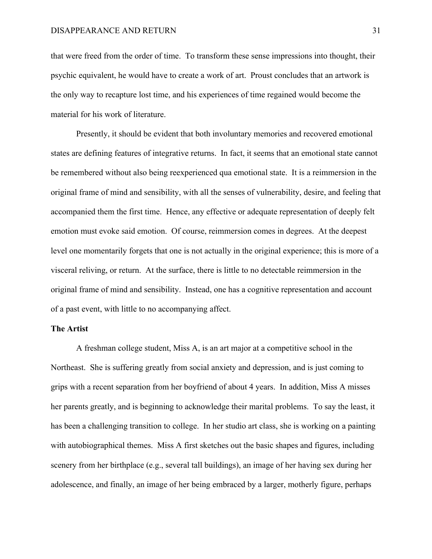that were freed from the order of time. To transform these sense impressions into thought, their psychic equivalent, he would have to create a work of art. Proust concludes that an artwork is the only way to recapture lost time, and his experiences of time regained would become the material for his work of literature.

Presently, it should be evident that both involuntary memories and recovered emotional states are defining features of integrative returns. In fact, it seems that an emotional state cannot be remembered without also being reexperienced qua emotional state. It is a reimmersion in the original frame of mind and sensibility, with all the senses of vulnerability, desire, and feeling that accompanied them the first time. Hence, any effective or adequate representation of deeply felt emotion must evoke said emotion. Of course, reimmersion comes in degrees. At the deepest level one momentarily forgets that one is not actually in the original experience; this is more of a visceral reliving, or return. At the surface, there is little to no detectable reimmersion in the original frame of mind and sensibility. Instead, one has a cognitive representation and account of a past event, with little to no accompanying affect.

# **The Artist**

A freshman college student, Miss A, is an art major at a competitive school in the Northeast. She is suffering greatly from social anxiety and depression, and is just coming to grips with a recent separation from her boyfriend of about 4 years. In addition, Miss A misses her parents greatly, and is beginning to acknowledge their marital problems. To say the least, it has been a challenging transition to college. In her studio art class, she is working on a painting with autobiographical themes. Miss A first sketches out the basic shapes and figures, including scenery from her birthplace (e.g., several tall buildings), an image of her having sex during her adolescence, and finally, an image of her being embraced by a larger, motherly figure, perhaps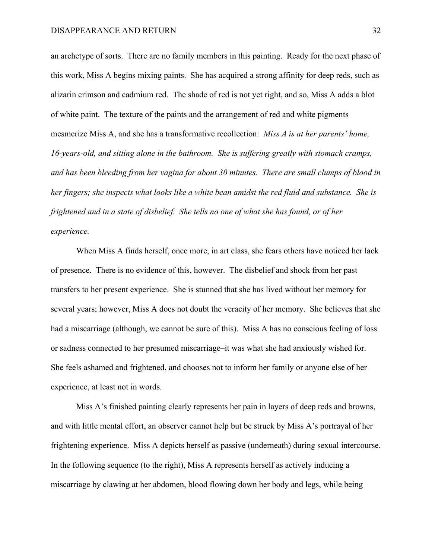an archetype of sorts. There are no family members in this painting. Ready for the next phase of this work, Miss A begins mixing paints. She has acquired a strong affinity for deep reds, such as alizarin crimson and cadmium red. The shade of red is not yet right, and so, Miss A adds a blot of white paint. The texture of the paints and the arrangement of red and white pigments mesmerize Miss A, and she has a transformative recollection: *Miss A is at her parents' home, 16-years-old, and sitting alone in the bathroom. She is suffering greatly with stomach cramps, and has been bleeding from her vagina for about 30 minutes. There are small clumps of blood in her fingers; she inspects what looks like a white bean amidst the red fluid and substance. She is frightened and in a state of disbelief. She tells no one of what she has found, or of her experience.*

When Miss A finds herself, once more, in art class, she fears others have noticed her lack of presence. There is no evidence of this, however. The disbelief and shock from her past transfers to her present experience. She is stunned that she has lived without her memory for several years; however, Miss A does not doubt the veracity of her memory. She believes that she had a miscarriage (although, we cannot be sure of this). Miss A has no conscious feeling of loss or sadness connected to her presumed miscarriage–it was what she had anxiously wished for. She feels ashamed and frightened, and chooses not to inform her family or anyone else of her experience, at least not in words.

Miss A's finished painting clearly represents her pain in layers of deep reds and browns, and with little mental effort, an observer cannot help but be struck by Miss A's portrayal of her frightening experience. Miss A depicts herself as passive (underneath) during sexual intercourse. In the following sequence (to the right), Miss A represents herself as actively inducing a miscarriage by clawing at her abdomen, blood flowing down her body and legs, while being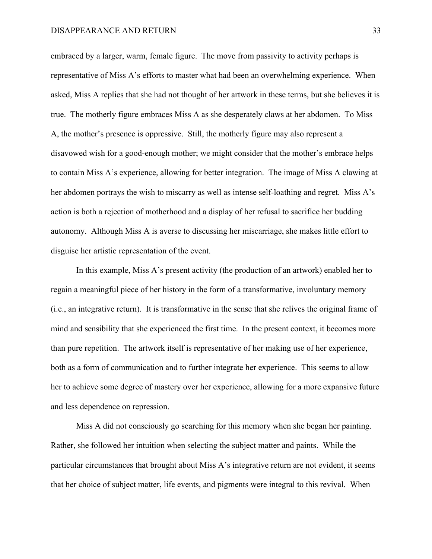embraced by a larger, warm, female figure. The move from passivity to activity perhaps is representative of Miss A's efforts to master what had been an overwhelming experience. When asked, Miss A replies that she had not thought of her artwork in these terms, but she believes it is true. The motherly figure embraces Miss A as she desperately claws at her abdomen. To Miss A, the mother's presence is oppressive. Still, the motherly figure may also represent a disavowed wish for a good-enough mother; we might consider that the mother's embrace helps to contain Miss A's experience, allowing for better integration. The image of Miss A clawing at her abdomen portrays the wish to miscarry as well as intense self-loathing and regret. Miss A's action is both a rejection of motherhood and a display of her refusal to sacrifice her budding autonomy. Although Miss A is averse to discussing her miscarriage, she makes little effort to disguise her artistic representation of the event.

In this example, Miss A's present activity (the production of an artwork) enabled her to regain a meaningful piece of her history in the form of a transformative, involuntary memory (i.e., an integrative return). It is transformative in the sense that she relives the original frame of mind and sensibility that she experienced the first time. In the present context, it becomes more than pure repetition. The artwork itself is representative of her making use of her experience, both as a form of communication and to further integrate her experience. This seems to allow her to achieve some degree of mastery over her experience, allowing for a more expansive future and less dependence on repression.

Miss A did not consciously go searching for this memory when she began her painting. Rather, she followed her intuition when selecting the subject matter and paints. While the particular circumstances that brought about Miss A's integrative return are not evident, it seems that her choice of subject matter, life events, and pigments were integral to this revival. When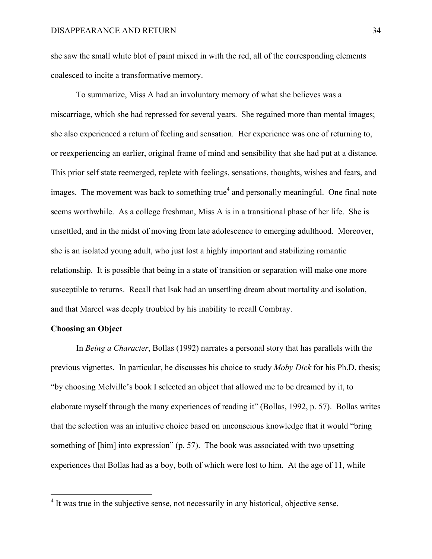she saw the small white blot of paint mixed in with the red, all of the corresponding elements coalesced to incite a transformative memory.

To summarize, Miss A had an involuntary memory of what she believes was a miscarriage, which she had repressed for several years. She regained more than mental images; she also experienced a return of feeling and sensation. Her experience was one of returning to, or reexperiencing an earlier, original frame of mind and sensibility that she had put at a distance. This prior self state reemerged, replete with feelings, sensations, thoughts, wishes and fears, and images. The movement was back to something true<sup>4</sup> and personally meaningful. One final note seems worthwhile. As a college freshman, Miss A is in a transitional phase of her life. She is unsettled, and in the midst of moving from late adolescence to emerging adulthood. Moreover, she is an isolated young adult, who just lost a highly important and stabilizing romantic relationship. It is possible that being in a state of transition or separation will make one more susceptible to returns. Recall that Isak had an unsettling dream about mortality and isolation, and that Marcel was deeply troubled by his inability to recall Combray.

# **Choosing an Object**

In *Being a Character*, Bollas (1992) narrates a personal story that has parallels with the previous vignettes. In particular, he discusses his choice to study *Moby Dick* for his Ph.D. thesis; "by choosing Melville's book I selected an object that allowed me to be dreamed by it, to elaborate myself through the many experiences of reading it" (Bollas, 1992, p. 57). Bollas writes that the selection was an intuitive choice based on unconscious knowledge that it would "bring something of [him] into expression" (p. 57). The book was associated with two upsetting experiences that Bollas had as a boy, both of which were lost to him. At the age of 11, while

<sup>&</sup>lt;sup>4</sup> It was true in the subjective sense, not necessarily in any historical, objective sense.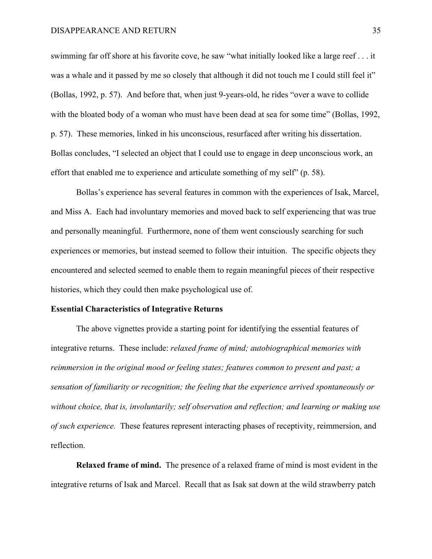swimming far off shore at his favorite cove, he saw "what initially looked like a large reef . . . it was a whale and it passed by me so closely that although it did not touch me I could still feel it" (Bollas, 1992, p. 57). And before that, when just 9-years-old, he rides "over a wave to collide with the bloated body of a woman who must have been dead at sea for some time" (Bollas, 1992, p. 57). These memories, linked in his unconscious, resurfaced after writing his dissertation. Bollas concludes, "I selected an object that I could use to engage in deep unconscious work, an effort that enabled me to experience and articulate something of my self" (p. 58).

Bollas's experience has several features in common with the experiences of Isak, Marcel, and Miss A. Each had involuntary memories and moved back to self experiencing that was true and personally meaningful. Furthermore, none of them went consciously searching for such experiences or memories, but instead seemed to follow their intuition. The specific objects they encountered and selected seemed to enable them to regain meaningful pieces of their respective histories, which they could then make psychological use of.

### **Essential Characteristics of Integrative Returns**

The above vignettes provide a starting point for identifying the essential features of integrative returns. These include: *relaxed frame of mind; autobiographical memories with reimmersion in the original mood or feeling states; features common to present and past; a sensation of familiarity or recognition; the feeling that the experience arrived spontaneously or without choice, that is, involuntarily; self observation and reflection; and learning or making use of such experience.* These features represent interacting phases of receptivity, reimmersion, and reflection.

**Relaxed frame of mind.** The presence of a relaxed frame of mind is most evident in the integrative returns of Isak and Marcel. Recall that as Isak sat down at the wild strawberry patch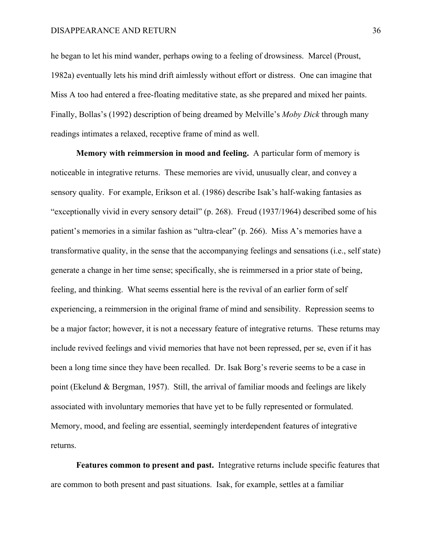he began to let his mind wander, perhaps owing to a feeling of drowsiness. Marcel (Proust, 1982a) eventually lets his mind drift aimlessly without effort or distress. One can imagine that Miss A too had entered a free-floating meditative state, as she prepared and mixed her paints. Finally, Bollas's (1992) description of being dreamed by Melville's *Moby Dick* through many readings intimates a relaxed, receptive frame of mind as well.

**Memory with reimmersion in mood and feeling.** A particular form of memory is noticeable in integrative returns. These memories are vivid, unusually clear, and convey a sensory quality. For example, Erikson et al. (1986) describe Isak's half-waking fantasies as "exceptionally vivid in every sensory detail" (p. 268). Freud (1937/1964) described some of his patient's memories in a similar fashion as "ultra-clear" (p. 266). Miss A's memories have a transformative quality, in the sense that the accompanying feelings and sensations (i.e., self state) generate a change in her time sense; specifically, she is reimmersed in a prior state of being, feeling, and thinking. What seems essential here is the revival of an earlier form of self experiencing, a reimmersion in the original frame of mind and sensibility. Repression seems to be a major factor; however, it is not a necessary feature of integrative returns. These returns may include revived feelings and vivid memories that have not been repressed, per se, even if it has been a long time since they have been recalled. Dr. Isak Borg's reverie seems to be a case in point (Ekelund & Bergman, 1957). Still, the arrival of familiar moods and feelings are likely associated with involuntary memories that have yet to be fully represented or formulated. Memory, mood, and feeling are essential, seemingly interdependent features of integrative returns.

**Features common to present and past.** Integrative returns include specific features that are common to both present and past situations. Isak, for example, settles at a familiar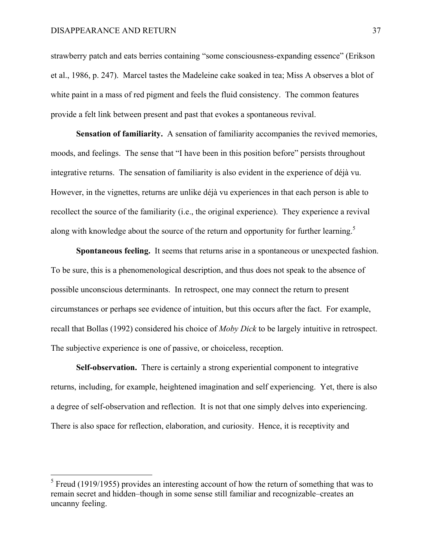strawberry patch and eats berries containing "some consciousness-expanding essence" (Erikson et al., 1986, p. 247). Marcel tastes the Madeleine cake soaked in tea; Miss A observes a blot of white paint in a mass of red pigment and feels the fluid consistency. The common features provide a felt link between present and past that evokes a spontaneous revival.

**Sensation of familiarity.** A sensation of familiarity accompanies the revived memories, moods, and feelings. The sense that "I have been in this position before" persists throughout integrative returns. The sensation of familiarity is also evident in the experience of déjà vu. However, in the vignettes, returns are unlike déjà vu experiences in that each person is able to recollect the source of the familiarity (i.e., the original experience). They experience a revival along with knowledge about the source of the return and opportunity for further learning.<sup>5</sup>

**Spontaneous feeling.** It seems that returns arise in a spontaneous or unexpected fashion. To be sure, this is a phenomenological description, and thus does not speak to the absence of possible unconscious determinants. In retrospect, one may connect the return to present circumstances or perhaps see evidence of intuition, but this occurs after the fact. For example, recall that Bollas (1992) considered his choice of *Moby Dick* to be largely intuitive in retrospect. The subjective experience is one of passive, or choiceless, reception.

**Self-observation.** There is certainly a strong experiential component to integrative returns, including, for example, heightened imagination and self experiencing. Yet, there is also a degree of self-observation and reflection. It is not that one simply delves into experiencing. There is also space for reflection, elaboration, and curiosity. Hence, it is receptivity and

 $<sup>5</sup>$  Freud (1919/1955) provides an interesting account of how the return of something that was to</sup> remain secret and hidden–though in some sense still familiar and recognizable–creates an uncanny feeling.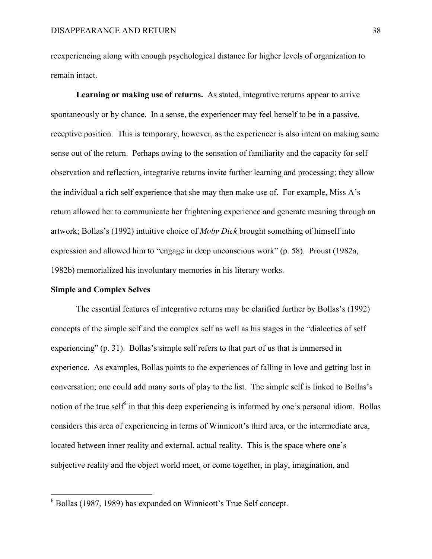reexperiencing along with enough psychological distance for higher levels of organization to remain intact.

**Learning or making use of returns.** As stated, integrative returns appear to arrive spontaneously or by chance. In a sense, the experiencer may feel herself to be in a passive, receptive position. This is temporary, however, as the experiencer is also intent on making some sense out of the return. Perhaps owing to the sensation of familiarity and the capacity for self observation and reflection, integrative returns invite further learning and processing; they allow the individual a rich self experience that she may then make use of. For example, Miss A's return allowed her to communicate her frightening experience and generate meaning through an artwork; Bollas's (1992) intuitive choice of *Moby Dick* brought something of himself into expression and allowed him to "engage in deep unconscious work" (p. 58). Proust (1982a, 1982b) memorialized his involuntary memories in his literary works.

#### **Simple and Complex Selves**

The essential features of integrative returns may be clarified further by Bollas's (1992) concepts of the simple self and the complex self as well as his stages in the "dialectics of self experiencing" (p. 31). Bollas's simple self refers to that part of us that is immersed in experience. As examples, Bollas points to the experiences of falling in love and getting lost in conversation; one could add many sorts of play to the list. The simple self is linked to Bollas's notion of the true self<sup>6</sup> in that this deep experiencing is informed by one's personal idiom. Bollas considers this area of experiencing in terms of Winnicott's third area, or the intermediate area, located between inner reality and external, actual reality. This is the space where one's subjective reality and the object world meet, or come together, in play, imagination, and

 <sup>6</sup> Bollas (1987, 1989) has expanded on Winnicott's True Self concept.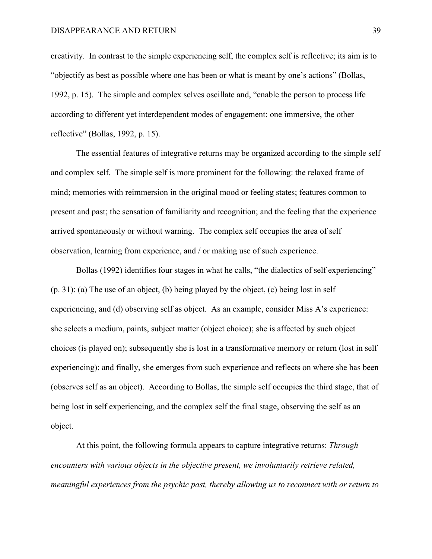creativity. In contrast to the simple experiencing self, the complex self is reflective; its aim is to "objectify as best as possible where one has been or what is meant by one's actions" (Bollas, 1992, p. 15). The simple and complex selves oscillate and, "enable the person to process life according to different yet interdependent modes of engagement: one immersive, the other reflective" (Bollas, 1992, p. 15).

The essential features of integrative returns may be organized according to the simple self and complex self. The simple self is more prominent for the following: the relaxed frame of mind; memories with reimmersion in the original mood or feeling states; features common to present and past; the sensation of familiarity and recognition; and the feeling that the experience arrived spontaneously or without warning. The complex self occupies the area of self observation, learning from experience, and / or making use of such experience.

Bollas (1992) identifies four stages in what he calls, "the dialectics of self experiencing" (p. 31): (a) The use of an object, (b) being played by the object, (c) being lost in self experiencing, and (d) observing self as object. As an example, consider Miss A's experience: she selects a medium, paints, subject matter (object choice); she is affected by such object choices (is played on); subsequently she is lost in a transformative memory or return (lost in self experiencing); and finally, she emerges from such experience and reflects on where she has been (observes self as an object). According to Bollas, the simple self occupies the third stage, that of being lost in self experiencing, and the complex self the final stage, observing the self as an object.

At this point, the following formula appears to capture integrative returns: *Through encounters with various objects in the objective present, we involuntarily retrieve related, meaningful experiences from the psychic past, thereby allowing us to reconnect with or return to*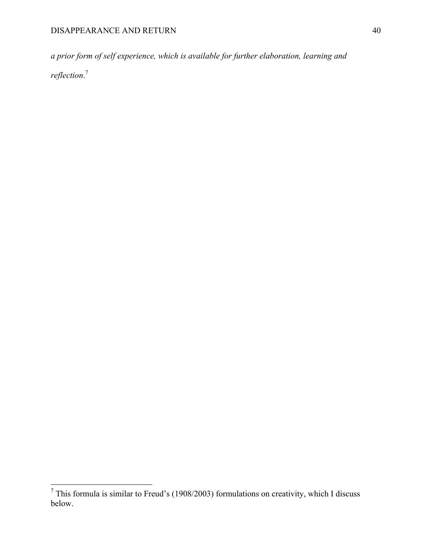*a prior form of self experience, which is available for further elaboration, learning and reflection*. 7

 $<sup>7</sup>$  This formula is similar to Freud's (1908/2003) formulations on creativity, which I discuss</sup> below.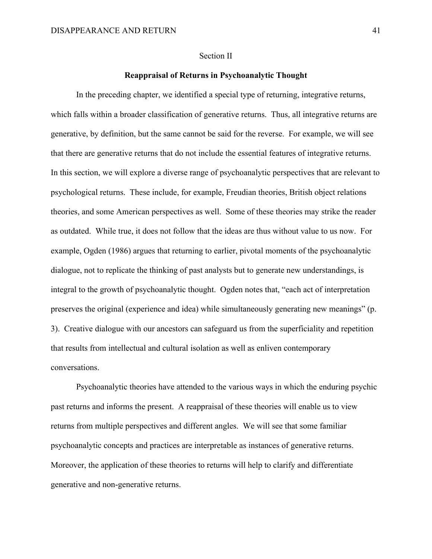### Section II

# **Reappraisal of Returns in Psychoanalytic Thought**

In the preceding chapter, we identified a special type of returning, integrative returns, which falls within a broader classification of generative returns. Thus, all integrative returns are generative, by definition, but the same cannot be said for the reverse. For example, we will see that there are generative returns that do not include the essential features of integrative returns. In this section, we will explore a diverse range of psychoanalytic perspectives that are relevant to psychological returns. These include, for example, Freudian theories, British object relations theories, and some American perspectives as well. Some of these theories may strike the reader as outdated. While true, it does not follow that the ideas are thus without value to us now. For example, Ogden (1986) argues that returning to earlier, pivotal moments of the psychoanalytic dialogue, not to replicate the thinking of past analysts but to generate new understandings, is integral to the growth of psychoanalytic thought. Ogden notes that, "each act of interpretation preserves the original (experience and idea) while simultaneously generating new meanings" (p. 3). Creative dialogue with our ancestors can safeguard us from the superficiality and repetition that results from intellectual and cultural isolation as well as enliven contemporary conversations.

Psychoanalytic theories have attended to the various ways in which the enduring psychic past returns and informs the present. A reappraisal of these theories will enable us to view returns from multiple perspectives and different angles. We will see that some familiar psychoanalytic concepts and practices are interpretable as instances of generative returns. Moreover, the application of these theories to returns will help to clarify and differentiate generative and non-generative returns.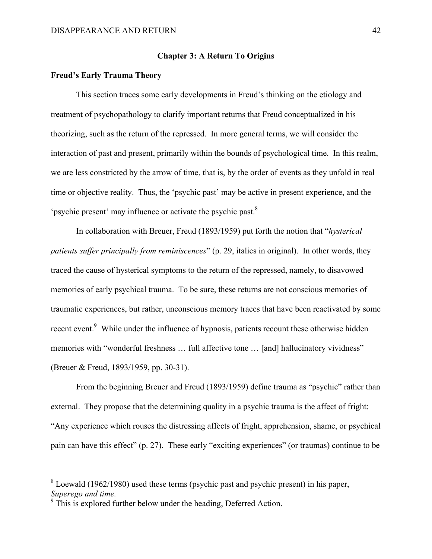## **Chapter 3: A Return To Origins**

# **Freud's Early Trauma Theory**

This section traces some early developments in Freud's thinking on the etiology and treatment of psychopathology to clarify important returns that Freud conceptualized in his theorizing, such as the return of the repressed. In more general terms, we will consider the interaction of past and present, primarily within the bounds of psychological time. In this realm, we are less constricted by the arrow of time, that is, by the order of events as they unfold in real time or objective reality. Thus, the 'psychic past' may be active in present experience, and the 'psychic present' may influence or activate the psychic past.<sup>8</sup>

In collaboration with Breuer, Freud (1893/1959) put forth the notion that "*hysterical patients suffer principally from reminiscences*" (p. 29, italics in original). In other words, they traced the cause of hysterical symptoms to the return of the repressed, namely, to disavowed memories of early psychical trauma. To be sure, these returns are not conscious memories of traumatic experiences, but rather, unconscious memory traces that have been reactivated by some recent event.<sup>9</sup> While under the influence of hypnosis, patients recount these otherwise hidden memories with "wonderful freshness … full affective tone … [and] hallucinatory vividness" (Breuer & Freud, 1893/1959, pp. 30-31).

From the beginning Breuer and Freud (1893/1959) define trauma as "psychic" rather than external. They propose that the determining quality in a psychic trauma is the affect of fright: "Any experience which rouses the distressing affects of fright, apprehension, shame, or psychical pain can have this effect" (p. 27). These early "exciting experiences" (or traumas) continue to be

 $8$  Loewald (1962/1980) used these terms (psychic past and psychic present) in his paper, *Superego and time.*

 $9<sup>9</sup>$  This is explored further below under the heading, Deferred Action.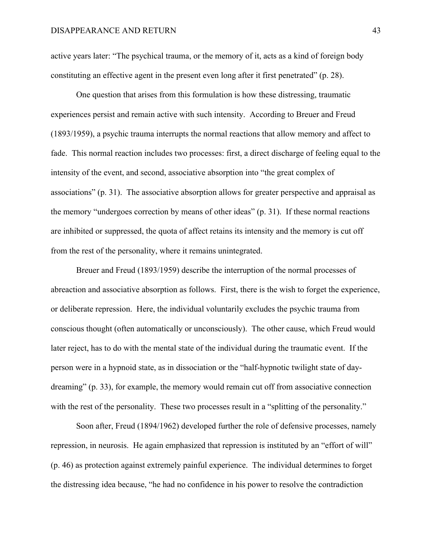active years later: "The psychical trauma, or the memory of it, acts as a kind of foreign body constituting an effective agent in the present even long after it first penetrated" (p. 28).

One question that arises from this formulation is how these distressing, traumatic experiences persist and remain active with such intensity. According to Breuer and Freud (1893/1959), a psychic trauma interrupts the normal reactions that allow memory and affect to fade. This normal reaction includes two processes: first, a direct discharge of feeling equal to the intensity of the event, and second, associative absorption into "the great complex of associations" (p. 31). The associative absorption allows for greater perspective and appraisal as the memory "undergoes correction by means of other ideas" (p. 31). If these normal reactions are inhibited or suppressed, the quota of affect retains its intensity and the memory is cut off from the rest of the personality, where it remains unintegrated.

Breuer and Freud (1893/1959) describe the interruption of the normal processes of abreaction and associative absorption as follows. First, there is the wish to forget the experience, or deliberate repression. Here, the individual voluntarily excludes the psychic trauma from conscious thought (often automatically or unconsciously). The other cause, which Freud would later reject, has to do with the mental state of the individual during the traumatic event. If the person were in a hypnoid state, as in dissociation or the "half-hypnotic twilight state of daydreaming" (p. 33), for example, the memory would remain cut off from associative connection with the rest of the personality. These two processes result in a "splitting of the personality."

Soon after, Freud (1894/1962) developed further the role of defensive processes, namely repression, in neurosis. He again emphasized that repression is instituted by an "effort of will" (p. 46) as protection against extremely painful experience. The individual determines to forget the distressing idea because, "he had no confidence in his power to resolve the contradiction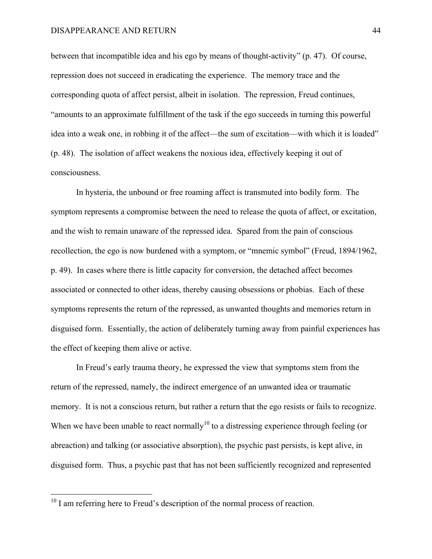between that incompatible idea and his ego by means of thought-activity" (p. 47). Of course, repression does not succeed in eradicating the experience. The memory trace and the corresponding quota of affect persist, albeit in isolation. The repression, Freud continues, "amounts to an approximate fulfillment of the task if the ego succeeds in turning this powerful idea into a weak one, in robbing it of the affect—the sum of excitation—with which it is loaded" (p. 48). The isolation of affect weakens the noxious idea, effectively keeping it out of consciousness.

In hysteria, the unbound or free roaming affect is transmuted into bodily form. The symptom represents a compromise between the need to release the quota of affect, or excitation, and the wish to remain unaware of the repressed idea. Spared from the pain of conscious recollection, the ego is now burdened with a symptom, or "mnemic symbol" (Freud, 1894/1962, p. 49). In cases where there is little capacity for conversion, the detached affect becomes associated or connected to other ideas, thereby causing obsessions or phobias. Each of these symptoms represents the return of the repressed, as unwanted thoughts and memories return in disguised form. Essentially, the action of deliberately turning away from painful experiences has the effect of keeping them alive or active.

In Freud's early trauma theory, he expressed the view that symptoms stem from the return of the repressed, namely, the indirect emergence of an unwanted idea or traumatic memory. It is not a conscious return, but rather a return that the ego resists or fails to recognize. When we have been unable to react normally<sup>10</sup> to a distressing experience through feeling (or abreaction) and talking (or associative absorption), the psychic past persists, is kept alive, in disguised form. Thus, a psychic past that has not been sufficiently recognized and represented

<sup>&</sup>lt;sup>10</sup> I am referring here to Freud's description of the normal process of reaction.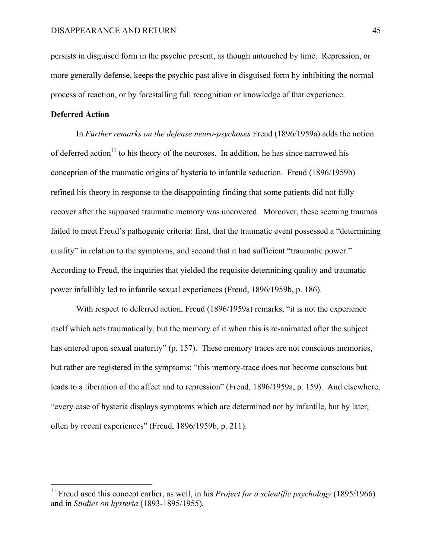persists in disguised form in the psychic present, as though untouched by time. Repression, or more generally defense, keeps the psychic past alive in disguised form by inhibiting the normal process of reaction, or by forestalling full recognition or knowledge of that experience.

# **Deferred Action**

In *Further remarks on the defense neuro-psychoses* Freud (1896/1959a) adds the notion of deferred action<sup>11</sup> to his theory of the neuroses. In addition, he has since narrowed his conception of the traumatic origins of hysteria to infantile seduction. Freud (1896/1959b) refined his theory in response to the disappointing finding that some patients did not fully recover after the supposed traumatic memory was uncovered. Moreover, these seeming traumas failed to meet Freud's pathogenic criteria: first, that the traumatic event possessed a "determining quality" in relation to the symptoms, and second that it had sufficient "traumatic power." According to Freud, the inquiries that yielded the requisite determining quality and traumatic power infallibly led to infantile sexual experiences (Freud, 1896/1959b, p. 186).

With respect to deferred action, Freud (1896/1959a) remarks, "it is not the experience itself which acts traumatically, but the memory of it when this is re-animated after the subject has entered upon sexual maturity" (p. 157). These memory traces are not conscious memories, but rather are registered in the symptoms; "this memory-trace does not become conscious but leads to a liberation of the affect and to repression" (Freud, 1896/1959a, p. 159). And elsewhere, "every case of hysteria displays symptoms which are determined not by infantile, but by later, often by recent experiences" (Freud, 1896/1959b, p. 211).

 <sup>11</sup> Freud used this concept earlier, as well, in his *Project for a scientific psychology* (1895/1966) and in *Studies on hysteria* (1893-1895/1955)*.*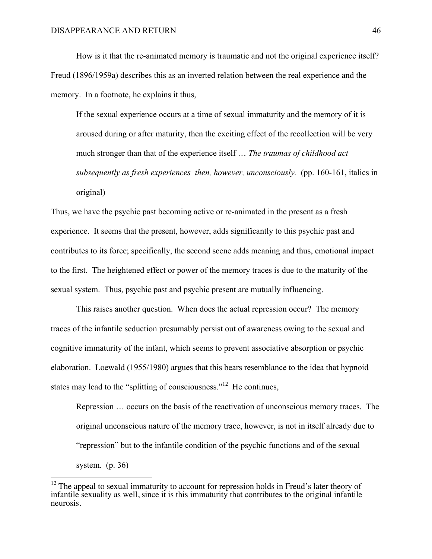How is it that the re-animated memory is traumatic and not the original experience itself? Freud (1896/1959a) describes this as an inverted relation between the real experience and the memory. In a footnote, he explains it thus,

If the sexual experience occurs at a time of sexual immaturity and the memory of it is aroused during or after maturity, then the exciting effect of the recollection will be very much stronger than that of the experience itself … *The traumas of childhood act subsequently as fresh experiences–then, however, unconsciously.* (pp. 160-161, italics in original)

Thus, we have the psychic past becoming active or re-animated in the present as a fresh experience. It seems that the present, however, adds significantly to this psychic past and contributes to its force; specifically, the second scene adds meaning and thus, emotional impact to the first. The heightened effect or power of the memory traces is due to the maturity of the sexual system. Thus, psychic past and psychic present are mutually influencing.

This raises another question. When does the actual repression occur? The memory traces of the infantile seduction presumably persist out of awareness owing to the sexual and cognitive immaturity of the infant, which seems to prevent associative absorption or psychic elaboration. Loewald (1955/1980) argues that this bears resemblance to the idea that hypnoid states may lead to the "splitting of consciousness."<sup>12</sup> He continues,

Repression … occurs on the basis of the reactivation of unconscious memory traces. The original unconscious nature of the memory trace, however, is not in itself already due to "repression" but to the infantile condition of the psychic functions and of the sexual system. (p. 36)

 $12$  The appeal to sexual immaturity to account for repression holds in Freud's later theory of infantile sexuality as well, since it is this immaturity that contributes to the original infantile neurosis.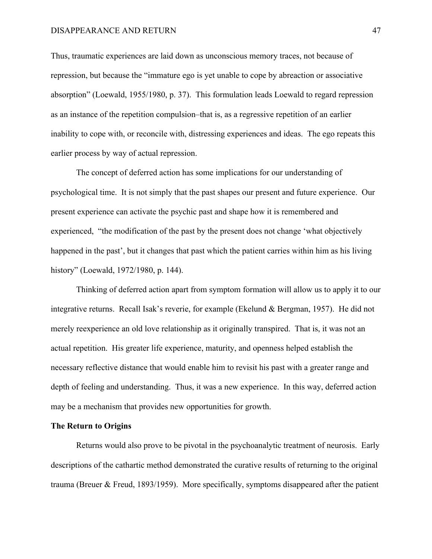Thus, traumatic experiences are laid down as unconscious memory traces, not because of repression, but because the "immature ego is yet unable to cope by abreaction or associative absorption" (Loewald, 1955/1980, p. 37). This formulation leads Loewald to regard repression as an instance of the repetition compulsion–that is, as a regressive repetition of an earlier inability to cope with, or reconcile with, distressing experiences and ideas. The ego repeats this earlier process by way of actual repression.

The concept of deferred action has some implications for our understanding of psychological time. It is not simply that the past shapes our present and future experience. Our present experience can activate the psychic past and shape how it is remembered and experienced, "the modification of the past by the present does not change 'what objectively happened in the past', but it changes that past which the patient carries within him as his living history" (Loewald, 1972/1980, p. 144).

Thinking of deferred action apart from symptom formation will allow us to apply it to our integrative returns. Recall Isak's reverie, for example (Ekelund & Bergman, 1957). He did not merely reexperience an old love relationship as it originally transpired. That is, it was not an actual repetition. His greater life experience, maturity, and openness helped establish the necessary reflective distance that would enable him to revisit his past with a greater range and depth of feeling and understanding. Thus, it was a new experience. In this way, deferred action may be a mechanism that provides new opportunities for growth.

# **The Return to Origins**

Returns would also prove to be pivotal in the psychoanalytic treatment of neurosis. Early descriptions of the cathartic method demonstrated the curative results of returning to the original trauma (Breuer & Freud, 1893/1959). More specifically, symptoms disappeared after the patient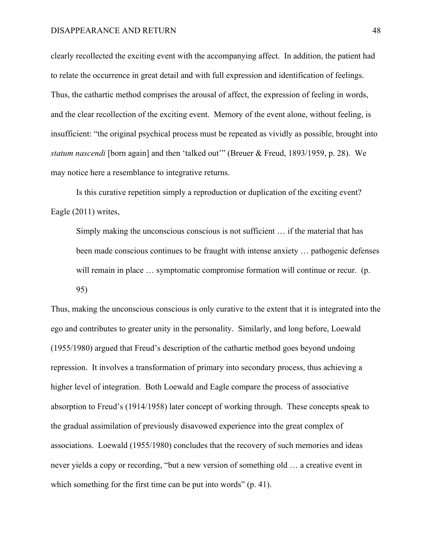clearly recollected the exciting event with the accompanying affect. In addition, the patient had to relate the occurrence in great detail and with full expression and identification of feelings. Thus, the cathartic method comprises the arousal of affect, the expression of feeling in words, and the clear recollection of the exciting event. Memory of the event alone, without feeling, is insufficient: "the original psychical process must be repeated as vividly as possible, brought into *statum nascendi* [born again] and then 'talked out'" (Breuer & Freud, 1893/1959, p. 28). We may notice here a resemblance to integrative returns.

Is this curative repetition simply a reproduction or duplication of the exciting event? Eagle (2011) writes,

Simply making the unconscious conscious is not sufficient … if the material that has been made conscious continues to be fraught with intense anxiety … pathogenic defenses will remain in place ... symptomatic compromise formation will continue or recur. (p. 95)

Thus, making the unconscious conscious is only curative to the extent that it is integrated into the ego and contributes to greater unity in the personality. Similarly, and long before, Loewald (1955/1980) argued that Freud's description of the cathartic method goes beyond undoing repression. It involves a transformation of primary into secondary process, thus achieving a higher level of integration. Both Loewald and Eagle compare the process of associative absorption to Freud's (1914/1958) later concept of working through. These concepts speak to the gradual assimilation of previously disavowed experience into the great complex of associations. Loewald (1955/1980) concludes that the recovery of such memories and ideas never yields a copy or recording, "but a new version of something old … a creative event in which something for the first time can be put into words" (p. 41).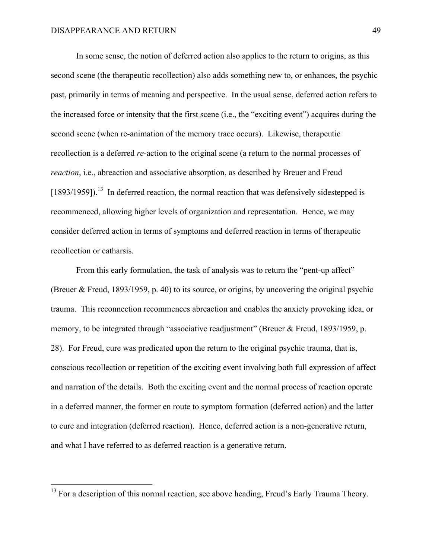In some sense, the notion of deferred action also applies to the return to origins, as this second scene (the therapeutic recollection) also adds something new to, or enhances, the psychic past, primarily in terms of meaning and perspective. In the usual sense, deferred action refers to the increased force or intensity that the first scene (i.e., the "exciting event") acquires during the second scene (when re-animation of the memory trace occurs). Likewise, therapeutic recollection is a deferred *re*-action to the original scene (a return to the normal processes of *reaction*, i.e., abreaction and associative absorption, as described by Breuer and Freud  $[1893/1959]$ .<sup>13</sup> In deferred reaction, the normal reaction that was defensively sidestepped is recommenced, allowing higher levels of organization and representation. Hence, we may consider deferred action in terms of symptoms and deferred reaction in terms of therapeutic recollection or catharsis.

From this early formulation, the task of analysis was to return the "pent-up affect" (Breuer & Freud, 1893/1959, p. 40) to its source, or origins, by uncovering the original psychic trauma. This reconnection recommences abreaction and enables the anxiety provoking idea, or memory, to be integrated through "associative readjustment" (Breuer & Freud, 1893/1959, p. 28). For Freud, cure was predicated upon the return to the original psychic trauma, that is, conscious recollection or repetition of the exciting event involving both full expression of affect and narration of the details. Both the exciting event and the normal process of reaction operate in a deferred manner, the former en route to symptom formation (deferred action) and the latter to cure and integration (deferred reaction). Hence, deferred action is a non-generative return, and what I have referred to as deferred reaction is a generative return.

<sup>&</sup>lt;sup>13</sup> For a description of this normal reaction, see above heading, Freud's Early Trauma Theory.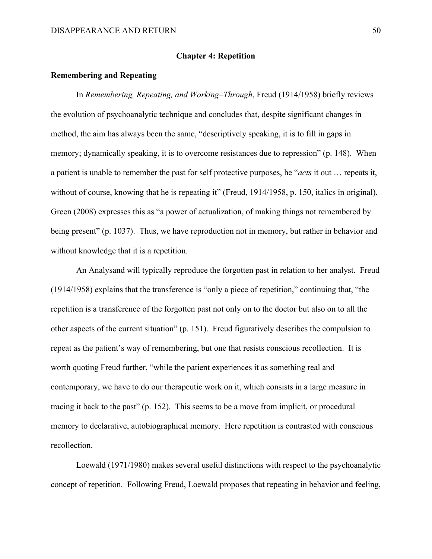## **Chapter 4: Repetition**

## **Remembering and Repeating**

In *Remembering, Repeating, and Working–Through*, Freud (1914/1958) briefly reviews the evolution of psychoanalytic technique and concludes that, despite significant changes in method, the aim has always been the same, "descriptively speaking, it is to fill in gaps in memory; dynamically speaking, it is to overcome resistances due to repression" (p. 148). When a patient is unable to remember the past for self protective purposes, he "*acts* it out … repeats it, without of course, knowing that he is repeating it" (Freud, 1914/1958, p. 150, italics in original). Green (2008) expresses this as "a power of actualization, of making things not remembered by being present" (p. 1037). Thus, we have reproduction not in memory, but rather in behavior and without knowledge that it is a repetition.

An Analysand will typically reproduce the forgotten past in relation to her analyst. Freud (1914/1958) explains that the transference is "only a piece of repetition," continuing that, "the repetition is a transference of the forgotten past not only on to the doctor but also on to all the other aspects of the current situation" (p. 151). Freud figuratively describes the compulsion to repeat as the patient's way of remembering, but one that resists conscious recollection. It is worth quoting Freud further, "while the patient experiences it as something real and contemporary, we have to do our therapeutic work on it, which consists in a large measure in tracing it back to the past" (p. 152). This seems to be a move from implicit, or procedural memory to declarative, autobiographical memory. Here repetition is contrasted with conscious recollection.

Loewald (1971/1980) makes several useful distinctions with respect to the psychoanalytic concept of repetition. Following Freud, Loewald proposes that repeating in behavior and feeling,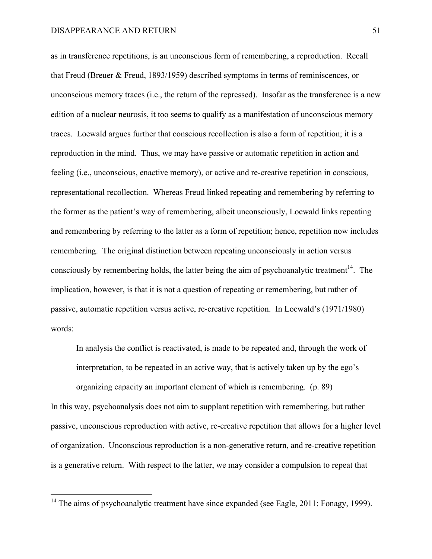as in transference repetitions, is an unconscious form of remembering, a reproduction. Recall that Freud (Breuer & Freud, 1893/1959) described symptoms in terms of reminiscences, or unconscious memory traces (i.e., the return of the repressed). Insofar as the transference is a new edition of a nuclear neurosis, it too seems to qualify as a manifestation of unconscious memory traces. Loewald argues further that conscious recollection is also a form of repetition; it is a reproduction in the mind. Thus, we may have passive or automatic repetition in action and feeling (i.e., unconscious, enactive memory), or active and re-creative repetition in conscious, representational recollection. Whereas Freud linked repeating and remembering by referring to the former as the patient's way of remembering, albeit unconsciously, Loewald links repeating and remembering by referring to the latter as a form of repetition; hence, repetition now includes remembering. The original distinction between repeating unconsciously in action versus consciously by remembering holds, the latter being the aim of psychoanalytic treatment $14$ . The implication, however, is that it is not a question of repeating or remembering, but rather of passive, automatic repetition versus active, re-creative repetition. In Loewald's (1971/1980) words:

In analysis the conflict is reactivated, is made to be repeated and, through the work of interpretation, to be repeated in an active way, that is actively taken up by the ego's organizing capacity an important element of which is remembering. (p. 89) In this way, psychoanalysis does not aim to supplant repetition with remembering, but rather

passive, unconscious reproduction with active, re-creative repetition that allows for a higher level of organization. Unconscious reproduction is a non-generative return, and re-creative repetition is a generative return. With respect to the latter, we may consider a compulsion to repeat that

<sup>&</sup>lt;sup>14</sup> The aims of psychoanalytic treatment have since expanded (see Eagle, 2011; Fonagy, 1999).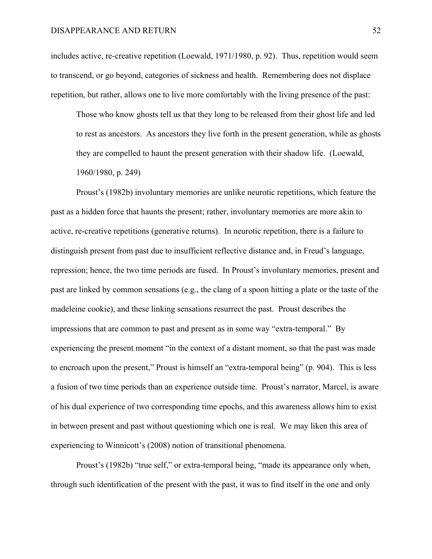includes active, re-creative repetition (Loewald, 1971/1980, p. 92). Thus, repetition would seem to transcend, or go beyond, categories of sickness and health. Remembering does not displace repetition, but rather, allows one to live more comfortably with the living presence of the past:

Those who know ghosts tell us that they long to be released from their ghost life and led to rest as ancestors. As ancestors they live forth in the present generation, while as ghosts they are compelled to haunt the present generation with their shadow life. (Loewald, 1960/1980, p. 249)

Proust's (1982b) involuntary memories are unlike neurotic repetitions, which feature the past as a hidden force that haunts the present; rather, involuntary memories are more akin to active, re-creative repetitions (generative returns). In neurotic repetition, there is a failure to distinguish present from past due to insufficient reflective distance and, in Freud's language, repression; hence, the two time periods are fused. In Proust's involuntary memories, present and past are linked by common sensations (e.g., the clang of a spoon hitting a plate or the taste of the madeleine cookie), and these linking sensations resurrect the past. Proust describes the impressions that are common to past and present as in some way "extra-temporal." By experiencing the present moment "in the context of a distant moment, so that the past was made to encroach upon the present," Proust is himself an "extra-temporal being" (p. 904). This is less a fusion of two time periods than an experience outside time. Proust's narrator, Marcel, is aware of his dual experience of two corresponding time epochs, and this awareness allows him to exist in between present and past without questioning which one is real. We may liken this area of experiencing to Winnicott's (2008) notion of transitional phenomena.

Proust's (1982b) "true self," or extra-temporal being, "made its appearance only when, through such identification of the present with the past, it was to find itself in the one and only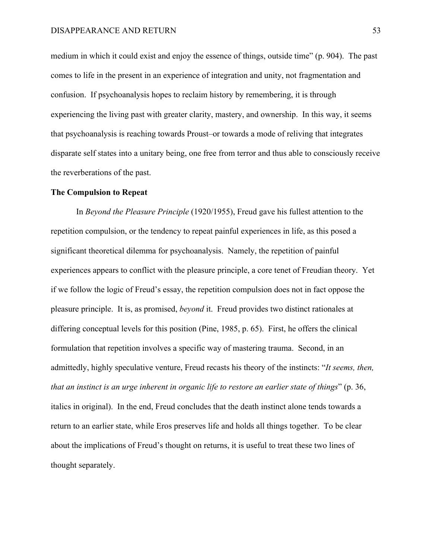medium in which it could exist and enjoy the essence of things, outside time" (p. 904). The past comes to life in the present in an experience of integration and unity, not fragmentation and confusion. If psychoanalysis hopes to reclaim history by remembering, it is through experiencing the living past with greater clarity, mastery, and ownership. In this way, it seems that psychoanalysis is reaching towards Proust–or towards a mode of reliving that integrates disparate self states into a unitary being, one free from terror and thus able to consciously receive the reverberations of the past.

### **The Compulsion to Repeat**

In *Beyond the Pleasure Principle* (1920/1955), Freud gave his fullest attention to the repetition compulsion, or the tendency to repeat painful experiences in life, as this posed a significant theoretical dilemma for psychoanalysis. Namely, the repetition of painful experiences appears to conflict with the pleasure principle, a core tenet of Freudian theory. Yet if we follow the logic of Freud's essay, the repetition compulsion does not in fact oppose the pleasure principle. It is, as promised, *beyond* it. Freud provides two distinct rationales at differing conceptual levels for this position (Pine, 1985, p. 65). First, he offers the clinical formulation that repetition involves a specific way of mastering trauma. Second, in an admittedly, highly speculative venture, Freud recasts his theory of the instincts: "*It seems, then, that an instinct is an urge inherent in organic life to restore an earlier state of things*" (p. 36, italics in original). In the end, Freud concludes that the death instinct alone tends towards a return to an earlier state, while Eros preserves life and holds all things together. To be clear about the implications of Freud's thought on returns, it is useful to treat these two lines of thought separately.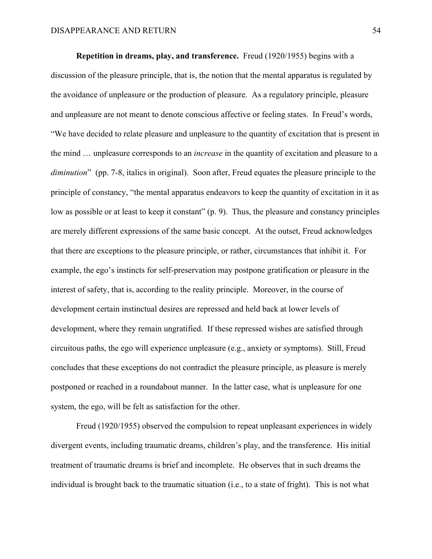**Repetition in dreams, play, and transference.** Freud (1920/1955) begins with a discussion of the pleasure principle, that is, the notion that the mental apparatus is regulated by the avoidance of unpleasure or the production of pleasure. As a regulatory principle, pleasure and unpleasure are not meant to denote conscious affective or feeling states. In Freud's words, "We have decided to relate pleasure and unpleasure to the quantity of excitation that is present in the mind … unpleasure corresponds to an *increase* in the quantity of excitation and pleasure to a *diminution*"(pp. 7-8, italics in original). Soon after, Freud equates the pleasure principle to the principle of constancy, "the mental apparatus endeavors to keep the quantity of excitation in it as low as possible or at least to keep it constant" (p. 9). Thus, the pleasure and constancy principles are merely different expressions of the same basic concept. At the outset, Freud acknowledges that there are exceptions to the pleasure principle, or rather, circumstances that inhibit it. For example, the ego's instincts for self-preservation may postpone gratification or pleasure in the interest of safety, that is, according to the reality principle. Moreover, in the course of development certain instinctual desires are repressed and held back at lower levels of development, where they remain ungratified. If these repressed wishes are satisfied through circuitous paths, the ego will experience unpleasure (e.g., anxiety or symptoms). Still, Freud concludes that these exceptions do not contradict the pleasure principle, as pleasure is merely postponed or reached in a roundabout manner. In the latter case, what is unpleasure for one system, the ego, will be felt as satisfaction for the other.

Freud (1920/1955) observed the compulsion to repeat unpleasant experiences in widely divergent events, including traumatic dreams, children's play, and the transference. His initial treatment of traumatic dreams is brief and incomplete. He observes that in such dreams the individual is brought back to the traumatic situation (i.e., to a state of fright). This is not what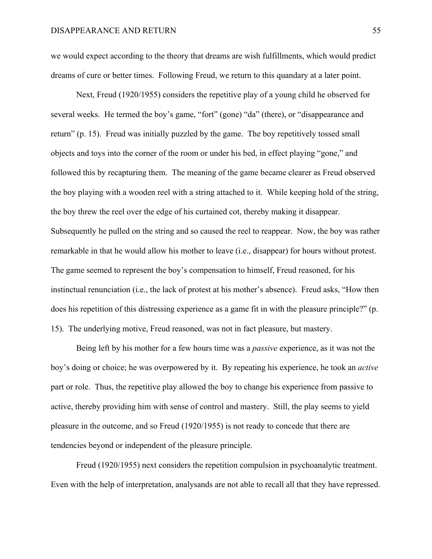we would expect according to the theory that dreams are wish fulfillments, which would predict dreams of cure or better times. Following Freud, we return to this quandary at a later point.

Next, Freud (1920/1955) considers the repetitive play of a young child he observed for several weeks. He termed the boy's game, "fort" (gone) "da" (there), or "disappearance and return" (p. 15). Freud was initially puzzled by the game. The boy repetitively tossed small objects and toys into the corner of the room or under his bed, in effect playing "gone," and followed this by recapturing them. The meaning of the game became clearer as Freud observed the boy playing with a wooden reel with a string attached to it. While keeping hold of the string, the boy threw the reel over the edge of his curtained cot, thereby making it disappear. Subsequently he pulled on the string and so caused the reel to reappear. Now, the boy was rather remarkable in that he would allow his mother to leave (i.e., disappear) for hours without protest. The game seemed to represent the boy's compensation to himself, Freud reasoned, for his instinctual renunciation (i.e., the lack of protest at his mother's absence). Freud asks, "How then does his repetition of this distressing experience as a game fit in with the pleasure principle?" (p. 15). The underlying motive, Freud reasoned, was not in fact pleasure, but mastery.

Being left by his mother for a few hours time was a *passive* experience, as it was not the boy's doing or choice; he was overpowered by it. By repeating his experience, he took an *active* part or role. Thus, the repetitive play allowed the boy to change his experience from passive to active, thereby providing him with sense of control and mastery. Still, the play seems to yield pleasure in the outcome, and so Freud (1920/1955) is not ready to concede that there are tendencies beyond or independent of the pleasure principle.

Freud (1920/1955) next considers the repetition compulsion in psychoanalytic treatment. Even with the help of interpretation, analysands are not able to recall all that they have repressed.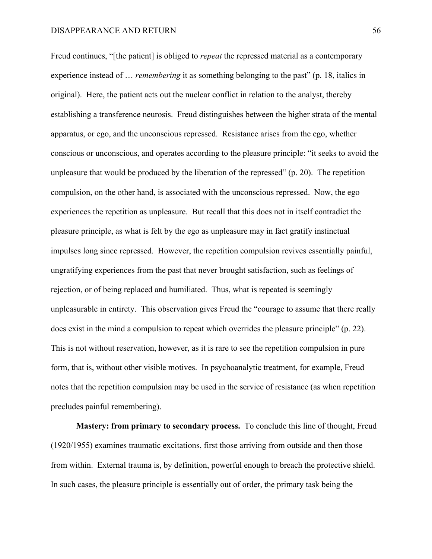Freud continues, "[the patient] is obliged to *repeat* the repressed material as a contemporary experience instead of … *remembering* it as something belonging to the past" (p. 18, italics in original). Here, the patient acts out the nuclear conflict in relation to the analyst, thereby establishing a transference neurosis. Freud distinguishes between the higher strata of the mental apparatus, or ego, and the unconscious repressed. Resistance arises from the ego, whether conscious or unconscious, and operates according to the pleasure principle: "it seeks to avoid the unpleasure that would be produced by the liberation of the repressed" (p. 20). The repetition compulsion, on the other hand, is associated with the unconscious repressed. Now, the ego experiences the repetition as unpleasure. But recall that this does not in itself contradict the pleasure principle, as what is felt by the ego as unpleasure may in fact gratify instinctual impulses long since repressed. However, the repetition compulsion revives essentially painful, ungratifying experiences from the past that never brought satisfaction, such as feelings of rejection, or of being replaced and humiliated. Thus, what is repeated is seemingly unpleasurable in entirety. This observation gives Freud the "courage to assume that there really does exist in the mind a compulsion to repeat which overrides the pleasure principle" (p. 22). This is not without reservation, however, as it is rare to see the repetition compulsion in pure form, that is, without other visible motives. In psychoanalytic treatment, for example, Freud notes that the repetition compulsion may be used in the service of resistance (as when repetition precludes painful remembering).

**Mastery: from primary to secondary process.** To conclude this line of thought, Freud (1920/1955) examines traumatic excitations, first those arriving from outside and then those from within. External trauma is, by definition, powerful enough to breach the protective shield. In such cases, the pleasure principle is essentially out of order, the primary task being the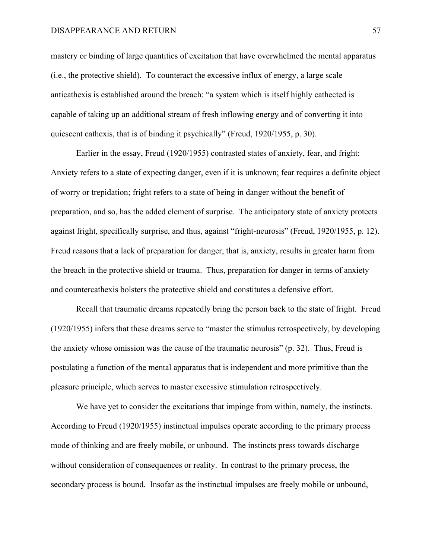mastery or binding of large quantities of excitation that have overwhelmed the mental apparatus (i.e., the protective shield). To counteract the excessive influx of energy, a large scale anticathexis is established around the breach: "a system which is itself highly cathected is capable of taking up an additional stream of fresh inflowing energy and of converting it into quiescent cathexis, that is of binding it psychically" (Freud, 1920/1955, p. 30).

Earlier in the essay, Freud (1920/1955) contrasted states of anxiety, fear, and fright: Anxiety refers to a state of expecting danger, even if it is unknown; fear requires a definite object of worry or trepidation; fright refers to a state of being in danger without the benefit of preparation, and so, has the added element of surprise. The anticipatory state of anxiety protects against fright, specifically surprise, and thus, against "fright-neurosis" (Freud, 1920/1955, p. 12). Freud reasons that a lack of preparation for danger, that is, anxiety, results in greater harm from the breach in the protective shield or trauma. Thus, preparation for danger in terms of anxiety and countercathexis bolsters the protective shield and constitutes a defensive effort.

Recall that traumatic dreams repeatedly bring the person back to the state of fright. Freud (1920/1955) infers that these dreams serve to "master the stimulus retrospectively, by developing the anxiety whose omission was the cause of the traumatic neurosis" (p. 32). Thus, Freud is postulating a function of the mental apparatus that is independent and more primitive than the pleasure principle, which serves to master excessive stimulation retrospectively.

We have yet to consider the excitations that impinge from within, namely, the instincts. According to Freud (1920/1955) instinctual impulses operate according to the primary process mode of thinking and are freely mobile, or unbound. The instincts press towards discharge without consideration of consequences or reality. In contrast to the primary process, the secondary process is bound. Insofar as the instinctual impulses are freely mobile or unbound,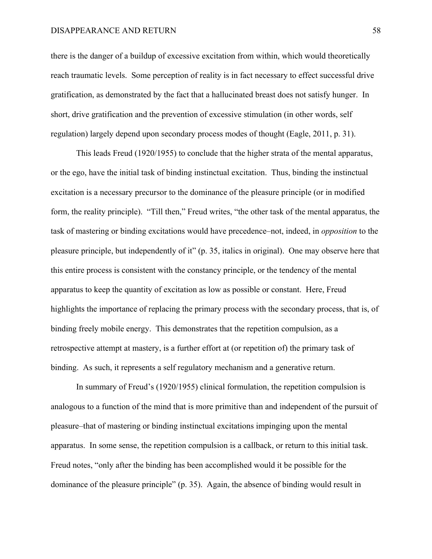there is the danger of a buildup of excessive excitation from within, which would theoretically reach traumatic levels. Some perception of reality is in fact necessary to effect successful drive gratification, as demonstrated by the fact that a hallucinated breast does not satisfy hunger. In short, drive gratification and the prevention of excessive stimulation (in other words, self regulation) largely depend upon secondary process modes of thought (Eagle, 2011, p. 31).

This leads Freud (1920/1955) to conclude that the higher strata of the mental apparatus, or the ego, have the initial task of binding instinctual excitation. Thus, binding the instinctual excitation is a necessary precursor to the dominance of the pleasure principle (or in modified form, the reality principle). "Till then," Freud writes, "the other task of the mental apparatus, the task of mastering or binding excitations would have precedence–not, indeed, in *opposition* to the pleasure principle, but independently of it" (p. 35, italics in original). One may observe here that this entire process is consistent with the constancy principle, or the tendency of the mental apparatus to keep the quantity of excitation as low as possible or constant. Here, Freud highlights the importance of replacing the primary process with the secondary process, that is, of binding freely mobile energy. This demonstrates that the repetition compulsion, as a retrospective attempt at mastery, is a further effort at (or repetition of) the primary task of binding. As such, it represents a self regulatory mechanism and a generative return.

In summary of Freud's (1920/1955) clinical formulation, the repetition compulsion is analogous to a function of the mind that is more primitive than and independent of the pursuit of pleasure–that of mastering or binding instinctual excitations impinging upon the mental apparatus. In some sense, the repetition compulsion is a callback, or return to this initial task. Freud notes, "only after the binding has been accomplished would it be possible for the dominance of the pleasure principle" (p. 35). Again, the absence of binding would result in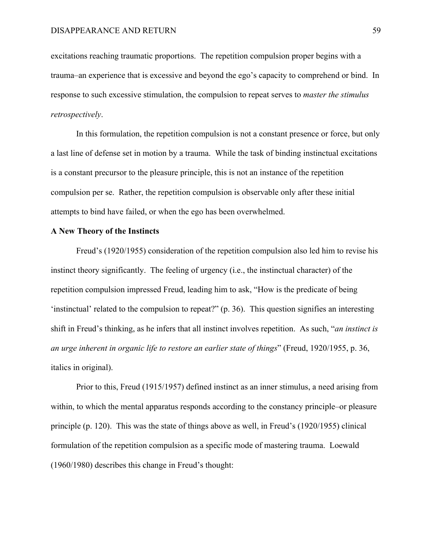excitations reaching traumatic proportions. The repetition compulsion proper begins with a trauma–an experience that is excessive and beyond the ego's capacity to comprehend or bind. In response to such excessive stimulation, the compulsion to repeat serves to *master the stimulus retrospectively*.

In this formulation, the repetition compulsion is not a constant presence or force, but only a last line of defense set in motion by a trauma. While the task of binding instinctual excitations is a constant precursor to the pleasure principle, this is not an instance of the repetition compulsion per se. Rather, the repetition compulsion is observable only after these initial attempts to bind have failed, or when the ego has been overwhelmed.

## **A New Theory of the Instincts**

Freud's (1920/1955) consideration of the repetition compulsion also led him to revise his instinct theory significantly. The feeling of urgency (i.e., the instinctual character) of the repetition compulsion impressed Freud, leading him to ask, "How is the predicate of being 'instinctual' related to the compulsion to repeat?" (p. 36). This question signifies an interesting shift in Freud's thinking, as he infers that all instinct involves repetition. As such, "*an instinct is an urge inherent in organic life to restore an earlier state of things*" (Freud, 1920/1955, p. 36, italics in original).

Prior to this, Freud (1915/1957) defined instinct as an inner stimulus, a need arising from within, to which the mental apparatus responds according to the constancy principle–or pleasure principle (p. 120). This was the state of things above as well, in Freud's (1920/1955) clinical formulation of the repetition compulsion as a specific mode of mastering trauma. Loewald (1960/1980) describes this change in Freud's thought: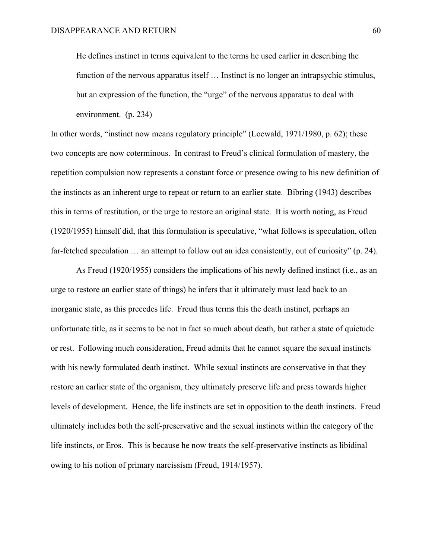He defines instinct in terms equivalent to the terms he used earlier in describing the function of the nervous apparatus itself ... Instinct is no longer an intrapsychic stimulus, but an expression of the function, the "urge" of the nervous apparatus to deal with environment. (p. 234)

In other words, "instinct now means regulatory principle" (Loewald, 1971/1980, p. 62); these two concepts are now coterminous. In contrast to Freud's clinical formulation of mastery, the repetition compulsion now represents a constant force or presence owing to his new definition of the instincts as an inherent urge to repeat or return to an earlier state. Bibring (1943) describes this in terms of restitution, or the urge to restore an original state. It is worth noting, as Freud (1920/1955) himself did, that this formulation is speculative, "what follows is speculation, often far-fetched speculation … an attempt to follow out an idea consistently, out of curiosity" (p. 24).

As Freud (1920/1955) considers the implications of his newly defined instinct (i.e., as an urge to restore an earlier state of things) he infers that it ultimately must lead back to an inorganic state, as this precedes life. Freud thus terms this the death instinct, perhaps an unfortunate title, as it seems to be not in fact so much about death, but rather a state of quietude or rest. Following much consideration, Freud admits that he cannot square the sexual instincts with his newly formulated death instinct. While sexual instincts are conservative in that they restore an earlier state of the organism, they ultimately preserve life and press towards higher levels of development. Hence, the life instincts are set in opposition to the death instincts. Freud ultimately includes both the self-preservative and the sexual instincts within the category of the life instincts, or Eros. This is because he now treats the self-preservative instincts as libidinal owing to his notion of primary narcissism (Freud, 1914/1957).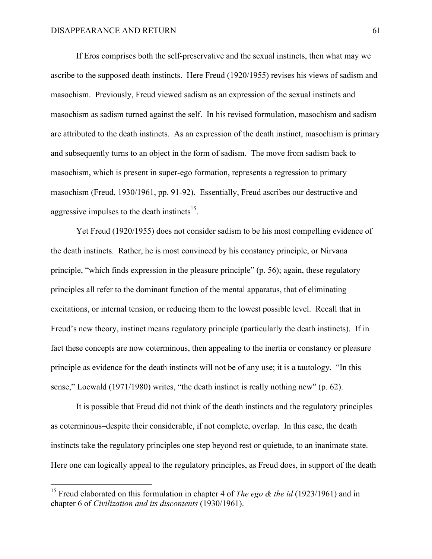If Eros comprises both the self-preservative and the sexual instincts, then what may we ascribe to the supposed death instincts. Here Freud (1920/1955) revises his views of sadism and masochism. Previously, Freud viewed sadism as an expression of the sexual instincts and masochism as sadism turned against the self. In his revised formulation, masochism and sadism are attributed to the death instincts. As an expression of the death instinct, masochism is primary and subsequently turns to an object in the form of sadism. The move from sadism back to masochism, which is present in super-ego formation, represents a regression to primary masochism (Freud, 1930/1961, pp. 91-92). Essentially, Freud ascribes our destructive and aggressive impulses to the death instincts<sup>15</sup>.

Yet Freud (1920/1955) does not consider sadism to be his most compelling evidence of the death instincts. Rather, he is most convinced by his constancy principle, or Nirvana principle, "which finds expression in the pleasure principle" (p. 56); again, these regulatory principles all refer to the dominant function of the mental apparatus, that of eliminating excitations, or internal tension, or reducing them to the lowest possible level. Recall that in Freud's new theory, instinct means regulatory principle (particularly the death instincts). If in fact these concepts are now coterminous, then appealing to the inertia or constancy or pleasure principle as evidence for the death instincts will not be of any use; it is a tautology. "In this sense," Loewald (1971/1980) writes, "the death instinct is really nothing new" (p. 62).

It is possible that Freud did not think of the death instincts and the regulatory principles as coterminous–despite their considerable, if not complete, overlap. In this case, the death instincts take the regulatory principles one step beyond rest or quietude, to an inanimate state. Here one can logically appeal to the regulatory principles, as Freud does, in support of the death

<sup>&</sup>lt;sup>15</sup> Freud elaborated on this formulation in chapter 4 of *The ego & the id* (1923/1961) and in chapter 6 of *Civilization and its discontents* (1930/1961).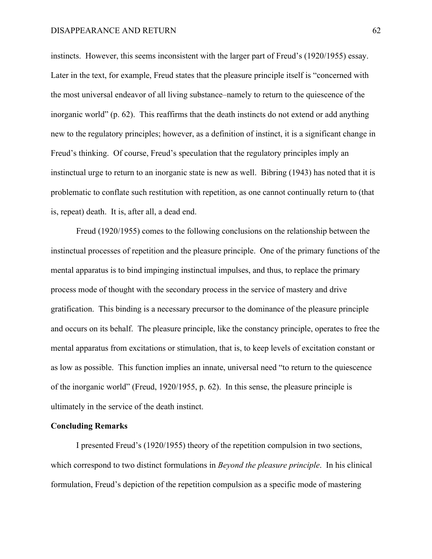instincts. However, this seems inconsistent with the larger part of Freud's (1920/1955) essay. Later in the text, for example, Freud states that the pleasure principle itself is "concerned with the most universal endeavor of all living substance–namely to return to the quiescence of the inorganic world" (p. 62). This reaffirms that the death instincts do not extend or add anything new to the regulatory principles; however, as a definition of instinct, it is a significant change in Freud's thinking. Of course, Freud's speculation that the regulatory principles imply an instinctual urge to return to an inorganic state is new as well. Bibring (1943) has noted that it is problematic to conflate such restitution with repetition, as one cannot continually return to (that is, repeat) death. It is, after all, a dead end.

Freud (1920/1955) comes to the following conclusions on the relationship between the instinctual processes of repetition and the pleasure principle. One of the primary functions of the mental apparatus is to bind impinging instinctual impulses, and thus, to replace the primary process mode of thought with the secondary process in the service of mastery and drive gratification. This binding is a necessary precursor to the dominance of the pleasure principle and occurs on its behalf. The pleasure principle, like the constancy principle, operates to free the mental apparatus from excitations or stimulation, that is, to keep levels of excitation constant or as low as possible. This function implies an innate, universal need "to return to the quiescence of the inorganic world" (Freud, 1920/1955, p. 62). In this sense, the pleasure principle is ultimately in the service of the death instinct.

# **Concluding Remarks**

I presented Freud's (1920/1955) theory of the repetition compulsion in two sections, which correspond to two distinct formulations in *Beyond the pleasure principle*. In his clinical formulation, Freud's depiction of the repetition compulsion as a specific mode of mastering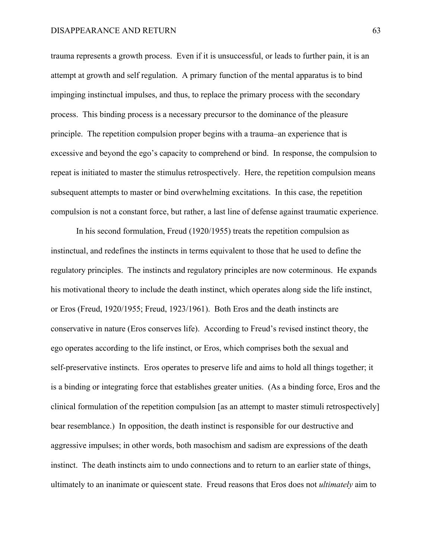trauma represents a growth process. Even if it is unsuccessful, or leads to further pain, it is an attempt at growth and self regulation. A primary function of the mental apparatus is to bind impinging instinctual impulses, and thus, to replace the primary process with the secondary process. This binding process is a necessary precursor to the dominance of the pleasure principle. The repetition compulsion proper begins with a trauma–an experience that is excessive and beyond the ego's capacity to comprehend or bind. In response, the compulsion to repeat is initiated to master the stimulus retrospectively. Here, the repetition compulsion means subsequent attempts to master or bind overwhelming excitations. In this case, the repetition compulsion is not a constant force, but rather, a last line of defense against traumatic experience.

In his second formulation, Freud (1920/1955) treats the repetition compulsion as instinctual, and redefines the instincts in terms equivalent to those that he used to define the regulatory principles. The instincts and regulatory principles are now coterminous. He expands his motivational theory to include the death instinct, which operates along side the life instinct, or Eros (Freud, 1920/1955; Freud, 1923/1961). Both Eros and the death instincts are conservative in nature (Eros conserves life). According to Freud's revised instinct theory, the ego operates according to the life instinct, or Eros, which comprises both the sexual and self-preservative instincts. Eros operates to preserve life and aims to hold all things together; it is a binding or integrating force that establishes greater unities. (As a binding force, Eros and the clinical formulation of the repetition compulsion [as an attempt to master stimuli retrospectively] bear resemblance.) In opposition, the death instinct is responsible for our destructive and aggressive impulses; in other words, both masochism and sadism are expressions of the death instinct. The death instincts aim to undo connections and to return to an earlier state of things, ultimately to an inanimate or quiescent state. Freud reasons that Eros does not *ultimately* aim to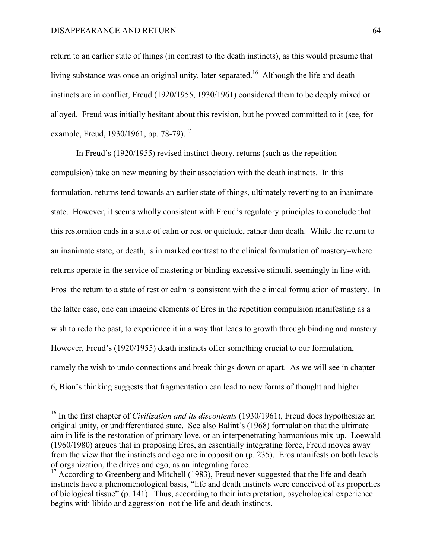return to an earlier state of things (in contrast to the death instincts), as this would presume that living substance was once an original unity, later separated.<sup>16</sup> Although the life and death instincts are in conflict, Freud (1920/1955, 1930/1961) considered them to be deeply mixed or alloyed. Freud was initially hesitant about this revision, but he proved committed to it (see, for example, Freud,  $1930/1961$ , pp. 78-79).<sup>17</sup>

In Freud's (1920/1955) revised instinct theory, returns (such as the repetition compulsion) take on new meaning by their association with the death instincts. In this formulation, returns tend towards an earlier state of things, ultimately reverting to an inanimate state. However, it seems wholly consistent with Freud's regulatory principles to conclude that this restoration ends in a state of calm or rest or quietude, rather than death. While the return to an inanimate state, or death, is in marked contrast to the clinical formulation of mastery–where returns operate in the service of mastering or binding excessive stimuli, seemingly in line with Eros–the return to a state of rest or calm is consistent with the clinical formulation of mastery. In the latter case, one can imagine elements of Eros in the repetition compulsion manifesting as a wish to redo the past, to experience it in a way that leads to growth through binding and mastery. However, Freud's (1920/1955) death instincts offer something crucial to our formulation, namely the wish to undo connections and break things down or apart. As we will see in chapter 6, Bion's thinking suggests that fragmentation can lead to new forms of thought and higher

 <sup>16</sup> In the first chapter of *Civilization and its discontents* (1930/1961), Freud does hypothesize an original unity, or undifferentiated state. See also Balint's (1968) formulation that the ultimate aim in life is the restoration of primary love, or an interpenetrating harmonious mix-up. Loewald (1960/1980) argues that in proposing Eros, an essentially integrating force, Freud moves away from the view that the instincts and ego are in opposition (p. 235). Eros manifests on both levels of organization, the drives and ego, as an integrating force.

 $17$  According to Greenberg and Mitchell (1983), Freud never suggested that the life and death instincts have a phenomenological basis, "life and death instincts were conceived of as properties of biological tissue" (p. 141). Thus, according to their interpretation, psychological experience begins with libido and aggression–not the life and death instincts.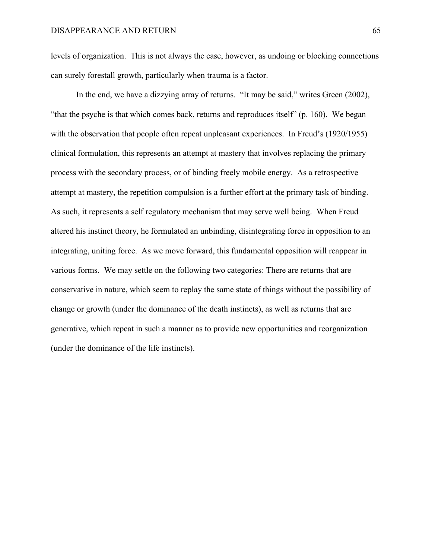levels of organization. This is not always the case, however, as undoing or blocking connections can surely forestall growth, particularly when trauma is a factor.

In the end, we have a dizzying array of returns. "It may be said," writes Green (2002), "that the psyche is that which comes back, returns and reproduces itself" (p. 160). We began with the observation that people often repeat unpleasant experiences. In Freud's (1920/1955) clinical formulation, this represents an attempt at mastery that involves replacing the primary process with the secondary process, or of binding freely mobile energy. As a retrospective attempt at mastery, the repetition compulsion is a further effort at the primary task of binding. As such, it represents a self regulatory mechanism that may serve well being. When Freud altered his instinct theory, he formulated an unbinding, disintegrating force in opposition to an integrating, uniting force. As we move forward, this fundamental opposition will reappear in various forms. We may settle on the following two categories: There are returns that are conservative in nature, which seem to replay the same state of things without the possibility of change or growth (under the dominance of the death instincts), as well as returns that are generative, which repeat in such a manner as to provide new opportunities and reorganization (under the dominance of the life instincts).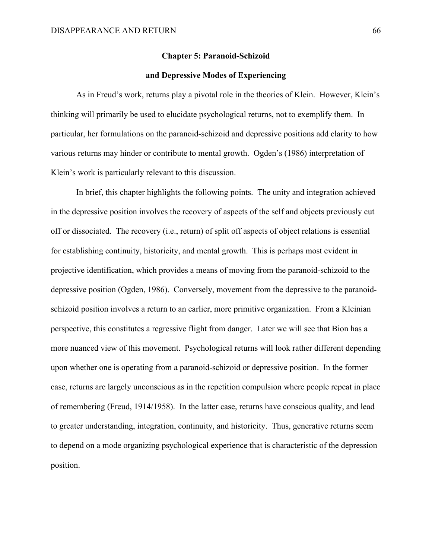#### **Chapter 5: Paranoid-Schizoid**

### **and Depressive Modes of Experiencing**

As in Freud's work, returns play a pivotal role in the theories of Klein. However, Klein's thinking will primarily be used to elucidate psychological returns, not to exemplify them. In particular, her formulations on the paranoid-schizoid and depressive positions add clarity to how various returns may hinder or contribute to mental growth. Ogden's (1986) interpretation of Klein's work is particularly relevant to this discussion.

In brief, this chapter highlights the following points. The unity and integration achieved in the depressive position involves the recovery of aspects of the self and objects previously cut off or dissociated. The recovery (i.e., return) of split off aspects of object relations is essential for establishing continuity, historicity, and mental growth. This is perhaps most evident in projective identification, which provides a means of moving from the paranoid-schizoid to the depressive position (Ogden, 1986). Conversely, movement from the depressive to the paranoidschizoid position involves a return to an earlier, more primitive organization. From a Kleinian perspective, this constitutes a regressive flight from danger. Later we will see that Bion has a more nuanced view of this movement. Psychological returns will look rather different depending upon whether one is operating from a paranoid-schizoid or depressive position. In the former case, returns are largely unconscious as in the repetition compulsion where people repeat in place of remembering (Freud, 1914/1958). In the latter case, returns have conscious quality, and lead to greater understanding, integration, continuity, and historicity. Thus, generative returns seem to depend on a mode organizing psychological experience that is characteristic of the depression position.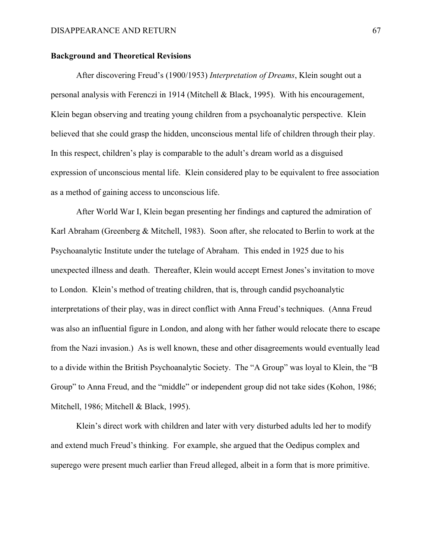## **Background and Theoretical Revisions**

After discovering Freud's (1900/1953) *Interpretation of Dreams*, Klein sought out a personal analysis with Ferenczi in 1914 (Mitchell & Black, 1995). With his encouragement, Klein began observing and treating young children from a psychoanalytic perspective. Klein believed that she could grasp the hidden, unconscious mental life of children through their play. In this respect, children's play is comparable to the adult's dream world as a disguised expression of unconscious mental life. Klein considered play to be equivalent to free association as a method of gaining access to unconscious life.

After World War I, Klein began presenting her findings and captured the admiration of Karl Abraham (Greenberg & Mitchell, 1983). Soon after, she relocated to Berlin to work at the Psychoanalytic Institute under the tutelage of Abraham. This ended in 1925 due to his unexpected illness and death. Thereafter, Klein would accept Ernest Jones's invitation to move to London. Klein's method of treating children, that is, through candid psychoanalytic interpretations of their play, was in direct conflict with Anna Freud's techniques. (Anna Freud was also an influential figure in London, and along with her father would relocate there to escape from the Nazi invasion.) As is well known, these and other disagreements would eventually lead to a divide within the British Psychoanalytic Society. The "A Group" was loyal to Klein, the "B Group" to Anna Freud, and the "middle" or independent group did not take sides (Kohon, 1986; Mitchell, 1986; Mitchell & Black, 1995).

Klein's direct work with children and later with very disturbed adults led her to modify and extend much Freud's thinking. For example, she argued that the Oedipus complex and superego were present much earlier than Freud alleged, albeit in a form that is more primitive.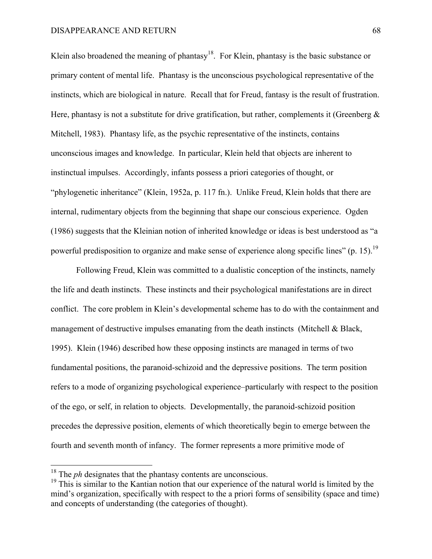Klein also broadened the meaning of phantasy<sup>18</sup>. For Klein, phantasy is the basic substance or primary content of mental life. Phantasy is the unconscious psychological representative of the instincts, which are biological in nature. Recall that for Freud, fantasy is the result of frustration. Here, phantasy is not a substitute for drive gratification, but rather, complements it (Greenberg  $\&$ Mitchell, 1983). Phantasy life, as the psychic representative of the instincts, contains unconscious images and knowledge. In particular, Klein held that objects are inherent to instinctual impulses. Accordingly, infants possess a priori categories of thought, or "phylogenetic inheritance" (Klein, 1952a, p. 117 fn.). Unlike Freud, Klein holds that there are internal, rudimentary objects from the beginning that shape our conscious experience. Ogden (1986) suggests that the Kleinian notion of inherited knowledge or ideas is best understood as "a powerful predisposition to organize and make sense of experience along specific lines" (p. 15).<sup>19</sup>

Following Freud, Klein was committed to a dualistic conception of the instincts, namely the life and death instincts. These instincts and their psychological manifestations are in direct conflict. The core problem in Klein's developmental scheme has to do with the containment and management of destructive impulses emanating from the death instincts (Mitchell & Black, 1995). Klein (1946) described how these opposing instincts are managed in terms of two fundamental positions, the paranoid-schizoid and the depressive positions. The term position refers to a mode of organizing psychological experience–particularly with respect to the position of the ego, or self, in relation to objects. Developmentally, the paranoid-schizoid position precedes the depressive position, elements of which theoretically begin to emerge between the fourth and seventh month of infancy. The former represents a more primitive mode of

<sup>&</sup>lt;sup>18</sup> The *ph* designates that the phantasy contents are unconscious.

<sup>&</sup>lt;sup>19</sup> This is similar to the Kantian notion that our experience of the natural world is limited by the mind's organization, specifically with respect to the a priori forms of sensibility (space and time) and concepts of understanding (the categories of thought).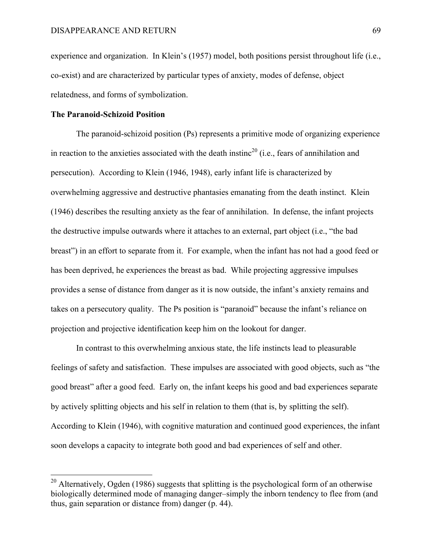experience and organization. In Klein's (1957) model, both positions persist throughout life (i.e., co-exist) and are characterized by particular types of anxiety, modes of defense, object relatedness, and forms of symbolization.

# **The Paranoid-Schizoid Position**

The paranoid-schizoid position (Ps) represents a primitive mode of organizing experience in reaction to the anxieties associated with the death instinc<sup>20</sup> (i.e., fears of annihilation and persecution). According to Klein (1946, 1948), early infant life is characterized by overwhelming aggressive and destructive phantasies emanating from the death instinct. Klein (1946) describes the resulting anxiety as the fear of annihilation. In defense, the infant projects the destructive impulse outwards where it attaches to an external, part object (i.e., "the bad breast") in an effort to separate from it. For example, when the infant has not had a good feed or has been deprived, he experiences the breast as bad. While projecting aggressive impulses provides a sense of distance from danger as it is now outside, the infant's anxiety remains and takes on a persecutory quality. The Ps position is "paranoid" because the infant's reliance on projection and projective identification keep him on the lookout for danger.

In contrast to this overwhelming anxious state, the life instincts lead to pleasurable feelings of safety and satisfaction. These impulses are associated with good objects, such as "the good breast" after a good feed. Early on, the infant keeps his good and bad experiences separate by actively splitting objects and his self in relation to them (that is, by splitting the self). According to Klein (1946), with cognitive maturation and continued good experiences, the infant soon develops a capacity to integrate both good and bad experiences of self and other.

 $20$  Alternatively, Ogden (1986) suggests that splitting is the psychological form of an otherwise biologically determined mode of managing danger–simply the inborn tendency to flee from (and thus, gain separation or distance from) danger (p. 44).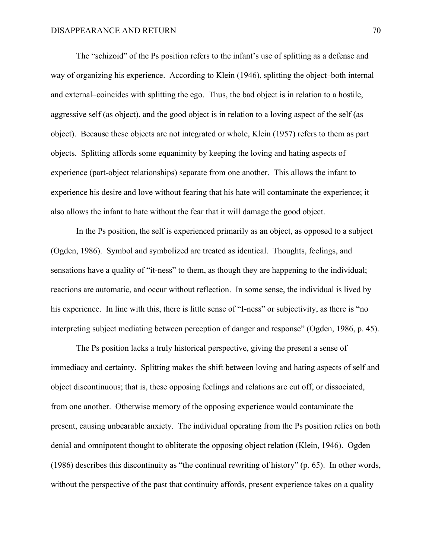The "schizoid" of the Ps position refers to the infant's use of splitting as a defense and way of organizing his experience. According to Klein (1946), splitting the object–both internal and external–coincides with splitting the ego. Thus, the bad object is in relation to a hostile, aggressive self (as object), and the good object is in relation to a loving aspect of the self (as object). Because these objects are not integrated or whole, Klein (1957) refers to them as part objects. Splitting affords some equanimity by keeping the loving and hating aspects of experience (part-object relationships) separate from one another. This allows the infant to experience his desire and love without fearing that his hate will contaminate the experience; it also allows the infant to hate without the fear that it will damage the good object.

In the Ps position, the self is experienced primarily as an object, as opposed to a subject (Ogden, 1986). Symbol and symbolized are treated as identical. Thoughts, feelings, and sensations have a quality of "it-ness" to them, as though they are happening to the individual; reactions are automatic, and occur without reflection. In some sense, the individual is lived by his experience. In line with this, there is little sense of "I-ness" or subjectivity, as there is "no interpreting subject mediating between perception of danger and response" (Ogden, 1986, p. 45).

The Ps position lacks a truly historical perspective, giving the present a sense of immediacy and certainty. Splitting makes the shift between loving and hating aspects of self and object discontinuous; that is, these opposing feelings and relations are cut off, or dissociated, from one another. Otherwise memory of the opposing experience would contaminate the present, causing unbearable anxiety. The individual operating from the Ps position relies on both denial and omnipotent thought to obliterate the opposing object relation (Klein, 1946). Ogden (1986) describes this discontinuity as "the continual rewriting of history" (p. 65). In other words, without the perspective of the past that continuity affords, present experience takes on a quality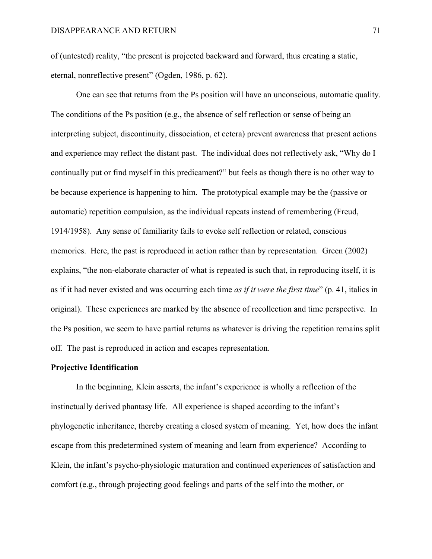of (untested) reality, "the present is projected backward and forward, thus creating a static, eternal, nonreflective present" (Ogden, 1986, p. 62).

One can see that returns from the Ps position will have an unconscious, automatic quality. The conditions of the Ps position (e.g., the absence of self reflection or sense of being an interpreting subject, discontinuity, dissociation, et cetera) prevent awareness that present actions and experience may reflect the distant past. The individual does not reflectively ask, "Why do I continually put or find myself in this predicament?" but feels as though there is no other way to be because experience is happening to him. The prototypical example may be the (passive or automatic) repetition compulsion, as the individual repeats instead of remembering (Freud, 1914/1958). Any sense of familiarity fails to evoke self reflection or related, conscious memories. Here, the past is reproduced in action rather than by representation. Green (2002) explains, "the non-elaborate character of what is repeated is such that, in reproducing itself, it is as if it had never existed and was occurring each time *as if it were the first time*" (p. 41, italics in original). These experiences are marked by the absence of recollection and time perspective. In the Ps position, we seem to have partial returns as whatever is driving the repetition remains split off. The past is reproduced in action and escapes representation.

#### **Projective Identification**

In the beginning, Klein asserts, the infant's experience is wholly a reflection of the instinctually derived phantasy life. All experience is shaped according to the infant's phylogenetic inheritance, thereby creating a closed system of meaning. Yet, how does the infant escape from this predetermined system of meaning and learn from experience? According to Klein, the infant's psycho-physiologic maturation and continued experiences of satisfaction and comfort (e.g., through projecting good feelings and parts of the self into the mother, or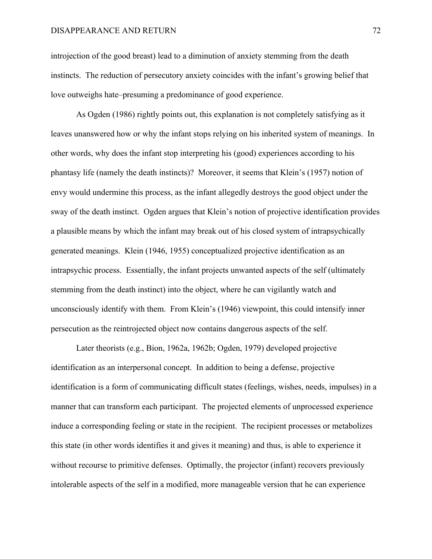introjection of the good breast) lead to a diminution of anxiety stemming from the death instincts. The reduction of persecutory anxiety coincides with the infant's growing belief that love outweighs hate–presuming a predominance of good experience.

As Ogden (1986) rightly points out, this explanation is not completely satisfying as it leaves unanswered how or why the infant stops relying on his inherited system of meanings. In other words, why does the infant stop interpreting his (good) experiences according to his phantasy life (namely the death instincts)? Moreover, it seems that Klein's (1957) notion of envy would undermine this process, as the infant allegedly destroys the good object under the sway of the death instinct. Ogden argues that Klein's notion of projective identification provides a plausible means by which the infant may break out of his closed system of intrapsychically generated meanings. Klein (1946, 1955) conceptualized projective identification as an intrapsychic process. Essentially, the infant projects unwanted aspects of the self (ultimately stemming from the death instinct) into the object, where he can vigilantly watch and unconsciously identify with them. From Klein's (1946) viewpoint, this could intensify inner persecution as the reintrojected object now contains dangerous aspects of the self.

Later theorists (e.g., Bion, 1962a, 1962b; Ogden, 1979) developed projective identification as an interpersonal concept. In addition to being a defense, projective identification is a form of communicating difficult states (feelings, wishes, needs, impulses) in a manner that can transform each participant. The projected elements of unprocessed experience induce a corresponding feeling or state in the recipient. The recipient processes or metabolizes this state (in other words identifies it and gives it meaning) and thus, is able to experience it without recourse to primitive defenses. Optimally, the projector (infant) recovers previously intolerable aspects of the self in a modified, more manageable version that he can experience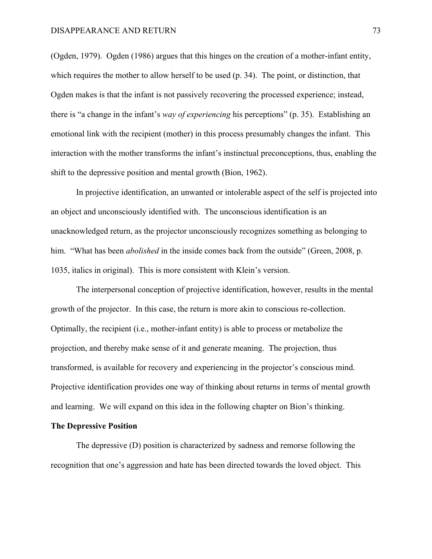(Ogden, 1979). Ogden (1986) argues that this hinges on the creation of a mother-infant entity, which requires the mother to allow herself to be used (p. 34). The point, or distinction, that Ogden makes is that the infant is not passively recovering the processed experience; instead, there is "a change in the infant's *way of experiencing* his perceptions" (p. 35). Establishing an emotional link with the recipient (mother) in this process presumably changes the infant. This interaction with the mother transforms the infant's instinctual preconceptions, thus, enabling the shift to the depressive position and mental growth (Bion, 1962).

In projective identification, an unwanted or intolerable aspect of the self is projected into an object and unconsciously identified with. The unconscious identification is an unacknowledged return, as the projector unconsciously recognizes something as belonging to him. "What has been *abolished* in the inside comes back from the outside" (Green, 2008, p. 1035, italics in original). This is more consistent with Klein's version.

The interpersonal conception of projective identification, however, results in the mental growth of the projector. In this case, the return is more akin to conscious re-collection. Optimally, the recipient (i.e., mother-infant entity) is able to process or metabolize the projection, and thereby make sense of it and generate meaning. The projection, thus transformed, is available for recovery and experiencing in the projector's conscious mind. Projective identification provides one way of thinking about returns in terms of mental growth and learning. We will expand on this idea in the following chapter on Bion's thinking.

## **The Depressive Position**

The depressive (D) position is characterized by sadness and remorse following the recognition that one's aggression and hate has been directed towards the loved object. This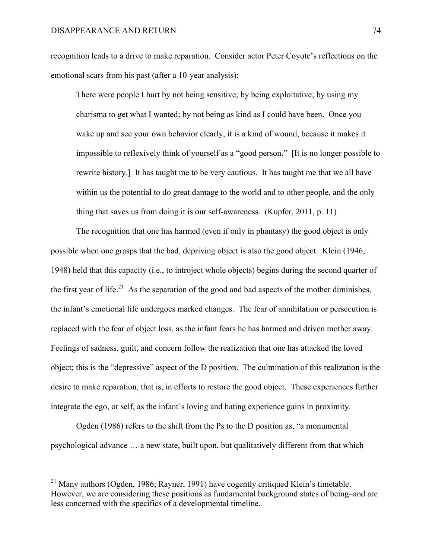recognition leads to a drive to make reparation. Consider actor Peter Coyote's reflections on the emotional scars from his past (after a 10-year analysis):

There were people I hurt by not being sensitive; by being exploitative; by using my charisma to get what I wanted; by not being as kind as I could have been. Once you wake up and see your own behavior clearly, it is a kind of wound, because it makes it impossible to reflexively think of yourself as a "good person." [It is no longer possible to rewrite history.] It has taught me to be very cautious. It has taught me that we all have within us the potential to do great damage to the world and to other people, and the only thing that saves us from doing it is our self-awareness. (Kupfer, 2011, p. 11)

The recognition that one has harmed (even if only in phantasy) the good object is only possible when one grasps that the bad, depriving object is also the good object. Klein (1946, 1948) held that this capacity (i.e., to introject whole objects) begins during the second quarter of the first year of life.<sup>21</sup> As the separation of the good and bad aspects of the mother diminishes, the infant's emotional life undergoes marked changes. The fear of annihilation or persecution is replaced with the fear of object loss, as the infant fears he has harmed and driven mother away. Feelings of sadness, guilt, and concern follow the realization that one has attacked the loved object; this is the "depressive" aspect of the D position. The culmination of this realization is the desire to make reparation, that is, in efforts to restore the good object. These experiences further integrate the ego, or self, as the infant's loving and hating experience gains in proximity.

Ogden (1986) refers to the shift from the Ps to the D position as, "a monumental psychological advance … a new state, built upon, but qualitatively different from that which

 $21$  Many authors (Ogden, 1986; Rayner, 1991) have cogently critiqued Klein's timetable. However, we are considering these positions as fundamental background states of being–and are less concerned with the specifics of a developmental timeline.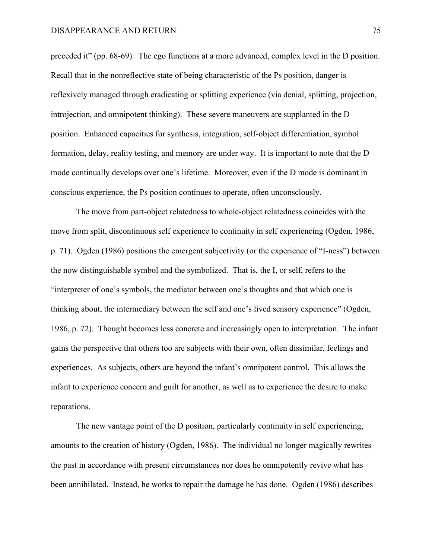preceded it" (pp. 68-69). The ego functions at a more advanced, complex level in the D position. Recall that in the nonreflective state of being characteristic of the Ps position, danger is reflexively managed through eradicating or splitting experience (via denial, splitting, projection, introjection, and omnipotent thinking). These severe maneuvers are supplanted in the D position. Enhanced capacities for synthesis, integration, self-object differentiation, symbol formation, delay, reality testing, and memory are under way. It is important to note that the D mode continually develops over one's lifetime. Moreover, even if the D mode is dominant in conscious experience, the Ps position continues to operate, often unconsciously.

The move from part-object relatedness to whole-object relatedness coincides with the move from split, discontinuous self experience to continuity in self experiencing (Ogden, 1986, p. 71). Ogden (1986) positions the emergent subjectivity (or the experience of "I-ness") between the now distinguishable symbol and the symbolized. That is, the I, or self, refers to the "interpreter of one's symbols, the mediator between one's thoughts and that which one is thinking about, the intermediary between the self and one's lived sensory experience" (Ogden, 1986, p. 72). Thought becomes less concrete and increasingly open to interpretation. The infant gains the perspective that others too are subjects with their own, often dissimilar, feelings and experiences. As subjects, others are beyond the infant's omnipotent control. This allows the infant to experience concern and guilt for another, as well as to experience the desire to make reparations.

The new vantage point of the D position, particularly continuity in self experiencing, amounts to the creation of history (Ogden, 1986). The individual no longer magically rewrites the past in accordance with present circumstances nor does he omnipotently revive what has been annihilated. Instead, he works to repair the damage he has done. Ogden (1986) describes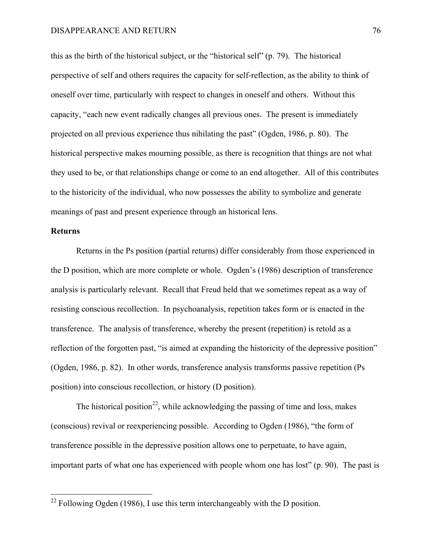this as the birth of the historical subject, or the "historical self" (p. 79). The historical perspective of self and others requires the capacity for self-reflection, as the ability to think of oneself over time, particularly with respect to changes in oneself and others. Without this capacity, "each new event radically changes all previous ones. The present is immediately projected on all previous experience thus nihilating the past" (Ogden, 1986, p. 80). The historical perspective makes mourning possible, as there is recognition that things are not what they used to be, or that relationships change or come to an end altogether. All of this contributes to the historicity of the individual, who now possesses the ability to symbolize and generate meanings of past and present experience through an historical lens.

# **Returns**

Returns in the Ps position (partial returns) differ considerably from those experienced in the D position, which are more complete or whole. Ogden's (1986) description of transference analysis is particularly relevant. Recall that Freud held that we sometimes repeat as a way of resisting conscious recollection. In psychoanalysis, repetition takes form or is enacted in the transference. The analysis of transference, whereby the present (repetition) is retold as a reflection of the forgotten past, "is aimed at expanding the historicity of the depressive position" (Ogden, 1986, p. 82). In other words, transference analysis transforms passive repetition (Ps position) into conscious recollection, or history (D position).

The historical position<sup>22</sup>, while acknowledging the passing of time and loss, makes (conscious) revival or reexperiencing possible. According to Ogden (1986), "the form of transference possible in the depressive position allows one to perpetuate, to have again, important parts of what one has experienced with people whom one has lost" (p. 90). The past is

<sup>&</sup>lt;sup>22</sup> Following Ogden (1986). I use this term interchangeably with the D position.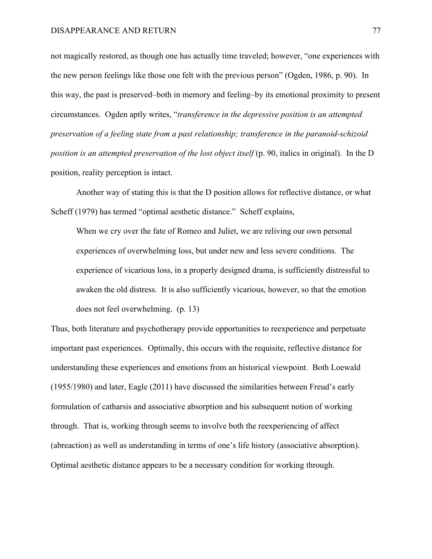not magically restored, as though one has actually time traveled; however, "one experiences with the new person feelings like those one felt with the previous person" (Ogden, 1986, p. 90). In this way, the past is preserved–both in memory and feeling–by its emotional proximity to present circumstances. Ogden aptly writes, "*transference in the depressive position is an attempted preservation of a feeling state from a past relationship; transference in the paranoid-schizoid position is an attempted preservation of the lost object itself* (p. 90, italics in original). In the D position, reality perception is intact.

Another way of stating this is that the D position allows for reflective distance, or what Scheff (1979) has termed "optimal aesthetic distance." Scheff explains,

When we cry over the fate of Romeo and Juliet, we are reliving our own personal experiences of overwhelming loss, but under new and less severe conditions. The experience of vicarious loss, in a properly designed drama, is sufficiently distressful to awaken the old distress. It is also sufficiently vicarious, however, so that the emotion does not feel overwhelming. (p. 13)

Thus, both literature and psychotherapy provide opportunities to reexperience and perpetuate important past experiences. Optimally, this occurs with the requisite, reflective distance for understanding these experiences and emotions from an historical viewpoint. Both Loewald (1955/1980) and later, Eagle (2011) have discussed the similarities between Freud's early formulation of catharsis and associative absorption and his subsequent notion of working through. That is, working through seems to involve both the reexperiencing of affect (abreaction) as well as understanding in terms of one's life history (associative absorption). Optimal aesthetic distance appears to be a necessary condition for working through.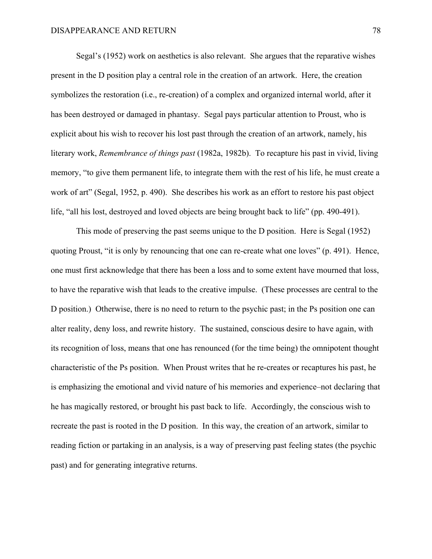Segal's (1952) work on aesthetics is also relevant. She argues that the reparative wishes present in the D position play a central role in the creation of an artwork. Here, the creation symbolizes the restoration (i.e., re-creation) of a complex and organized internal world, after it has been destroyed or damaged in phantasy. Segal pays particular attention to Proust, who is explicit about his wish to recover his lost past through the creation of an artwork, namely, his literary work, *Remembrance of things past* (1982a, 1982b). To recapture his past in vivid, living memory, "to give them permanent life, to integrate them with the rest of his life, he must create a work of art" (Segal, 1952, p. 490). She describes his work as an effort to restore his past object life, "all his lost, destroyed and loved objects are being brought back to life" (pp. 490-491).

This mode of preserving the past seems unique to the D position. Here is Segal (1952) quoting Proust, "it is only by renouncing that one can re-create what one loves" (p. 491). Hence, one must first acknowledge that there has been a loss and to some extent have mourned that loss, to have the reparative wish that leads to the creative impulse. (These processes are central to the D position.) Otherwise, there is no need to return to the psychic past; in the Ps position one can alter reality, deny loss, and rewrite history. The sustained, conscious desire to have again, with its recognition of loss, means that one has renounced (for the time being) the omnipotent thought characteristic of the Ps position. When Proust writes that he re-creates or recaptures his past, he is emphasizing the emotional and vivid nature of his memories and experience–not declaring that he has magically restored, or brought his past back to life. Accordingly, the conscious wish to recreate the past is rooted in the D position. In this way, the creation of an artwork, similar to reading fiction or partaking in an analysis, is a way of preserving past feeling states (the psychic past) and for generating integrative returns.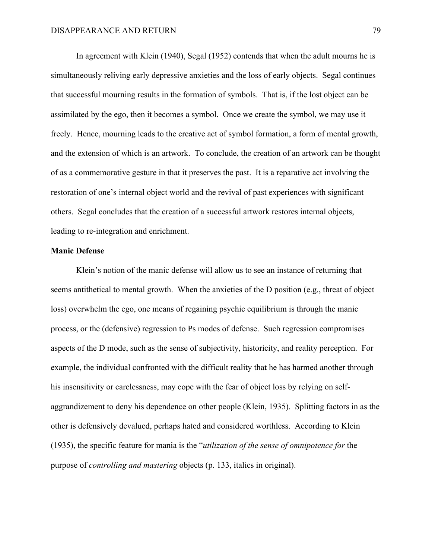In agreement with Klein (1940), Segal (1952) contends that when the adult mourns he is simultaneously reliving early depressive anxieties and the loss of early objects. Segal continues that successful mourning results in the formation of symbols. That is, if the lost object can be assimilated by the ego, then it becomes a symbol. Once we create the symbol, we may use it freely. Hence, mourning leads to the creative act of symbol formation, a form of mental growth, and the extension of which is an artwork. To conclude, the creation of an artwork can be thought of as a commemorative gesture in that it preserves the past. It is a reparative act involving the restoration of one's internal object world and the revival of past experiences with significant others. Segal concludes that the creation of a successful artwork restores internal objects, leading to re-integration and enrichment.

#### **Manic Defense**

Klein's notion of the manic defense will allow us to see an instance of returning that seems antithetical to mental growth. When the anxieties of the D position (e.g., threat of object loss) overwhelm the ego, one means of regaining psychic equilibrium is through the manic process, or the (defensive) regression to Ps modes of defense. Such regression compromises aspects of the D mode, such as the sense of subjectivity, historicity, and reality perception. For example, the individual confronted with the difficult reality that he has harmed another through his insensitivity or carelessness, may cope with the fear of object loss by relying on selfaggrandizement to deny his dependence on other people (Klein, 1935). Splitting factors in as the other is defensively devalued, perhaps hated and considered worthless. According to Klein (1935), the specific feature for mania is the "*utilization of the sense of omnipotence for* the purpose of *controlling and mastering* objects (p. 133, italics in original).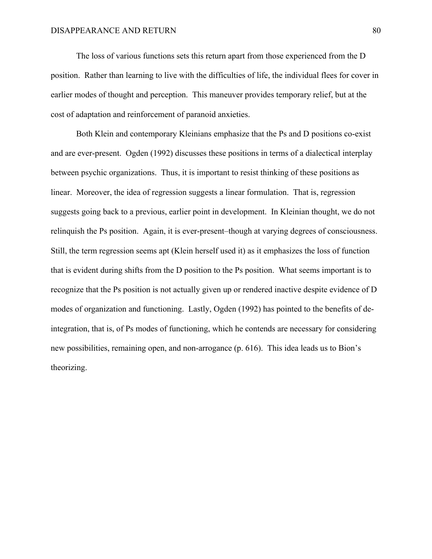The loss of various functions sets this return apart from those experienced from the D position. Rather than learning to live with the difficulties of life, the individual flees for cover in earlier modes of thought and perception. This maneuver provides temporary relief, but at the cost of adaptation and reinforcement of paranoid anxieties.

Both Klein and contemporary Kleinians emphasize that the Ps and D positions co-exist and are ever-present. Ogden (1992) discusses these positions in terms of a dialectical interplay between psychic organizations. Thus, it is important to resist thinking of these positions as linear. Moreover, the idea of regression suggests a linear formulation. That is, regression suggests going back to a previous, earlier point in development. In Kleinian thought, we do not relinquish the Ps position. Again, it is ever-present–though at varying degrees of consciousness. Still, the term regression seems apt (Klein herself used it) as it emphasizes the loss of function that is evident during shifts from the D position to the Ps position. What seems important is to recognize that the Ps position is not actually given up or rendered inactive despite evidence of D modes of organization and functioning. Lastly, Ogden (1992) has pointed to the benefits of deintegration, that is, of Ps modes of functioning, which he contends are necessary for considering new possibilities, remaining open, and non-arrogance (p. 616). This idea leads us to Bion's theorizing.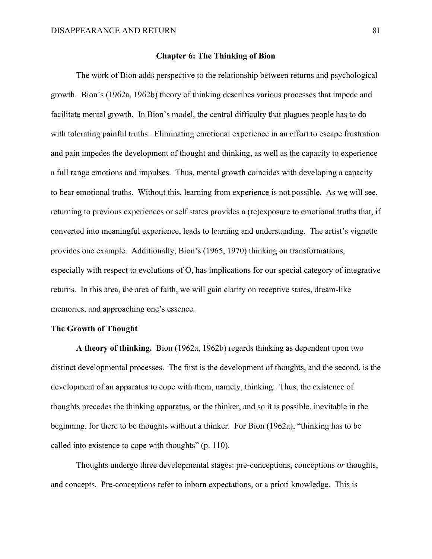#### **Chapter 6: The Thinking of Bion**

The work of Bion adds perspective to the relationship between returns and psychological growth. Bion's (1962a, 1962b) theory of thinking describes various processes that impede and facilitate mental growth. In Bion's model, the central difficulty that plagues people has to do with tolerating painful truths. Eliminating emotional experience in an effort to escape frustration and pain impedes the development of thought and thinking, as well as the capacity to experience a full range emotions and impulses. Thus, mental growth coincides with developing a capacity to bear emotional truths. Without this, learning from experience is not possible. As we will see, returning to previous experiences or self states provides a (re)exposure to emotional truths that, if converted into meaningful experience, leads to learning and understanding. The artist's vignette provides one example. Additionally, Bion's (1965, 1970) thinking on transformations, especially with respect to evolutions of O, has implications for our special category of integrative returns. In this area, the area of faith, we will gain clarity on receptive states, dream-like memories, and approaching one's essence.

## **The Growth of Thought**

**A theory of thinking.** Bion (1962a, 1962b) regards thinking as dependent upon two distinct developmental processes. The first is the development of thoughts, and the second, is the development of an apparatus to cope with them, namely, thinking. Thus, the existence of thoughts precedes the thinking apparatus, or the thinker, and so it is possible, inevitable in the beginning, for there to be thoughts without a thinker. For Bion (1962a), "thinking has to be called into existence to cope with thoughts" (p. 110).

Thoughts undergo three developmental stages: pre-conceptions, conceptions *or* thoughts, and concepts. Pre-conceptions refer to inborn expectations, or a priori knowledge. This is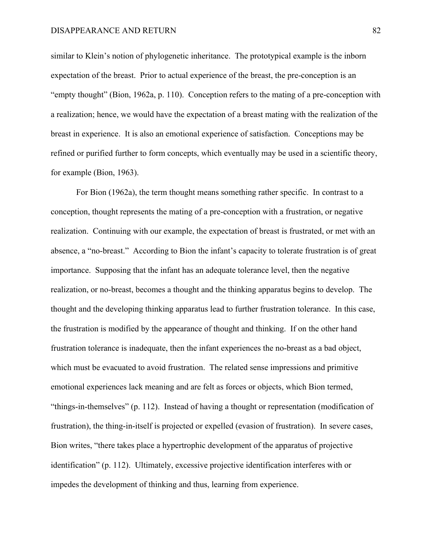similar to Klein's notion of phylogenetic inheritance. The prototypical example is the inborn expectation of the breast. Prior to actual experience of the breast, the pre-conception is an "empty thought" (Bion, 1962a, p. 110). Conception refers to the mating of a pre-conception with a realization; hence, we would have the expectation of a breast mating with the realization of the breast in experience. It is also an emotional experience of satisfaction. Conceptions may be refined or purified further to form concepts, which eventually may be used in a scientific theory, for example (Bion, 1963).

For Bion (1962a), the term thought means something rather specific. In contrast to a conception, thought represents the mating of a pre-conception with a frustration, or negative realization. Continuing with our example, the expectation of breast is frustrated, or met with an absence, a "no-breast." According to Bion the infant's capacity to tolerate frustration is of great importance. Supposing that the infant has an adequate tolerance level, then the negative realization, or no-breast, becomes a thought and the thinking apparatus begins to develop. The thought and the developing thinking apparatus lead to further frustration tolerance. In this case, the frustration is modified by the appearance of thought and thinking. If on the other hand frustration tolerance is inadequate, then the infant experiences the no-breast as a bad object, which must be evacuated to avoid frustration. The related sense impressions and primitive emotional experiences lack meaning and are felt as forces or objects, which Bion termed, "things-in-themselves" (p. 112). Instead of having a thought or representation (modification of frustration), the thing-in-itself is projected or expelled (evasion of frustration). In severe cases, Bion writes, "there takes place a hypertrophic development of the apparatus of projective identification" (p. 112). Ultimately, excessive projective identification interferes with or impedes the development of thinking and thus, learning from experience.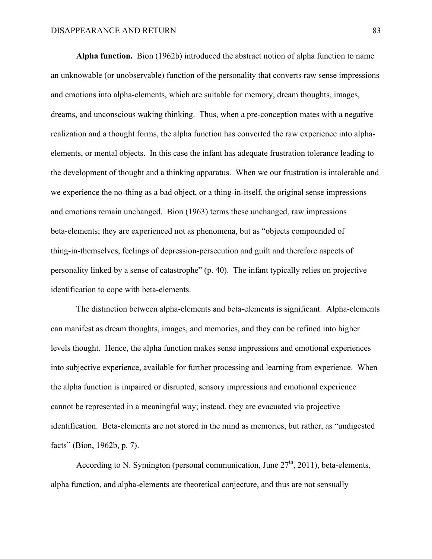**Alpha function.** Bion (1962b) introduced the abstract notion of alpha function to name an unknowable (or unobservable) function of the personality that converts raw sense impressions and emotions into alpha-elements, which are suitable for memory, dream thoughts, images, dreams, and unconscious waking thinking. Thus, when a pre-conception mates with a negative realization and a thought forms, the alpha function has converted the raw experience into alphaelements, or mental objects. In this case the infant has adequate frustration tolerance leading to the development of thought and a thinking apparatus. When we our frustration is intolerable and we experience the no-thing as a bad object, or a thing-in-itself, the original sense impressions and emotions remain unchanged. Bion (1963) terms these unchanged, raw impressions beta-elements; they are experienced not as phenomena, but as "objects compounded of thing-in-themselves, feelings of depression-persecution and guilt and therefore aspects of personality linked by a sense of catastrophe" (p. 40). The infant typically relies on projective identification to cope with beta-elements.

The distinction between alpha-elements and beta-elements is significant. Alpha-elements can manifest as dream thoughts, images, and memories, and they can be refined into higher levels thought. Hence, the alpha function makes sense impressions and emotional experiences into subjective experience, available for further processing and learning from experience. When the alpha function is impaired or disrupted, sensory impressions and emotional experience cannot be represented in a meaningful way; instead, they are evacuated via projective identification. Beta-elements are not stored in the mind as memories, but rather, as "undigested facts" (Bion, 1962b, p. 7).

According to N. Symington (personal communication, June  $27<sup>th</sup>$ , 2011), beta-elements, alpha function, and alpha-elements are theoretical conjecture, and thus are not sensually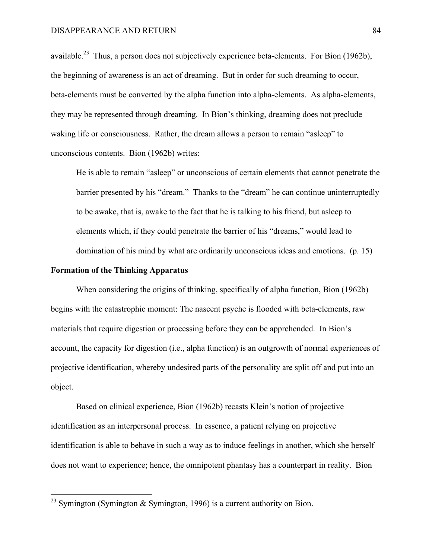available.<sup>23</sup> Thus, a person does not subjectively experience beta-elements. For Bion (1962b), the beginning of awareness is an act of dreaming. But in order for such dreaming to occur, beta-elements must be converted by the alpha function into alpha-elements. As alpha-elements, they may be represented through dreaming. In Bion's thinking, dreaming does not preclude waking life or consciousness. Rather, the dream allows a person to remain "asleep" to unconscious contents. Bion (1962b) writes:

He is able to remain "asleep" or unconscious of certain elements that cannot penetrate the barrier presented by his "dream." Thanks to the "dream" he can continue uninterruptedly to be awake, that is, awake to the fact that he is talking to his friend, but asleep to elements which, if they could penetrate the barrier of his "dreams," would lead to domination of his mind by what are ordinarily unconscious ideas and emotions. (p. 15)

## **Formation of the Thinking Apparatus**

When considering the origins of thinking, specifically of alpha function, Bion (1962b) begins with the catastrophic moment: The nascent psyche is flooded with beta-elements, raw materials that require digestion or processing before they can be apprehended. In Bion's account, the capacity for digestion (i.e., alpha function) is an outgrowth of normal experiences of projective identification, whereby undesired parts of the personality are split off and put into an object.

Based on clinical experience, Bion (1962b) recasts Klein's notion of projective identification as an interpersonal process. In essence, a patient relying on projective identification is able to behave in such a way as to induce feelings in another, which she herself does not want to experience; hence, the omnipotent phantasy has a counterpart in reality. Bion

<sup>&</sup>lt;sup>23</sup> Symington (Symington & Symington, 1996) is a current authority on Bion.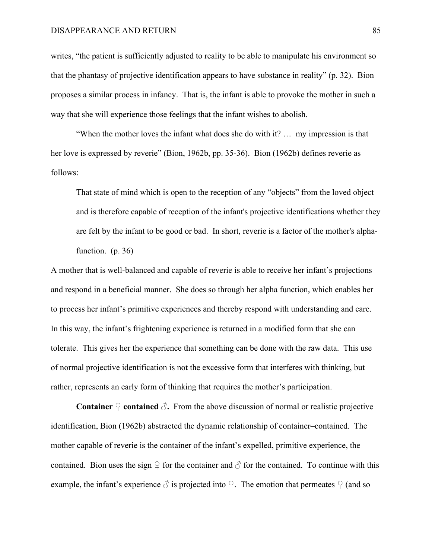writes, "the patient is sufficiently adjusted to reality to be able to manipulate his environment so that the phantasy of projective identification appears to have substance in reality" (p. 32). Bion proposes a similar process in infancy. That is, the infant is able to provoke the mother in such a way that she will experience those feelings that the infant wishes to abolish.

"When the mother loves the infant what does she do with it? … my impression is that her love is expressed by reverie" (Bion, 1962b, pp. 35-36). Bion (1962b) defines reverie as follows:

That state of mind which is open to the reception of any "objects" from the loved object and is therefore capable of reception of the infant's projective identifications whether they are felt by the infant to be good or bad. In short, reverie is a factor of the mother's alphafunction. (p. 36)

A mother that is well-balanced and capable of reverie is able to receive her infant's projections and respond in a beneficial manner. She does so through her alpha function, which enables her to process her infant's primitive experiences and thereby respond with understanding and care. In this way, the infant's frightening experience is returned in a modified form that she can tolerate. This gives her the experience that something can be done with the raw data. This use of normal projective identification is not the excessive form that interferes with thinking, but rather, represents an early form of thinking that requires the mother's participation.

**Container**  $\varphi$  contained  $\varphi$ . From the above discussion of normal or realistic projective identification, Bion (1962b) abstracted the dynamic relationship of container–contained. The mother capable of reverie is the container of the infant's expelled, primitive experience, the contained. Bion uses the sign  $\varphi$  for the container and  $\varphi$  for the contained. To continue with this example, the infant's experience  $\delta$  is projected into  $\mathcal{Q}$ . The emotion that permeates  $\mathcal{Q}$  (and so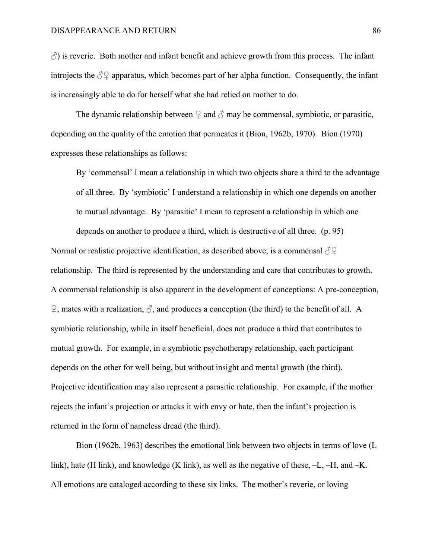$\Diamond$ ) is reverie. Both mother and infant benefit and achieve growth from this process. The infant introjects the  $\Diamond$  apparatus, which becomes part of her alpha function. Consequently, the infant is increasingly able to do for herself what she had relied on mother to do.

The dynamic relationship between  $\varphi$  and  $\varphi$  may be commensal, symbiotic, or parasitic, depending on the quality of the emotion that permeates it (Bion, 1962b, 1970). Bion (1970) expresses these relationships as follows:

By 'commensal' I mean a relationship in which two objects share a third to the advantage of all three. By 'symbiotic' I understand a relationship in which one depends on another to mutual advantage. By 'parasitic' I mean to represent a relationship in which one depends on another to produce a third, which is destructive of all three. (p. 95)

Normal or realistic projective identification, as described above, is a commensal  $\partial \mathcal{Q}$ relationship. The third is represented by the understanding and care that contributes to growth. A commensal relationship is also apparent in the development of conceptions: A pre-conception,  $\varphi$ , mates with a realization,  $\varphi$ , and produces a conception (the third) to the benefit of all. A symbiotic relationship, while in itself beneficial, does not produce a third that contributes to mutual growth. For example, in a symbiotic psychotherapy relationship, each participant depends on the other for well being, but without insight and mental growth (the third). Projective identification may also represent a parasitic relationship. For example, if the mother rejects the infant's projection or attacks it with envy or hate, then the infant's projection is returned in the form of nameless dread (the third).

Bion (1962b, 1963) describes the emotional link between two objects in terms of love (L link), hate (H link), and knowledge (K link), as well as the negative of these, –L, –H, and –K. All emotions are cataloged according to these six links. The mother's reverie, or loving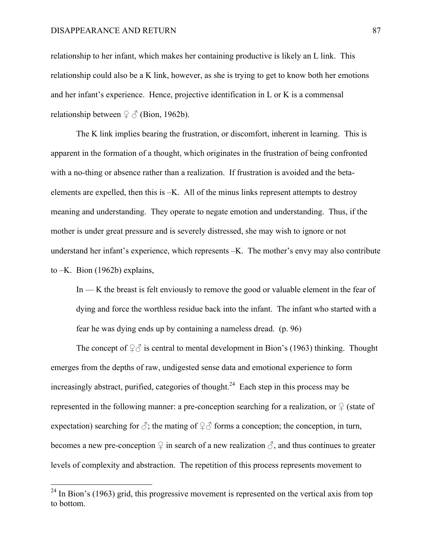relationship to her infant, which makes her containing productive is likely an L link. This relationship could also be a K link, however, as she is trying to get to know both her emotions and her infant's experience. Hence, projective identification in L or K is a commensal relationship between  $\mathcal{Q}$   $\mathcal{O}$  (Bion, 1962b).

The K link implies bearing the frustration, or discomfort, inherent in learning. This is apparent in the formation of a thought, which originates in the frustration of being confronted with a no-thing or absence rather than a realization. If frustration is avoided and the betaelements are expelled, then this is –K. All of the minus links represent attempts to destroy meaning and understanding. They operate to negate emotion and understanding. Thus, if the mother is under great pressure and is severely distressed, she may wish to ignore or not understand her infant's experience, which represents –K. The mother's envy may also contribute to –K. Bion (1962b) explains,

In — K the breast is felt enviously to remove the good or valuable element in the fear of dying and force the worthless residue back into the infant. The infant who started with a fear he was dying ends up by containing a nameless dread. (p. 96)

The concept of  $\varphi \circ \varphi$  is central to mental development in Bion's (1963) thinking. Thought emerges from the depths of raw, undigested sense data and emotional experience to form increasingly abstract, purified, categories of thought.<sup>24</sup> Each step in this process may be represented in the following manner: a pre-conception searching for a realization, or  $\varphi$  (state of expectation) searching for  $\Diamond$ ; the mating of  $\Diamond \Diamond$  forms a conception; the conception, in turn, becomes a new pre-conception  $\varphi$  in search of a new realization  $\varphi$ , and thus continues to greater levels of complexity and abstraction. The repetition of this process represents movement to

 $24$  In Bion's (1963) grid, this progressive movement is represented on the vertical axis from top to bottom.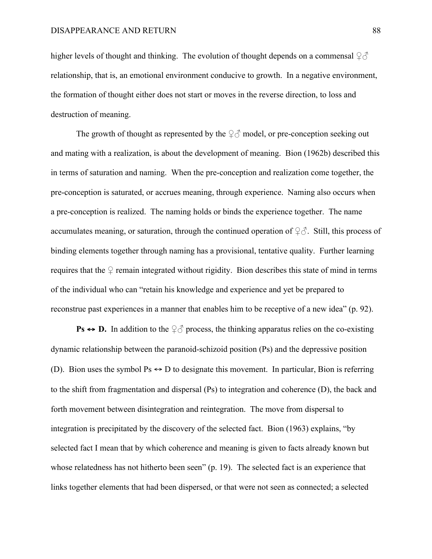higher levels of thought and thinking. The evolution of thought depends on a commensal  $\mathcal{Q} \mathcal{S}$ relationship, that is, an emotional environment conducive to growth. In a negative environment, the formation of thought either does not start or moves in the reverse direction, to loss and destruction of meaning.

The growth of thought as represented by the  $\mathcal{Q} \hat{\sigma}$  model, or pre-conception seeking out and mating with a realization, is about the development of meaning. Bion (1962b) described this in terms of saturation and naming. When the pre-conception and realization come together, the pre-conception is saturated, or accrues meaning, through experience. Naming also occurs when a pre-conception is realized. The naming holds or binds the experience together. The name accumulates meaning, or saturation, through the continued operation of  $\mathcal{Q} \mathcal{Z}$ . Still, this process of binding elements together through naming has a provisional, tentative quality. Further learning requires that the  $\varphi$  remain integrated without rigidity. Bion describes this state of mind in terms of the individual who can "retain his knowledge and experience and yet be prepared to reconstrue past experiences in a manner that enables him to be receptive of a new idea" (p. 92).

**Ps**  $\leftrightarrow$  **D.** In addition to the  $\frac{9}{6}$  process, the thinking apparatus relies on the co-existing dynamic relationship between the paranoid-schizoid position (Ps) and the depressive position (D). Bion uses the symbol  $Ps \leftrightarrow D$  to designate this movement. In particular, Bion is referring to the shift from fragmentation and dispersal (Ps) to integration and coherence (D), the back and forth movement between disintegration and reintegration. The move from dispersal to integration is precipitated by the discovery of the selected fact. Bion (1963) explains, "by selected fact I mean that by which coherence and meaning is given to facts already known but whose relatedness has not hitherto been seen" (p. 19). The selected fact is an experience that links together elements that had been dispersed, or that were not seen as connected; a selected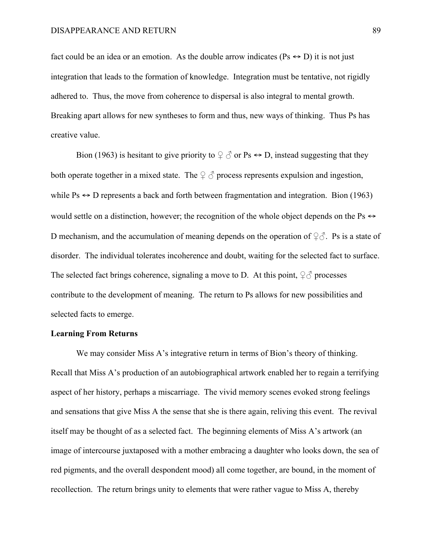fact could be an idea or an emotion. As the double arrow indicates ( $Ps \leftrightarrow D$ ) it is not just integration that leads to the formation of knowledge. Integration must be tentative, not rigidly adhered to. Thus, the move from coherence to dispersal is also integral to mental growth. Breaking apart allows for new syntheses to form and thus, new ways of thinking. Thus Ps has creative value.

Bion (1963) is hesitant to give priority to  $\frac{1}{2}$  or Ps  $\leftrightarrow$  D, instead suggesting that they both operate together in a mixed state. The  $\mathcal{Q} \uparrow$  process represents expulsion and ingestion, while  $Ps \leftrightarrow D$  represents a back and forth between fragmentation and integration. Bion (1963) would settle on a distinction, however; the recognition of the whole object depends on the Ps  $\leftrightarrow$ D mechanism, and the accumulation of meaning depends on the operation of  $\mathcal{Q} \circ \mathcal{Z}$ . Ps is a state of disorder. The individual tolerates incoherence and doubt, waiting for the selected fact to surface. The selected fact brings coherence, signaling a move to D. At this point,  $\varphi \circ \mathcal{O}$  processes contribute to the development of meaning. The return to Ps allows for new possibilities and selected facts to emerge.

## **Learning From Returns**

We may consider Miss A's integrative return in terms of Bion's theory of thinking. Recall that Miss A's production of an autobiographical artwork enabled her to regain a terrifying aspect of her history, perhaps a miscarriage. The vivid memory scenes evoked strong feelings and sensations that give Miss A the sense that she is there again, reliving this event. The revival itself may be thought of as a selected fact. The beginning elements of Miss A's artwork (an image of intercourse juxtaposed with a mother embracing a daughter who looks down, the sea of red pigments, and the overall despondent mood) all come together, are bound, in the moment of recollection. The return brings unity to elements that were rather vague to Miss A, thereby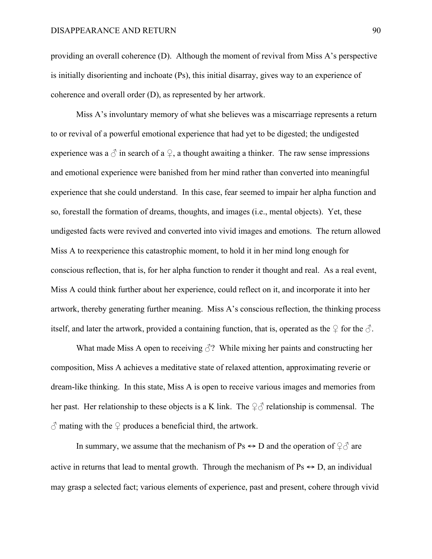providing an overall coherence (D). Although the moment of revival from Miss A's perspective is initially disorienting and inchoate (Ps), this initial disarray, gives way to an experience of coherence and overall order (D), as represented by her artwork.

Miss A's involuntary memory of what she believes was a miscarriage represents a return to or revival of a powerful emotional experience that had yet to be digested; the undigested experience was a  $\delta$  in search of a  $\delta$ , a thought awaiting a thinker. The raw sense impressions and emotional experience were banished from her mind rather than converted into meaningful experience that she could understand. In this case, fear seemed to impair her alpha function and so, forestall the formation of dreams, thoughts, and images (i.e., mental objects). Yet, these undigested facts were revived and converted into vivid images and emotions. The return allowed Miss A to reexperience this catastrophic moment, to hold it in her mind long enough for conscious reflection, that is, for her alpha function to render it thought and real. As a real event, Miss A could think further about her experience, could reflect on it, and incorporate it into her artwork, thereby generating further meaning. Miss A's conscious reflection, the thinking process itself, and later the artwork, provided a containing function, that is, operated as the  $\varphi$  for the  $\varphi$ .

What made Miss A open to receiving  $\Diamond$ ? While mixing her paints and constructing her composition, Miss A achieves a meditative state of relaxed attention, approximating reverie or dream-like thinking. In this state, Miss A is open to receive various images and memories from her past. Her relationship to these objects is a K link. The  $\mathcal{Q} \circ \mathcal{Q}$  relationship is commensal. The  $\beta$  mating with the  $\Omega$  produces a beneficial third, the artwork.

In summary, we assume that the mechanism of Ps  $\leftrightarrow$  D and the operation of  $\varphi \circ$  are active in returns that lead to mental growth. Through the mechanism of  $Ps \leftrightarrow D$ , an individual may grasp a selected fact; various elements of experience, past and present, cohere through vivid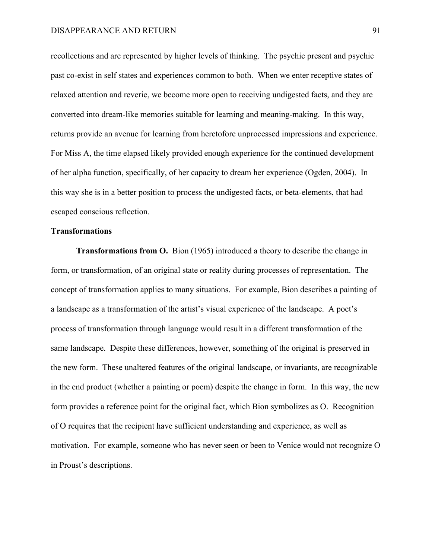recollections and are represented by higher levels of thinking. The psychic present and psychic past co-exist in self states and experiences common to both. When we enter receptive states of relaxed attention and reverie, we become more open to receiving undigested facts, and they are converted into dream-like memories suitable for learning and meaning-making. In this way, returns provide an avenue for learning from heretofore unprocessed impressions and experience. For Miss A, the time elapsed likely provided enough experience for the continued development of her alpha function, specifically, of her capacity to dream her experience (Ogden, 2004). In this way she is in a better position to process the undigested facts, or beta-elements, that had escaped conscious reflection.

## **Transformations**

**Transformations from O.** Bion (1965) introduced a theory to describe the change in form, or transformation, of an original state or reality during processes of representation. The concept of transformation applies to many situations. For example, Bion describes a painting of a landscape as a transformation of the artist's visual experience of the landscape. A poet's process of transformation through language would result in a different transformation of the same landscape. Despite these differences, however, something of the original is preserved in the new form. These unaltered features of the original landscape, or invariants, are recognizable in the end product (whether a painting or poem) despite the change in form. In this way, the new form provides a reference point for the original fact, which Bion symbolizes as O. Recognition of O requires that the recipient have sufficient understanding and experience, as well as motivation. For example, someone who has never seen or been to Venice would not recognize O in Proust's descriptions.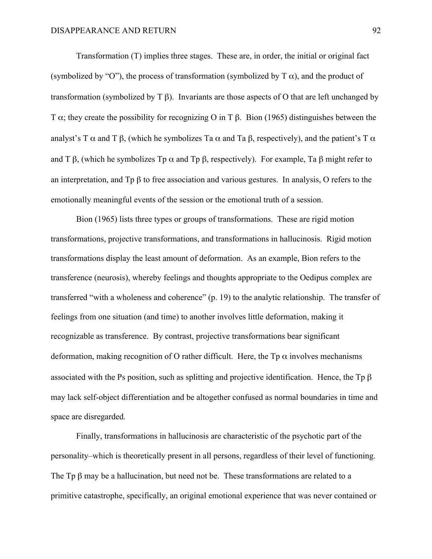Transformation (T) implies three stages. These are, in order, the initial or original fact (symbolized by "O"), the process of transformation (symbolized by  $T \alpha$ ), and the product of transformation (symbolized by T β). Invariants are those aspects of O that are left unchanged by T  $\alpha$ ; they create the possibility for recognizing O in T  $\beta$ . Bion (1965) distinguishes between the analyst's T  $\alpha$  and T  $\beta$ , (which he symbolizes Ta  $\alpha$  and Ta  $\beta$ , respectively), and the patient's T  $\alpha$ and T  $\beta$ , (which he symbolizes Tp  $\alpha$  and Tp  $\beta$ , respectively). For example, Ta  $\beta$  might refer to an interpretation, and Tp β to free association and various gestures. In analysis, O refers to the emotionally meaningful events of the session or the emotional truth of a session.

Bion (1965) lists three types or groups of transformations. These are rigid motion transformations, projective transformations, and transformations in hallucinosis. Rigid motion transformations display the least amount of deformation. As an example, Bion refers to the transference (neurosis), whereby feelings and thoughts appropriate to the Oedipus complex are transferred "with a wholeness and coherence" (p. 19) to the analytic relationship. The transfer of feelings from one situation (and time) to another involves little deformation, making it recognizable as transference. By contrast, projective transformations bear significant deformation, making recognition of O rather difficult. Here, the Tp  $\alpha$  involves mechanisms associated with the Ps position, such as splitting and projective identification. Hence, the Tp β may lack self-object differentiation and be altogether confused as normal boundaries in time and space are disregarded.

Finally, transformations in hallucinosis are characteristic of the psychotic part of the personality–which is theoretically present in all persons, regardless of their level of functioning. The Tp  $\beta$  may be a hallucination, but need not be. These transformations are related to a primitive catastrophe, specifically, an original emotional experience that was never contained or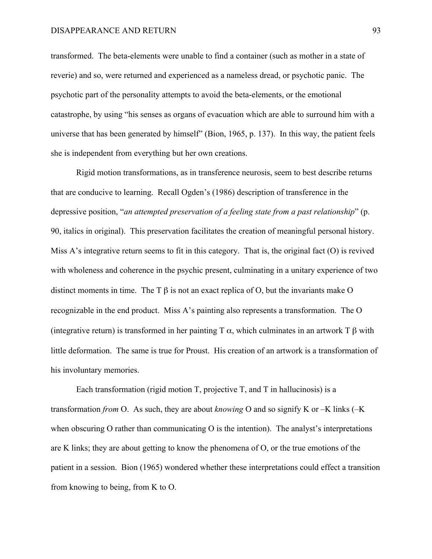transformed. The beta-elements were unable to find a container (such as mother in a state of reverie) and so, were returned and experienced as a nameless dread, or psychotic panic. The psychotic part of the personality attempts to avoid the beta-elements, or the emotional catastrophe, by using "his senses as organs of evacuation which are able to surround him with a universe that has been generated by himself" (Bion, 1965, p. 137). In this way, the patient feels she is independent from everything but her own creations.

Rigid motion transformations, as in transference neurosis, seem to best describe returns that are conducive to learning. Recall Ogden's (1986) description of transference in the depressive position, "*an attempted preservation of a feeling state from a past relationship*" (p. 90, italics in original). This preservation facilitates the creation of meaningful personal history. Miss A's integrative return seems to fit in this category. That is, the original fact (O) is revived with wholeness and coherence in the psychic present, culminating in a unitary experience of two distinct moments in time. The T  $\beta$  is not an exact replica of O, but the invariants make O recognizable in the end product. Miss A's painting also represents a transformation. The O (integrative return) is transformed in her painting T  $\alpha$ , which culminates in an artwork T  $\beta$  with little deformation. The same is true for Proust. His creation of an artwork is a transformation of his involuntary memories.

Each transformation (rigid motion  $T$ , projective  $T$ , and  $T$  in hallucinosis) is a transformation *from* O. As such, they are about *knowing* O and so signify K or –K links (–K when obscuring O rather than communicating O is the intention). The analyst's interpretations are K links; they are about getting to know the phenomena of O, or the true emotions of the patient in a session. Bion (1965) wondered whether these interpretations could effect a transition from knowing to being, from K to O.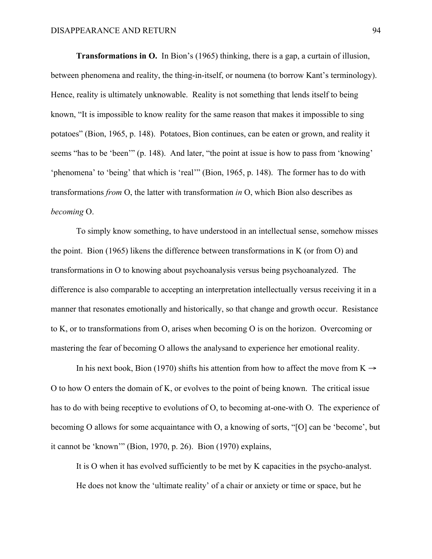**Transformations in O.** In Bion's (1965) thinking, there is a gap, a curtain of illusion, between phenomena and reality, the thing-in-itself, or noumena (to borrow Kant's terminology). Hence, reality is ultimately unknowable. Reality is not something that lends itself to being known, "It is impossible to know reality for the same reason that makes it impossible to sing potatoes" (Bion, 1965, p. 148). Potatoes, Bion continues, can be eaten or grown, and reality it seems "has to be 'been'" (p. 148). And later, "the point at issue is how to pass from 'knowing' 'phenomena' to 'being' that which is 'real'" (Bion, 1965, p. 148). The former has to do with transformations *from* O, the latter with transformation *in* O, which Bion also describes as *becoming* O.

To simply know something, to have understood in an intellectual sense, somehow misses the point. Bion (1965) likens the difference between transformations in K (or from O) and transformations in O to knowing about psychoanalysis versus being psychoanalyzed. The difference is also comparable to accepting an interpretation intellectually versus receiving it in a manner that resonates emotionally and historically, so that change and growth occur. Resistance to K, or to transformations from O, arises when becoming O is on the horizon. Overcoming or mastering the fear of becoming O allows the analysand to experience her emotional reality.

In his next book, Bion (1970) shifts his attention from how to affect the move from  $K \rightarrow$ O to how O enters the domain of K, or evolves to the point of being known. The critical issue has to do with being receptive to evolutions of O, to becoming at-one-with O. The experience of becoming O allows for some acquaintance with O, a knowing of sorts, "[O] can be 'become', but it cannot be 'known'" (Bion, 1970, p. 26). Bion (1970) explains,

It is O when it has evolved sufficiently to be met by K capacities in the psycho-analyst. He does not know the 'ultimate reality' of a chair or anxiety or time or space, but he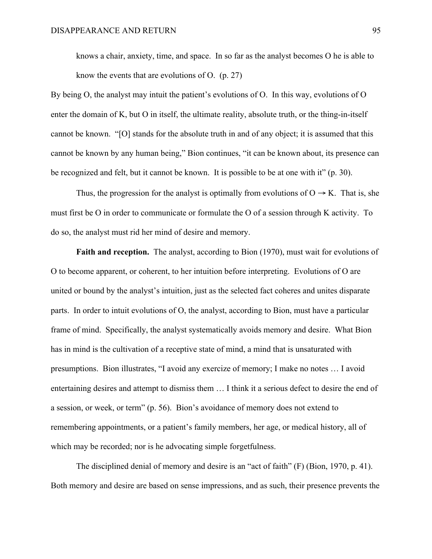knows a chair, anxiety, time, and space. In so far as the analyst becomes O he is able to know the events that are evolutions of O. (p. 27)

By being O, the analyst may intuit the patient's evolutions of O. In this way, evolutions of O enter the domain of K, but O in itself, the ultimate reality, absolute truth, or the thing-in-itself cannot be known. "[O] stands for the absolute truth in and of any object; it is assumed that this cannot be known by any human being," Bion continues, "it can be known about, its presence can be recognized and felt, but it cannot be known. It is possible to be at one with it" (p. 30).

Thus, the progression for the analyst is optimally from evolutions of  $O \rightarrow K$ . That is, she must first be O in order to communicate or formulate the O of a session through K activity. To do so, the analyst must rid her mind of desire and memory.

**Faith and reception.** The analyst, according to Bion (1970), must wait for evolutions of O to become apparent, or coherent, to her intuition before interpreting. Evolutions of O are united or bound by the analyst's intuition, just as the selected fact coheres and unites disparate parts. In order to intuit evolutions of O, the analyst, according to Bion, must have a particular frame of mind. Specifically, the analyst systematically avoids memory and desire. What Bion has in mind is the cultivation of a receptive state of mind, a mind that is unsaturated with presumptions. Bion illustrates, "I avoid any exercize of memory; I make no notes … I avoid entertaining desires and attempt to dismiss them … I think it a serious defect to desire the end of a session, or week, or term" (p. 56). Bion's avoidance of memory does not extend to remembering appointments, or a patient's family members, her age, or medical history, all of which may be recorded; nor is he advocating simple forgetfulness.

The disciplined denial of memory and desire is an "act of faith" (F) (Bion, 1970, p. 41). Both memory and desire are based on sense impressions, and as such, their presence prevents the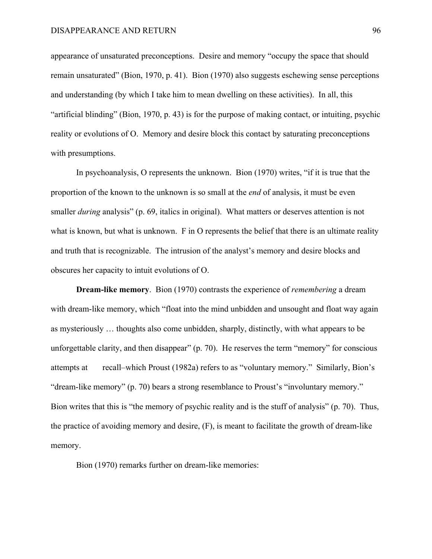appearance of unsaturated preconceptions. Desire and memory "occupy the space that should remain unsaturated" (Bion, 1970, p. 41). Bion (1970) also suggests eschewing sense perceptions and understanding (by which I take him to mean dwelling on these activities). In all, this "artificial blinding" (Bion, 1970, p. 43) is for the purpose of making contact, or intuiting, psychic reality or evolutions of O. Memory and desire block this contact by saturating preconceptions with presumptions.

In psychoanalysis, O represents the unknown. Bion (1970) writes, "if it is true that the proportion of the known to the unknown is so small at the *end* of analysis, it must be even smaller *during* analysis" (p. 69, italics in original). What matters or deserves attention is not what is known, but what is unknown. F in O represents the belief that there is an ultimate reality and truth that is recognizable. The intrusion of the analyst's memory and desire blocks and obscures her capacity to intuit evolutions of O.

**Dream-like memory**. Bion (1970) contrasts the experience of *remembering* a dream with dream-like memory, which "float into the mind unbidden and unsought and float way again as mysteriously … thoughts also come unbidden, sharply, distinctly, with what appears to be unforgettable clarity, and then disappear" (p. 70). He reserves the term "memory" for conscious attempts at recall–which Proust (1982a) refers to as "voluntary memory." Similarly, Bion's "dream-like memory" (p. 70) bears a strong resemblance to Proust's "involuntary memory." Bion writes that this is "the memory of psychic reality and is the stuff of analysis" (p. 70). Thus, the practice of avoiding memory and desire, (F), is meant to facilitate the growth of dream-like memory.

Bion (1970) remarks further on dream-like memories: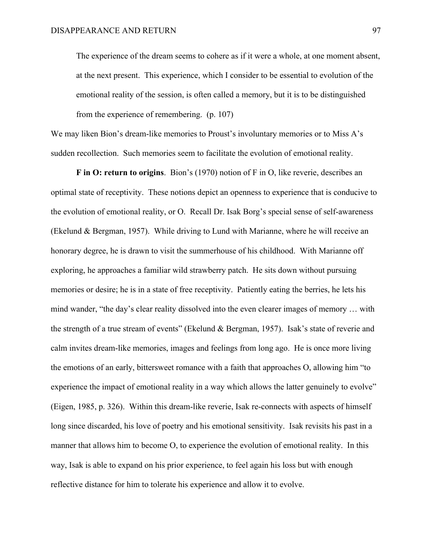The experience of the dream seems to cohere as if it were a whole, at one moment absent, at the next present. This experience, which I consider to be essential to evolution of the emotional reality of the session, is often called a memory, but it is to be distinguished from the experience of remembering. (p. 107)

We may liken Bion's dream-like memories to Proust's involuntary memories or to Miss A's sudden recollection. Such memories seem to facilitate the evolution of emotional reality.

**F in O: return to origins**. Bion's (1970) notion of F in O, like reverie, describes an optimal state of receptivity. These notions depict an openness to experience that is conducive to the evolution of emotional reality, or O. Recall Dr. Isak Borg's special sense of self-awareness (Ekelund & Bergman, 1957). While driving to Lund with Marianne, where he will receive an honorary degree, he is drawn to visit the summerhouse of his childhood. With Marianne off exploring, he approaches a familiar wild strawberry patch. He sits down without pursuing memories or desire; he is in a state of free receptivity. Patiently eating the berries, he lets his mind wander, "the day's clear reality dissolved into the even clearer images of memory … with the strength of a true stream of events" (Ekelund & Bergman, 1957). Isak's state of reverie and calm invites dream-like memories, images and feelings from long ago. He is once more living the emotions of an early, bittersweet romance with a faith that approaches O, allowing him "to experience the impact of emotional reality in a way which allows the latter genuinely to evolve" (Eigen, 1985, p. 326). Within this dream-like reverie, Isak re-connects with aspects of himself long since discarded, his love of poetry and his emotional sensitivity. Isak revisits his past in a manner that allows him to become O, to experience the evolution of emotional reality. In this way, Isak is able to expand on his prior experience, to feel again his loss but with enough reflective distance for him to tolerate his experience and allow it to evolve.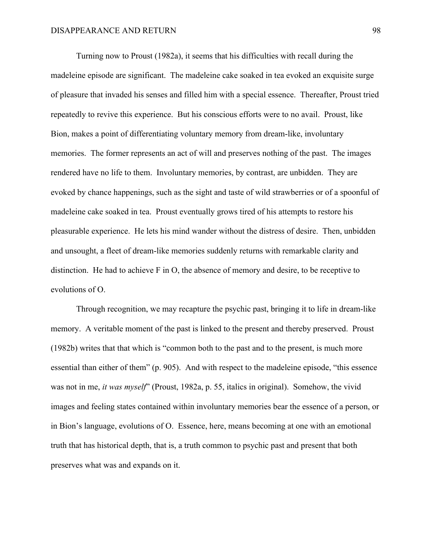Turning now to Proust (1982a), it seems that his difficulties with recall during the madeleine episode are significant. The madeleine cake soaked in tea evoked an exquisite surge of pleasure that invaded his senses and filled him with a special essence. Thereafter, Proust tried repeatedly to revive this experience. But his conscious efforts were to no avail. Proust, like Bion, makes a point of differentiating voluntary memory from dream-like, involuntary memories. The former represents an act of will and preserves nothing of the past. The images rendered have no life to them. Involuntary memories, by contrast, are unbidden. They are evoked by chance happenings, such as the sight and taste of wild strawberries or of a spoonful of madeleine cake soaked in tea. Proust eventually grows tired of his attempts to restore his pleasurable experience. He lets his mind wander without the distress of desire. Then, unbidden and unsought, a fleet of dream-like memories suddenly returns with remarkable clarity and distinction. He had to achieve F in O, the absence of memory and desire, to be receptive to evolutions of O.

Through recognition, we may recapture the psychic past, bringing it to life in dream-like memory. A veritable moment of the past is linked to the present and thereby preserved. Proust (1982b) writes that that which is "common both to the past and to the present, is much more essential than either of them" (p. 905). And with respect to the madeleine episode, "this essence was not in me, *it was myself*" (Proust, 1982a, p. 55, italics in original). Somehow, the vivid images and feeling states contained within involuntary memories bear the essence of a person, or in Bion's language, evolutions of O. Essence, here, means becoming at one with an emotional truth that has historical depth, that is, a truth common to psychic past and present that both preserves what was and expands on it.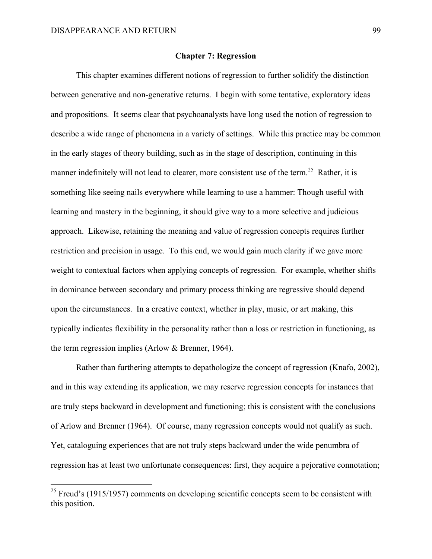## **Chapter 7: Regression**

This chapter examines different notions of regression to further solidify the distinction between generative and non-generative returns. I begin with some tentative, exploratory ideas and propositions. It seems clear that psychoanalysts have long used the notion of regression to describe a wide range of phenomena in a variety of settings. While this practice may be common in the early stages of theory building, such as in the stage of description, continuing in this manner indefinitely will not lead to clearer, more consistent use of the term.<sup>25</sup> Rather, it is something like seeing nails everywhere while learning to use a hammer: Though useful with learning and mastery in the beginning, it should give way to a more selective and judicious approach. Likewise, retaining the meaning and value of regression concepts requires further restriction and precision in usage. To this end, we would gain much clarity if we gave more weight to contextual factors when applying concepts of regression. For example, whether shifts in dominance between secondary and primary process thinking are regressive should depend upon the circumstances. In a creative context, whether in play, music, or art making, this typically indicates flexibility in the personality rather than a loss or restriction in functioning, as the term regression implies (Arlow & Brenner, 1964).

Rather than furthering attempts to depathologize the concept of regression (Knafo, 2002), and in this way extending its application, we may reserve regression concepts for instances that are truly steps backward in development and functioning; this is consistent with the conclusions of Arlow and Brenner (1964). Of course, many regression concepts would not qualify as such. Yet, cataloguing experiences that are not truly steps backward under the wide penumbra of regression has at least two unfortunate consequences: first, they acquire a pejorative connotation;

 $^{25}$  Freud's (1915/1957) comments on developing scientific concepts seem to be consistent with this position.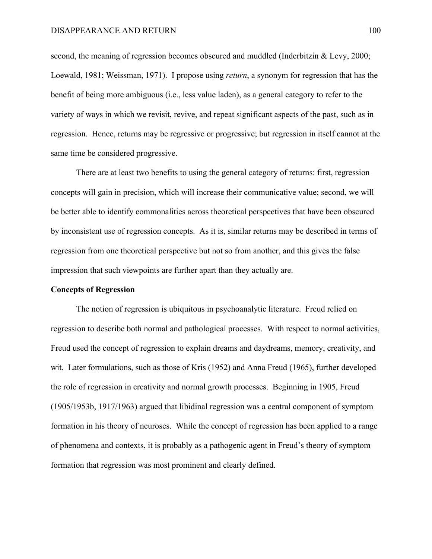second, the meaning of regression becomes obscured and muddled (Inderbitzin & Levy, 2000; Loewald, 1981; Weissman, 1971). I propose using *return*, a synonym for regression that has the benefit of being more ambiguous (i.e., less value laden), as a general category to refer to the variety of ways in which we revisit, revive, and repeat significant aspects of the past, such as in regression. Hence, returns may be regressive or progressive; but regression in itself cannot at the same time be considered progressive.

There are at least two benefits to using the general category of returns: first, regression concepts will gain in precision, which will increase their communicative value; second, we will be better able to identify commonalities across theoretical perspectives that have been obscured by inconsistent use of regression concepts. As it is, similar returns may be described in terms of regression from one theoretical perspective but not so from another, and this gives the false impression that such viewpoints are further apart than they actually are.

#### **Concepts of Regression**

The notion of regression is ubiquitous in psychoanalytic literature. Freud relied on regression to describe both normal and pathological processes. With respect to normal activities, Freud used the concept of regression to explain dreams and daydreams, memory, creativity, and wit. Later formulations, such as those of Kris (1952) and Anna Freud (1965), further developed the role of regression in creativity and normal growth processes. Beginning in 1905, Freud (1905/1953b, 1917/1963) argued that libidinal regression was a central component of symptom formation in his theory of neuroses. While the concept of regression has been applied to a range of phenomena and contexts, it is probably as a pathogenic agent in Freud's theory of symptom formation that regression was most prominent and clearly defined.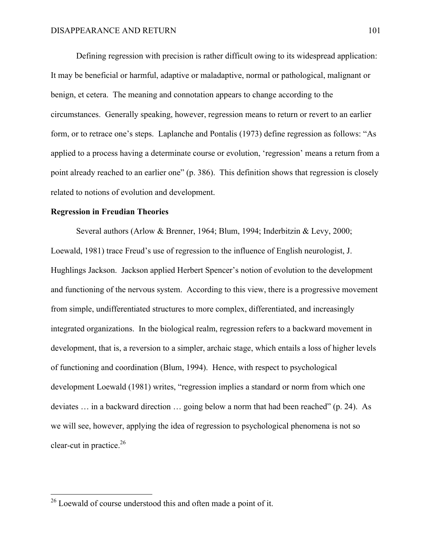Defining regression with precision is rather difficult owing to its widespread application: It may be beneficial or harmful, adaptive or maladaptive, normal or pathological, malignant or benign, et cetera. The meaning and connotation appears to change according to the circumstances. Generally speaking, however, regression means to return or revert to an earlier form, or to retrace one's steps. Laplanche and Pontalis (1973) define regression as follows: "As applied to a process having a determinate course or evolution, 'regression' means a return from a point already reached to an earlier one" (p. 386). This definition shows that regression is closely related to notions of evolution and development.

## **Regression in Freudian Theories**

Several authors (Arlow & Brenner, 1964; Blum, 1994; Inderbitzin & Levy, 2000; Loewald, 1981) trace Freud's use of regression to the influence of English neurologist, J. Hughlings Jackson. Jackson applied Herbert Spencer's notion of evolution to the development and functioning of the nervous system. According to this view, there is a progressive movement from simple, undifferentiated structures to more complex, differentiated, and increasingly integrated organizations. In the biological realm, regression refers to a backward movement in development, that is, a reversion to a simpler, archaic stage, which entails a loss of higher levels of functioning and coordination (Blum, 1994). Hence, with respect to psychological development Loewald (1981) writes, "regression implies a standard or norm from which one deviates … in a backward direction … going below a norm that had been reached" (p. 24). As we will see, however, applying the idea of regression to psychological phenomena is not so clear-cut in practice. 26

<sup>&</sup>lt;sup>26</sup> Loewald of course understood this and often made a point of it.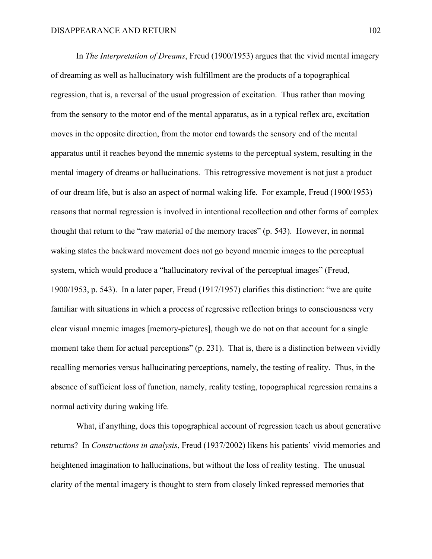In *The Interpretation of Dreams*, Freud (1900/1953) argues that the vivid mental imagery of dreaming as well as hallucinatory wish fulfillment are the products of a topographical regression, that is, a reversal of the usual progression of excitation. Thus rather than moving from the sensory to the motor end of the mental apparatus, as in a typical reflex arc, excitation moves in the opposite direction, from the motor end towards the sensory end of the mental apparatus until it reaches beyond the mnemic systems to the perceptual system, resulting in the mental imagery of dreams or hallucinations. This retrogressive movement is not just a product of our dream life, but is also an aspect of normal waking life. For example, Freud (1900/1953) reasons that normal regression is involved in intentional recollection and other forms of complex thought that return to the "raw material of the memory traces" (p. 543). However, in normal waking states the backward movement does not go beyond mnemic images to the perceptual system, which would produce a "hallucinatory revival of the perceptual images" (Freud, 1900/1953, p. 543). In a later paper, Freud (1917/1957) clarifies this distinction: "we are quite familiar with situations in which a process of regressive reflection brings to consciousness very clear visual mnemic images [memory-pictures], though we do not on that account for a single moment take them for actual perceptions" (p. 231). That is, there is a distinction between vividly recalling memories versus hallucinating perceptions, namely, the testing of reality. Thus, in the absence of sufficient loss of function, namely, reality testing, topographical regression remains a normal activity during waking life.

What, if anything, does this topographical account of regression teach us about generative returns? In *Constructions in analysis*, Freud (1937/2002) likens his patients' vivid memories and heightened imagination to hallucinations, but without the loss of reality testing. The unusual clarity of the mental imagery is thought to stem from closely linked repressed memories that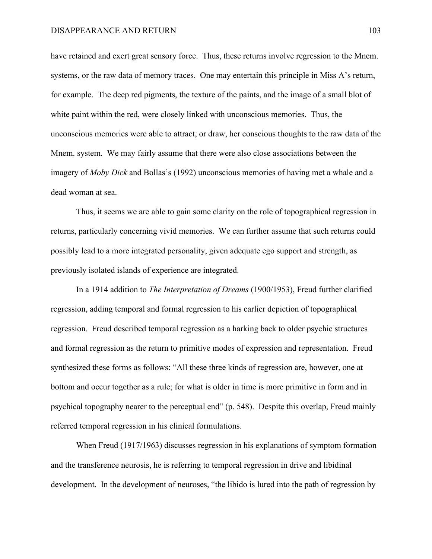have retained and exert great sensory force. Thus, these returns involve regression to the Mnem. systems, or the raw data of memory traces. One may entertain this principle in Miss A's return, for example. The deep red pigments, the texture of the paints, and the image of a small blot of white paint within the red, were closely linked with unconscious memories. Thus, the unconscious memories were able to attract, or draw, her conscious thoughts to the raw data of the Mnem. system. We may fairly assume that there were also close associations between the imagery of *Moby Dick* and Bollas's (1992) unconscious memories of having met a whale and a dead woman at sea.

Thus, it seems we are able to gain some clarity on the role of topographical regression in returns, particularly concerning vivid memories. We can further assume that such returns could possibly lead to a more integrated personality, given adequate ego support and strength, as previously isolated islands of experience are integrated.

In a 1914 addition to *The Interpretation of Dreams* (1900/1953), Freud further clarified regression, adding temporal and formal regression to his earlier depiction of topographical regression. Freud described temporal regression as a harking back to older psychic structures and formal regression as the return to primitive modes of expression and representation. Freud synthesized these forms as follows: "All these three kinds of regression are, however, one at bottom and occur together as a rule; for what is older in time is more primitive in form and in psychical topography nearer to the perceptual end" (p. 548). Despite this overlap, Freud mainly referred temporal regression in his clinical formulations.

When Freud (1917/1963) discusses regression in his explanations of symptom formation and the transference neurosis, he is referring to temporal regression in drive and libidinal development. In the development of neuroses, "the libido is lured into the path of regression by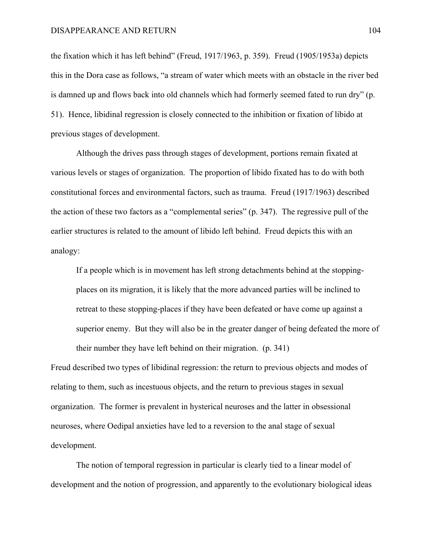the fixation which it has left behind" (Freud, 1917/1963, p. 359).Freud (1905/1953a) depicts this in the Dora case as follows, "a stream of water which meets with an obstacle in the river bed is damned up and flows back into old channels which had formerly seemed fated to run dry" (p. 51). Hence, libidinal regression is closely connected to the inhibition or fixation of libido at previous stages of development.

Although the drives pass through stages of development, portions remain fixated at various levels or stages of organization. The proportion of libido fixated has to do with both constitutional forces and environmental factors, such as trauma. Freud (1917/1963) described the action of these two factors as a "complemental series" (p. 347). The regressive pull of the earlier structures is related to the amount of libido left behind. Freud depicts this with an analogy:

If a people which is in movement has left strong detachments behind at the stoppingplaces on its migration, it is likely that the more advanced parties will be inclined to retreat to these stopping-places if they have been defeated or have come up against a superior enemy. But they will also be in the greater danger of being defeated the more of their number they have left behind on their migration. (p. 341)

Freud described two types of libidinal regression: the return to previous objects and modes of relating to them, such as incestuous objects, and the return to previous stages in sexual organization. The former is prevalent in hysterical neuroses and the latter in obsessional neuroses, where Oedipal anxieties have led to a reversion to the anal stage of sexual development.

The notion of temporal regression in particular is clearly tied to a linear model of development and the notion of progression, and apparently to the evolutionary biological ideas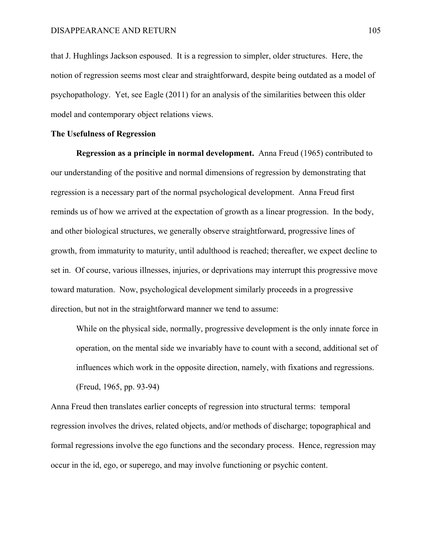that J. Hughlings Jackson espoused. It is a regression to simpler, older structures. Here, the notion of regression seems most clear and straightforward, despite being outdated as a model of psychopathology. Yet, see Eagle (2011) for an analysis of the similarities between this older model and contemporary object relations views.

# **The Usefulness of Regression**

**Regression as a principle in normal development.** Anna Freud (1965) contributed to our understanding of the positive and normal dimensions of regression by demonstrating that regression is a necessary part of the normal psychological development. Anna Freud first reminds us of how we arrived at the expectation of growth as a linear progression. In the body, and other biological structures, we generally observe straightforward, progressive lines of growth, from immaturity to maturity, until adulthood is reached; thereafter, we expect decline to set in. Of course, various illnesses, injuries, or deprivations may interrupt this progressive move toward maturation. Now, psychological development similarly proceeds in a progressive direction, but not in the straightforward manner we tend to assume:

While on the physical side, normally, progressive development is the only innate force in operation, on the mental side we invariably have to count with a second, additional set of influences which work in the opposite direction, namely, with fixations and regressions. (Freud, 1965, pp. 93-94)

Anna Freud then translates earlier concepts of regression into structural terms: temporal regression involves the drives, related objects, and/or methods of discharge; topographical and formal regressions involve the ego functions and the secondary process. Hence, regression may occur in the id, ego, or superego, and may involve functioning or psychic content.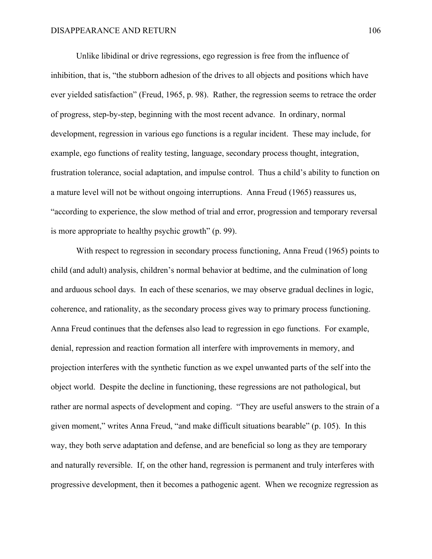Unlike libidinal or drive regressions, ego regression is free from the influence of inhibition, that is, "the stubborn adhesion of the drives to all objects and positions which have ever yielded satisfaction" (Freud, 1965, p. 98). Rather, the regression seems to retrace the order of progress, step-by-step, beginning with the most recent advance. In ordinary, normal development, regression in various ego functions is a regular incident. These may include, for example, ego functions of reality testing, language, secondary process thought, integration, frustration tolerance, social adaptation, and impulse control. Thus a child's ability to function on a mature level will not be without ongoing interruptions. Anna Freud (1965) reassures us, "according to experience, the slow method of trial and error, progression and temporary reversal is more appropriate to healthy psychic growth" (p. 99).

With respect to regression in secondary process functioning, Anna Freud (1965) points to child (and adult) analysis, children's normal behavior at bedtime, and the culmination of long and arduous school days. In each of these scenarios, we may observe gradual declines in logic, coherence, and rationality, as the secondary process gives way to primary process functioning. Anna Freud continues that the defenses also lead to regression in ego functions. For example, denial, repression and reaction formation all interfere with improvements in memory, and projection interferes with the synthetic function as we expel unwanted parts of the self into the object world. Despite the decline in functioning, these regressions are not pathological, but rather are normal aspects of development and coping. "They are useful answers to the strain of a given moment," writes Anna Freud, "and make difficult situations bearable" (p. 105). In this way, they both serve adaptation and defense, and are beneficial so long as they are temporary and naturally reversible. If, on the other hand, regression is permanent and truly interferes with progressive development, then it becomes a pathogenic agent. When we recognize regression as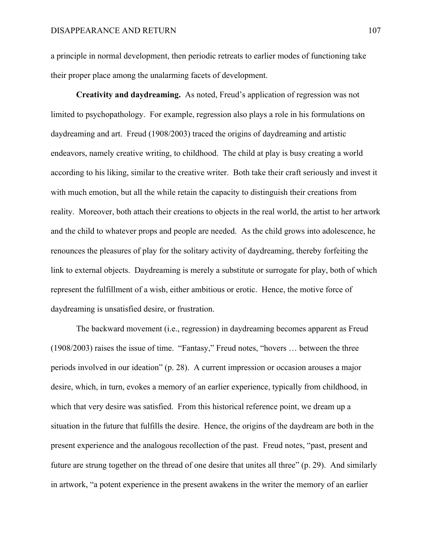a principle in normal development, then periodic retreats to earlier modes of functioning take their proper place among the unalarming facets of development.

**Creativity and daydreaming.** As noted, Freud's application of regression was not limited to psychopathology. For example, regression also plays a role in his formulations on daydreaming and art. Freud (1908/2003) traced the origins of daydreaming and artistic endeavors, namely creative writing, to childhood. The child at play is busy creating a world according to his liking, similar to the creative writer. Both take their craft seriously and invest it with much emotion, but all the while retain the capacity to distinguish their creations from reality. Moreover, both attach their creations to objects in the real world, the artist to her artwork and the child to whatever props and people are needed. As the child grows into adolescence, he renounces the pleasures of play for the solitary activity of daydreaming, thereby forfeiting the link to external objects. Daydreaming is merely a substitute or surrogate for play, both of which represent the fulfillment of a wish, either ambitious or erotic. Hence, the motive force of daydreaming is unsatisfied desire, or frustration.

The backward movement (i.e., regression) in daydreaming becomes apparent as Freud (1908/2003) raises the issue of time. "Fantasy," Freud notes, "hovers … between the three periods involved in our ideation" (p. 28). A current impression or occasion arouses a major desire, which, in turn, evokes a memory of an earlier experience, typically from childhood, in which that very desire was satisfied. From this historical reference point, we dream up a situation in the future that fulfills the desire. Hence, the origins of the daydream are both in the present experience and the analogous recollection of the past. Freud notes, "past, present and future are strung together on the thread of one desire that unites all three" (p. 29). And similarly in artwork, "a potent experience in the present awakens in the writer the memory of an earlier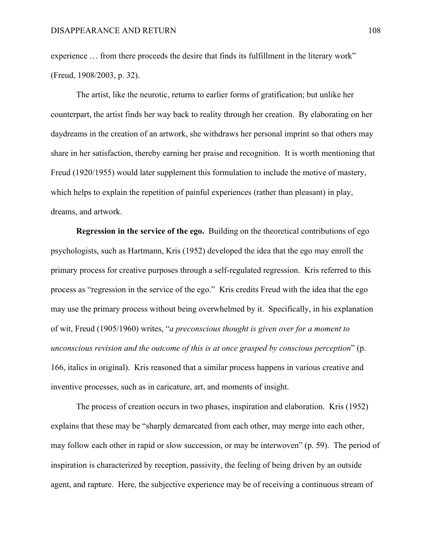experience … from there proceeds the desire that finds its fulfillment in the literary work" (Freud, 1908/2003, p. 32).

The artist, like the neurotic, returns to earlier forms of gratification; but unlike her counterpart, the artist finds her way back to reality through her creation. By elaborating on her daydreams in the creation of an artwork, she withdraws her personal imprint so that others may share in her satisfaction, thereby earning her praise and recognition. It is worth mentioning that Freud (1920/1955) would later supplement this formulation to include the motive of mastery, which helps to explain the repetition of painful experiences (rather than pleasant) in play, dreams, and artwork.

**Regression in the service of the ego.** Building on the theoretical contributions of ego psychologists, such as Hartmann, Kris (1952) developed the idea that the ego may enroll the primary process for creative purposes through a self-regulated regression. Kris referred to this process as "regression in the service of the ego." Kris credits Freud with the idea that the ego may use the primary process without being overwhelmed by it. Specifically, in his explanation of wit, Freud (1905/1960) writes, "*a preconscious thought is given over for a moment to unconscious revision and the outcome of this is at once grasped by conscious perception*" (p. 166, italics in original). Kris reasoned that a similar process happens in various creative and inventive processes, such as in caricature, art, and moments of insight.

The process of creation occurs in two phases, inspiration and elaboration.Kris (1952) explains that these may be "sharply demarcated from each other, may merge into each other, may follow each other in rapid or slow succession, or may be interwoven" (p. 59). The period of inspiration is characterized by reception, passivity, the feeling of being driven by an outside agent, and rapture. Here, the subjective experience may be of receiving a continuous stream of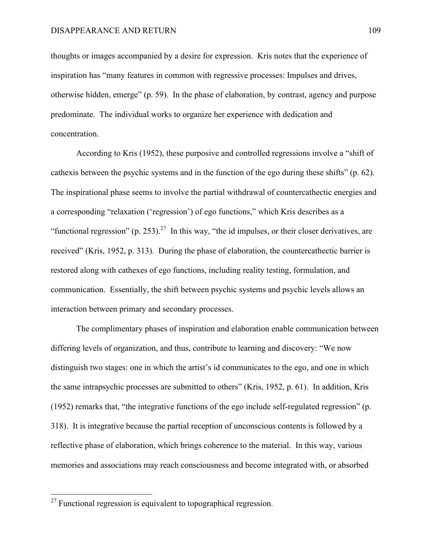thoughts or images accompanied by a desire for expression. Kris notes that the experience of inspiration has "many features in common with regressive processes: Impulses and drives, otherwise hidden, emerge" (p. 59). In the phase of elaboration, by contrast, agency and purpose predominate. The individual works to organize her experience with dedication and concentration.

According to Kris (1952), these purposive and controlled regressions involve a "shift of cathexis between the psychic systems and in the function of the ego during these shifts" (p. 62). The inspirational phase seems to involve the partial withdrawal of countercathectic energies and a corresponding "relaxation ('regression') of ego functions," which Kris describes as a "functional regression" (p. 253).<sup>27</sup> In this way, "the id impulses, or their closer derivatives, are received" (Kris, 1952, p. 313). During the phase of elaboration, the countercathectic barrier is restored along with cathexes of ego functions, including reality testing, formulation, and communication. Essentially, the shift between psychic systems and psychic levels allows an interaction between primary and secondary processes.

The complimentary phases of inspiration and elaboration enable communication between differing levels of organization, and thus, contribute to learning and discovery: "We now distinguish two stages: one in which the artist's id communicates to the ego, and one in which the same intrapsychic processes are submitted to others" (Kris, 1952, p. 61). In addition, Kris (1952) remarks that, "the integrative functions of the ego include self-regulated regression" (p. 318). It is integrative because the partial reception of unconscious contents is followed by a reflective phase of elaboration, which brings coherence to the material. In this way, various memories and associations may reach consciousness and become integrated with, or absorbed

 $27$  Functional regression is equivalent to topographical regression.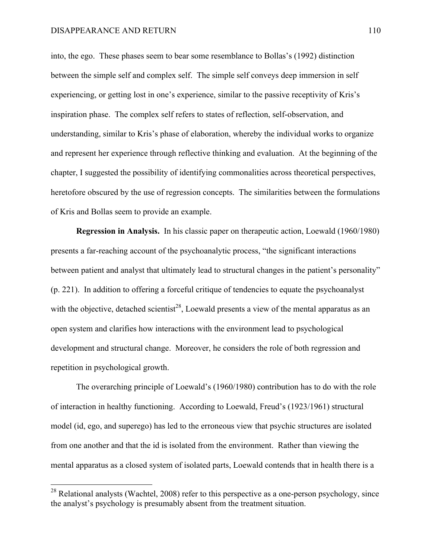# DISAPPEARANCE AND RETURN 110

into, the ego. These phases seem to bear some resemblance to Bollas's (1992) distinction between the simple self and complex self. The simple self conveys deep immersion in self experiencing, or getting lost in one's experience, similar to the passive receptivity of Kris's inspiration phase. The complex self refers to states of reflection, self-observation, and understanding, similar to Kris's phase of elaboration, whereby the individual works to organize and represent her experience through reflective thinking and evaluation. At the beginning of the chapter, I suggested the possibility of identifying commonalities across theoretical perspectives, heretofore obscured by the use of regression concepts. The similarities between the formulations of Kris and Bollas seem to provide an example.

**Regression in Analysis.** In his classic paper on therapeutic action, Loewald (1960/1980) presents a far-reaching account of the psychoanalytic process, "the significant interactions between patient and analyst that ultimately lead to structural changes in the patient's personality" (p. 221). In addition to offering a forceful critique of tendencies to equate the psychoanalyst with the objective, detached scientist<sup>28</sup>, Loewald presents a view of the mental apparatus as an open system and clarifies how interactions with the environment lead to psychological development and structural change. Moreover, he considers the role of both regression and repetition in psychological growth.

The overarching principle of Loewald's (1960/1980) contribution has to do with the role of interaction in healthy functioning. According to Loewald, Freud's (1923/1961) structural model (id, ego, and superego) has led to the erroneous view that psychic structures are isolated from one another and that the id is isolated from the environment. Rather than viewing the mental apparatus as a closed system of isolated parts, Loewald contends that in health there is a

<sup>&</sup>lt;sup>28</sup> Relational analysts (Wachtel, 2008) refer to this perspective as a one-person psychology, since the analyst's psychology is presumably absent from the treatment situation.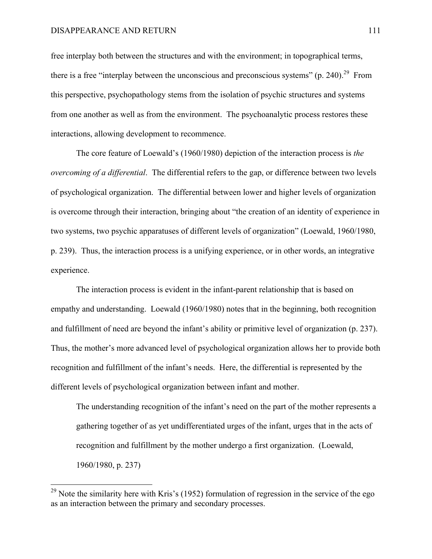# DISAPPEARANCE AND RETURN 111

free interplay both between the structures and with the environment; in topographical terms, there is a free "interplay between the unconscious and preconscious systems" (p. 240).<sup>29</sup> From this perspective, psychopathology stems from the isolation of psychic structures and systems from one another as well as from the environment. The psychoanalytic process restores these interactions, allowing development to recommence.

The core feature of Loewald's (1960/1980) depiction of the interaction process is *the overcoming of a differential*. The differential refers to the gap, or difference between two levels of psychological organization. The differential between lower and higher levels of organization is overcome through their interaction, bringing about "the creation of an identity of experience in two systems, two psychic apparatuses of different levels of organization" (Loewald, 1960/1980, p. 239). Thus, the interaction process is a unifying experience, or in other words, an integrative experience.

The interaction process is evident in the infant-parent relationship that is based on empathy and understanding. Loewald (1960/1980) notes that in the beginning, both recognition and fulfillment of need are beyond the infant's ability or primitive level of organization (p. 237). Thus, the mother's more advanced level of psychological organization allows her to provide both recognition and fulfillment of the infant's needs. Here, the differential is represented by the different levels of psychological organization between infant and mother.

The understanding recognition of the infant's need on the part of the mother represents a gathering together of as yet undifferentiated urges of the infant, urges that in the acts of recognition and fulfillment by the mother undergo a first organization. (Loewald, 1960/1980, p. 237)

<sup>&</sup>lt;sup>29</sup> Note the similarity here with Kris's (1952) formulation of regression in the service of the ego as an interaction between the primary and secondary processes.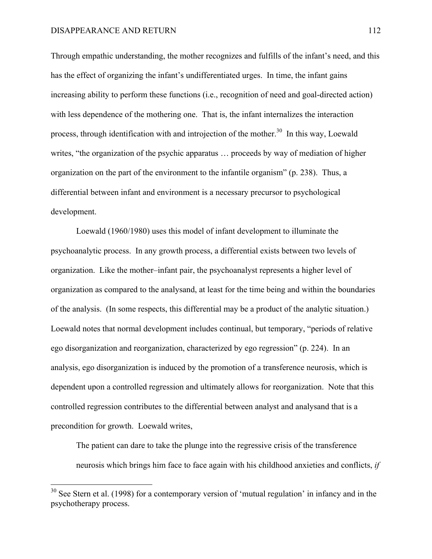Through empathic understanding, the mother recognizes and fulfills of the infant's need, and this has the effect of organizing the infant's undifferentiated urges. In time, the infant gains increasing ability to perform these functions (i.e., recognition of need and goal-directed action) with less dependence of the mothering one. That is, the infant internalizes the interaction process, through identification with and introjection of the mother.<sup>30</sup> In this way, Loewald writes, "the organization of the psychic apparatus … proceeds by way of mediation of higher organization on the part of the environment to the infantile organism" (p. 238). Thus, a differential between infant and environment is a necessary precursor to psychological development.

Loewald (1960/1980) uses this model of infant development to illuminate the psychoanalytic process. In any growth process, a differential exists between two levels of organization. Like the mother–infant pair, the psychoanalyst represents a higher level of organization as compared to the analysand, at least for the time being and within the boundaries of the analysis. (In some respects, this differential may be a product of the analytic situation.) Loewald notes that normal development includes continual, but temporary, "periods of relative ego disorganization and reorganization, characterized by ego regression" (p. 224). In an analysis, ego disorganization is induced by the promotion of a transference neurosis, which is dependent upon a controlled regression and ultimately allows for reorganization. Note that this controlled regression contributes to the differential between analyst and analysand that is a precondition for growth. Loewald writes,

The patient can dare to take the plunge into the regressive crisis of the transference neurosis which brings him face to face again with his childhood anxieties and conflicts, *if*

 $30$  See Stern et al. (1998) for a contemporary version of 'mutual regulation' in infancy and in the psychotherapy process.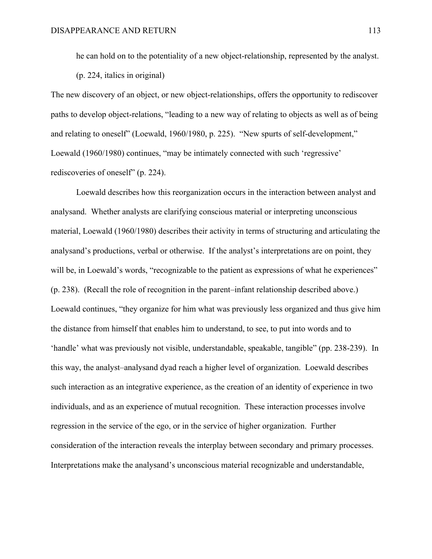he can hold on to the potentiality of a new object-relationship, represented by the analyst. (p. 224, italics in original)

The new discovery of an object, or new object-relationships, offers the opportunity to rediscover paths to develop object-relations, "leading to a new way of relating to objects as well as of being and relating to oneself" (Loewald, 1960/1980, p. 225). "New spurts of self-development," Loewald (1960/1980) continues, "may be intimately connected with such 'regressive' rediscoveries of oneself" (p. 224).

Loewald describes how this reorganization occurs in the interaction between analyst and analysand. Whether analysts are clarifying conscious material or interpreting unconscious material, Loewald (1960/1980) describes their activity in terms of structuring and articulating the analysand's productions, verbal or otherwise. If the analyst's interpretations are on point, they will be, in Loewald's words, "recognizable to the patient as expressions of what he experiences" (p. 238). (Recall the role of recognition in the parent–infant relationship described above.) Loewald continues, "they organize for him what was previously less organized and thus give him the distance from himself that enables him to understand, to see, to put into words and to 'handle' what was previously not visible, understandable, speakable, tangible" (pp. 238-239). In this way, the analyst–analysand dyad reach a higher level of organization. Loewald describes such interaction as an integrative experience, as the creation of an identity of experience in two individuals, and as an experience of mutual recognition. These interaction processes involve regression in the service of the ego, or in the service of higher organization. Further consideration of the interaction reveals the interplay between secondary and primary processes. Interpretations make the analysand's unconscious material recognizable and understandable,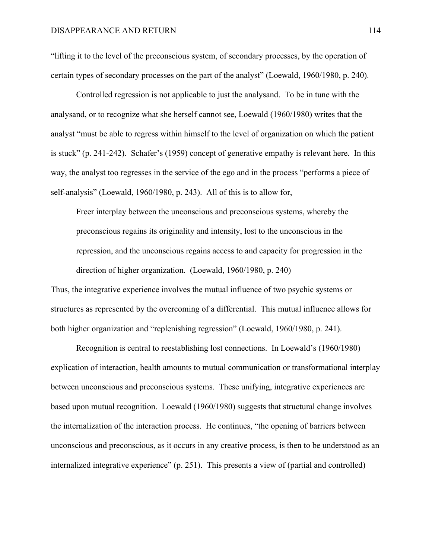"lifting it to the level of the preconscious system, of secondary processes, by the operation of certain types of secondary processes on the part of the analyst" (Loewald, 1960/1980, p. 240).

Controlled regression is not applicable to just the analysand. To be in tune with the analysand, or to recognize what she herself cannot see, Loewald (1960/1980) writes that the analyst "must be able to regress within himself to the level of organization on which the patient is stuck" (p. 241-242). Schafer's (1959) concept of generative empathy is relevant here. In this way, the analyst too regresses in the service of the ego and in the process "performs a piece of self-analysis" (Loewald, 1960/1980, p. 243). All of this is to allow for,

Freer interplay between the unconscious and preconscious systems, whereby the preconscious regains its originality and intensity, lost to the unconscious in the repression, and the unconscious regains access to and capacity for progression in the direction of higher organization. (Loewald, 1960/1980, p. 240)

Thus, the integrative experience involves the mutual influence of two psychic systems or structures as represented by the overcoming of a differential. This mutual influence allows for both higher organization and "replenishing regression" (Loewald, 1960/1980, p. 241).

Recognition is central to reestablishing lost connections. In Loewald's (1960/1980) explication of interaction, health amounts to mutual communication or transformational interplay between unconscious and preconscious systems. These unifying, integrative experiences are based upon mutual recognition. Loewald (1960/1980) suggests that structural change involves the internalization of the interaction process. He continues, "the opening of barriers between unconscious and preconscious, as it occurs in any creative process, is then to be understood as an internalized integrative experience" (p. 251). This presents a view of (partial and controlled)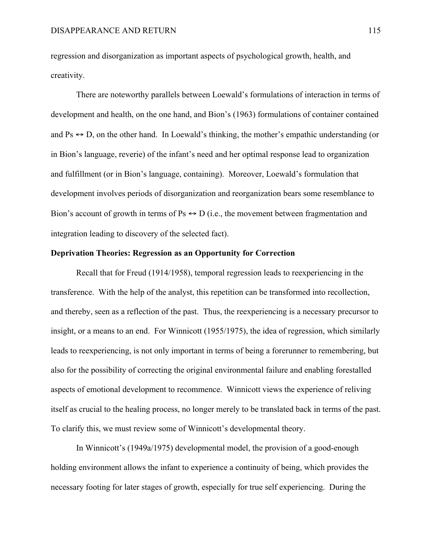regression and disorganization as important aspects of psychological growth, health, and creativity.

There are noteworthy parallels between Loewald's formulations of interaction in terms of development and health, on the one hand, and Bion's (1963) formulations of container contained and  $Ps \leftrightarrow D$ , on the other hand. In Loewald's thinking, the mother's empathic understanding (or in Bion's language, reverie) of the infant's need and her optimal response lead to organization and fulfillment (or in Bion's language, containing). Moreover, Loewald's formulation that development involves periods of disorganization and reorganization bears some resemblance to Bion's account of growth in terms of  $Ps \leftrightarrow D$  (i.e., the movement between fragmentation and integration leading to discovery of the selected fact).

# **Deprivation Theories: Regression as an Opportunity for Correction**

Recall that for Freud (1914/1958), temporal regression leads to reexperiencing in the transference. With the help of the analyst, this repetition can be transformed into recollection, and thereby, seen as a reflection of the past. Thus, the reexperiencing is a necessary precursor to insight, or a means to an end. For Winnicott (1955/1975), the idea of regression, which similarly leads to reexperiencing, is not only important in terms of being a forerunner to remembering, but also for the possibility of correcting the original environmental failure and enabling forestalled aspects of emotional development to recommence. Winnicott views the experience of reliving itself as crucial to the healing process, no longer merely to be translated back in terms of the past. To clarify this, we must review some of Winnicott's developmental theory.

In Winnicott's (1949a/1975) developmental model, the provision of a good-enough holding environment allows the infant to experience a continuity of being, which provides the necessary footing for later stages of growth, especially for true self experiencing. During the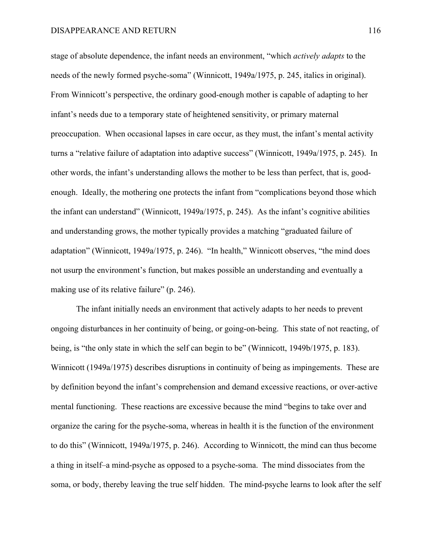# DISAPPEARANCE AND RETURN 116

stage of absolute dependence, the infant needs an environment, "which *actively adapts* to the needs of the newly formed psyche-soma" (Winnicott, 1949a/1975, p. 245, italics in original). From Winnicott's perspective, the ordinary good-enough mother is capable of adapting to her infant's needs due to a temporary state of heightened sensitivity, or primary maternal preoccupation. When occasional lapses in care occur, as they must, the infant's mental activity turns a "relative failure of adaptation into adaptive success" (Winnicott, 1949a/1975, p. 245). In other words, the infant's understanding allows the mother to be less than perfect, that is, goodenough. Ideally, the mothering one protects the infant from "complications beyond those which the infant can understand" (Winnicott, 1949a/1975, p. 245). As the infant's cognitive abilities and understanding grows, the mother typically provides a matching "graduated failure of adaptation" (Winnicott, 1949a/1975, p. 246). "In health," Winnicott observes, "the mind does not usurp the environment's function, but makes possible an understanding and eventually a making use of its relative failure" (p. 246).

The infant initially needs an environment that actively adapts to her needs to prevent ongoing disturbances in her continuity of being, or going-on-being. This state of not reacting, of being, is "the only state in which the self can begin to be" (Winnicott, 1949b/1975, p. 183). Winnicott (1949a/1975) describes disruptions in continuity of being as impingements. These are by definition beyond the infant's comprehension and demand excessive reactions, or over-active mental functioning. These reactions are excessive because the mind "begins to take over and organize the caring for the psyche-soma, whereas in health it is the function of the environment to do this" (Winnicott, 1949a/1975, p. 246). According to Winnicott, the mind can thus become a thing in itself–a mind-psyche as opposed to a psyche-soma. The mind dissociates from the soma, or body, thereby leaving the true self hidden. The mind-psyche learns to look after the self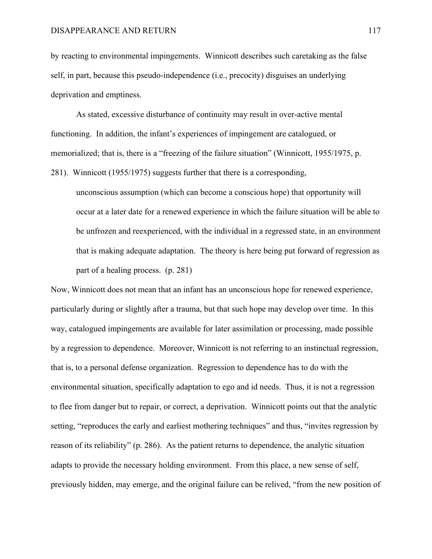by reacting to environmental impingements. Winnicott describes such caretaking as the false self, in part, because this pseudo-independence (i.e., precocity) disguises an underlying deprivation and emptiness.

As stated, excessive disturbance of continuity may result in over-active mental functioning. In addition, the infant's experiences of impingement are catalogued, or memorialized; that is, there is a "freezing of the failure situation" (Winnicott, 1955/1975, p.

281). Winnicott (1955/1975) suggests further that there is a corresponding,

unconscious assumption (which can become a conscious hope) that opportunity will occur at a later date for a renewed experience in which the failure situation will be able to be unfrozen and reexperienced, with the individual in a regressed state, in an environment that is making adequate adaptation. The theory is here being put forward of regression as part of a healing process. (p. 281)

Now, Winnicott does not mean that an infant has an unconscious hope for renewed experience, particularly during or slightly after a trauma, but that such hope may develop over time. In this way, catalogued impingements are available for later assimilation or processing, made possible by a regression to dependence. Moreover, Winnicott is not referring to an instinctual regression, that is, to a personal defense organization. Regression to dependence has to do with the environmental situation, specifically adaptation to ego and id needs. Thus, it is not a regression to flee from danger but to repair, or correct, a deprivation. Winnicott points out that the analytic setting, "reproduces the early and earliest mothering techniques" and thus, "invites regression by reason of its reliability" (p. 286). As the patient returns to dependence, the analytic situation adapts to provide the necessary holding environment. From this place, a new sense of self, previously hidden, may emerge, and the original failure can be relived, "from the new position of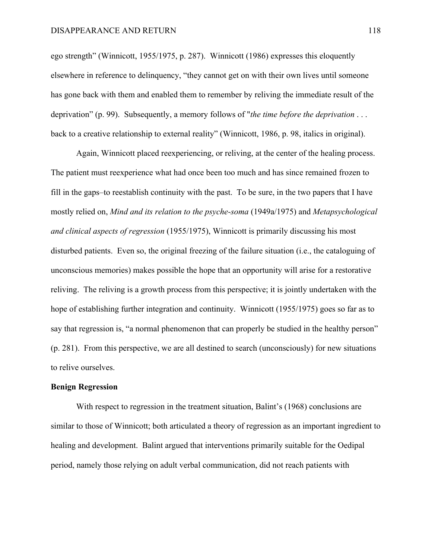ego strength" (Winnicott, 1955/1975, p. 287). Winnicott (1986) expresses this eloquently elsewhere in reference to delinquency, "they cannot get on with their own lives until someone has gone back with them and enabled them to remember by reliving the immediate result of the deprivation" (p. 99). Subsequently, a memory follows of "*the time before the deprivation* . . . back to a creative relationship to external reality" (Winnicott, 1986, p. 98, italics in original).

Again, Winnicott placed reexperiencing, or reliving, at the center of the healing process. The patient must reexperience what had once been too much and has since remained frozen to fill in the gaps–to reestablish continuity with the past. To be sure, in the two papers that I have mostly relied on, *Mind and its relation to the psyche-soma* (1949a/1975) and *Metapsychological and clinical aspects of regression* (1955/1975), Winnicott is primarily discussing his most disturbed patients. Even so, the original freezing of the failure situation (i.e., the cataloguing of unconscious memories) makes possible the hope that an opportunity will arise for a restorative reliving. The reliving is a growth process from this perspective; it is jointly undertaken with the hope of establishing further integration and continuity. Winnicott (1955/1975) goes so far as to say that regression is, "a normal phenomenon that can properly be studied in the healthy person" (p. 281). From this perspective, we are all destined to search (unconsciously) for new situations to relive ourselves.

## **Benign Regression**

With respect to regression in the treatment situation, Balint's (1968) conclusions are similar to those of Winnicott; both articulated a theory of regression as an important ingredient to healing and development. Balint argued that interventions primarily suitable for the Oedipal period, namely those relying on adult verbal communication, did not reach patients with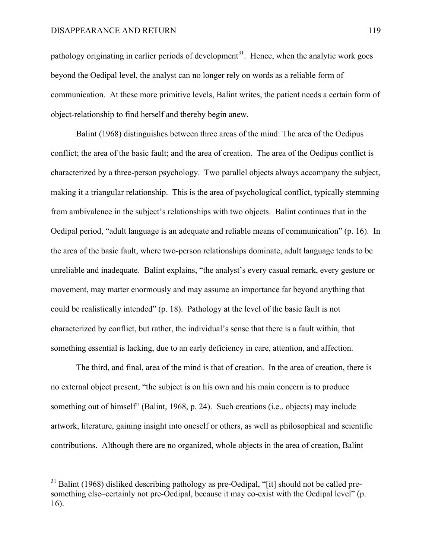pathology originating in earlier periods of development<sup>31</sup>. Hence, when the analytic work goes beyond the Oedipal level, the analyst can no longer rely on words as a reliable form of communication. At these more primitive levels, Balint writes, the patient needs a certain form of object-relationship to find herself and thereby begin anew.

Balint (1968) distinguishes between three areas of the mind: The area of the Oedipus conflict; the area of the basic fault; and the area of creation. The area of the Oedipus conflict is characterized by a three-person psychology. Two parallel objects always accompany the subject, making it a triangular relationship. This is the area of psychological conflict, typically stemming from ambivalence in the subject's relationships with two objects. Balint continues that in the Oedipal period, "adult language is an adequate and reliable means of communication" (p. 16). In the area of the basic fault, where two-person relationships dominate, adult language tends to be unreliable and inadequate. Balint explains, "the analyst's every casual remark, every gesture or movement, may matter enormously and may assume an importance far beyond anything that could be realistically intended" (p. 18). Pathology at the level of the basic fault is not characterized by conflict, but rather, the individual's sense that there is a fault within, that something essential is lacking, due to an early deficiency in care, attention, and affection.

The third, and final, area of the mind is that of creation. In the area of creation, there is no external object present, "the subject is on his own and his main concern is to produce something out of himself" (Balint, 1968, p. 24). Such creations (i.e., objects) may include artwork, literature, gaining insight into oneself or others, as well as philosophical and scientific contributions. Although there are no organized, whole objects in the area of creation, Balint

<sup>&</sup>lt;sup>31</sup> Balint (1968) disliked describing pathology as pre-Oedipal, "[it] should not be called presomething else–certainly not pre-Oedipal, because it may co-exist with the Oedipal level" (p. 16).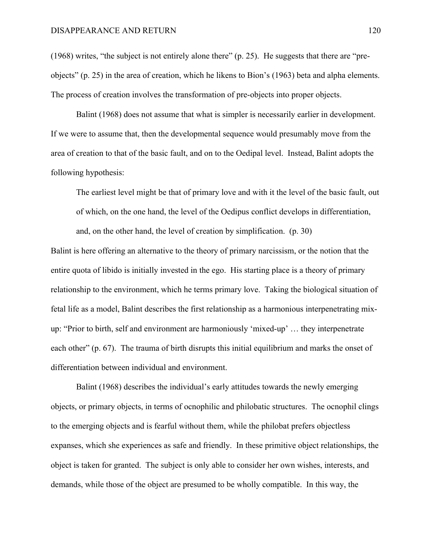(1968) writes, "the subject is not entirely alone there" (p. 25). He suggests that there are "preobjects" (p. 25) in the area of creation, which he likens to Bion's (1963) beta and alpha elements. The process of creation involves the transformation of pre-objects into proper objects.

Balint (1968) does not assume that what is simpler is necessarily earlier in development. If we were to assume that, then the developmental sequence would presumably move from the area of creation to that of the basic fault, and on to the Oedipal level. Instead, Balint adopts the following hypothesis:

The earliest level might be that of primary love and with it the level of the basic fault, out of which, on the one hand, the level of the Oedipus conflict develops in differentiation, and, on the other hand, the level of creation by simplification. (p. 30)

Balint is here offering an alternative to the theory of primary narcissism, or the notion that the entire quota of libido is initially invested in the ego. His starting place is a theory of primary relationship to the environment, which he terms primary love. Taking the biological situation of fetal life as a model, Balint describes the first relationship as a harmonious interpenetrating mixup: "Prior to birth, self and environment are harmoniously 'mixed-up' … they interpenetrate each other" (p. 67). The trauma of birth disrupts this initial equilibrium and marks the onset of differentiation between individual and environment.

Balint (1968) describes the individual's early attitudes towards the newly emerging objects, or primary objects, in terms of ocnophilic and philobatic structures. The ocnophil clings to the emerging objects and is fearful without them, while the philobat prefers objectless expanses, which she experiences as safe and friendly. In these primitive object relationships, the object is taken for granted. The subject is only able to consider her own wishes, interests, and demands, while those of the object are presumed to be wholly compatible. In this way, the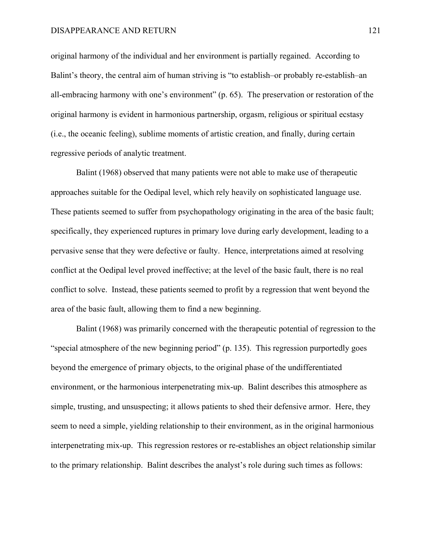# DISAPPEARANCE AND RETURN 121

original harmony of the individual and her environment is partially regained. According to Balint's theory, the central aim of human striving is "to establish–or probably re-establish–an all-embracing harmony with one's environment" (p. 65). The preservation or restoration of the original harmony is evident in harmonious partnership, orgasm, religious or spiritual ecstasy (i.e., the oceanic feeling), sublime moments of artistic creation, and finally, during certain regressive periods of analytic treatment.

Balint (1968) observed that many patients were not able to make use of therapeutic approaches suitable for the Oedipal level, which rely heavily on sophisticated language use. These patients seemed to suffer from psychopathology originating in the area of the basic fault; specifically, they experienced ruptures in primary love during early development, leading to a pervasive sense that they were defective or faulty. Hence, interpretations aimed at resolving conflict at the Oedipal level proved ineffective; at the level of the basic fault, there is no real conflict to solve. Instead, these patients seemed to profit by a regression that went beyond the area of the basic fault, allowing them to find a new beginning.

Balint (1968) was primarily concerned with the therapeutic potential of regression to the "special atmosphere of the new beginning period" (p. 135). This regression purportedly goes beyond the emergence of primary objects, to the original phase of the undifferentiated environment, or the harmonious interpenetrating mix-up. Balint describes this atmosphere as simple, trusting, and unsuspecting; it allows patients to shed their defensive armor. Here, they seem to need a simple, yielding relationship to their environment, as in the original harmonious interpenetrating mix-up. This regression restores or re-establishes an object relationship similar to the primary relationship. Balint describes the analyst's role during such times as follows: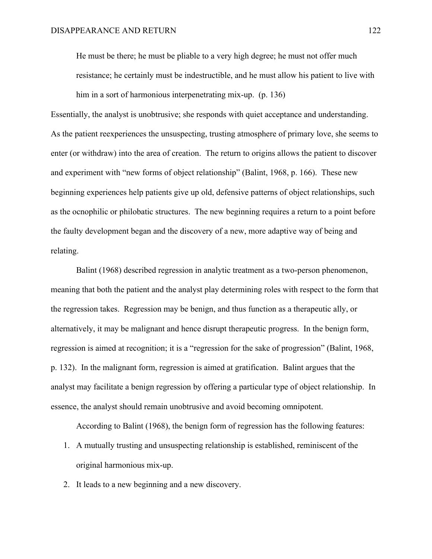He must be there; he must be pliable to a very high degree; he must not offer much resistance; he certainly must be indestructible, and he must allow his patient to live with him in a sort of harmonious interpenetrating mix-up. (p. 136)

Essentially, the analyst is unobtrusive; she responds with quiet acceptance and understanding. As the patient reexperiences the unsuspecting, trusting atmosphere of primary love, she seems to enter (or withdraw) into the area of creation. The return to origins allows the patient to discover and experiment with "new forms of object relationship" (Balint, 1968, p. 166). These new beginning experiences help patients give up old, defensive patterns of object relationships, such as the ocnophilic or philobatic structures. The new beginning requires a return to a point before the faulty development began and the discovery of a new, more adaptive way of being and relating.

Balint (1968) described regression in analytic treatment as a two-person phenomenon, meaning that both the patient and the analyst play determining roles with respect to the form that the regression takes. Regression may be benign, and thus function as a therapeutic ally, or alternatively, it may be malignant and hence disrupt therapeutic progress. In the benign form, regression is aimed at recognition; it is a "regression for the sake of progression" (Balint, 1968, p. 132). In the malignant form, regression is aimed at gratification. Balint argues that the analyst may facilitate a benign regression by offering a particular type of object relationship. In essence, the analyst should remain unobtrusive and avoid becoming omnipotent.

According to Balint (1968), the benign form of regression has the following features:

- 1. A mutually trusting and unsuspecting relationship is established, reminiscent of the original harmonious mix-up.
- 2. It leads to a new beginning and a new discovery.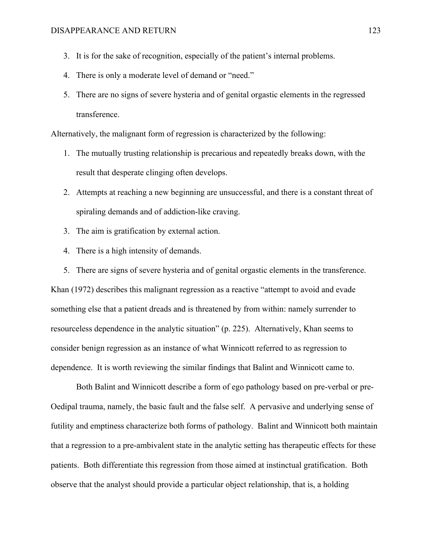- 3. It is for the sake of recognition, especially of the patient's internal problems.
- 4. There is only a moderate level of demand or "need."
- 5. There are no signs of severe hysteria and of genital orgastic elements in the regressed transference.

Alternatively, the malignant form of regression is characterized by the following:

- 1. The mutually trusting relationship is precarious and repeatedly breaks down, with the result that desperate clinging often develops.
- 2. Attempts at reaching a new beginning are unsuccessful, and there is a constant threat of spiraling demands and of addiction-like craving.
- 3. The aim is gratification by external action.
- 4. There is a high intensity of demands.
- 5. There are signs of severe hysteria and of genital orgastic elements in the transference.

Khan (1972) describes this malignant regression as a reactive "attempt to avoid and evade something else that a patient dreads and is threatened by from within: namely surrender to resourceless dependence in the analytic situation" (p. 225). Alternatively, Khan seems to consider benign regression as an instance of what Winnicott referred to as regression to dependence. It is worth reviewing the similar findings that Balint and Winnicott came to.

Both Balint and Winnicott describe a form of ego pathology based on pre-verbal or pre-Oedipal trauma, namely, the basic fault and the false self. A pervasive and underlying sense of futility and emptiness characterize both forms of pathology. Balint and Winnicott both maintain that a regression to a pre-ambivalent state in the analytic setting has therapeutic effects for these patients. Both differentiate this regression from those aimed at instinctual gratification. Both observe that the analyst should provide a particular object relationship, that is, a holding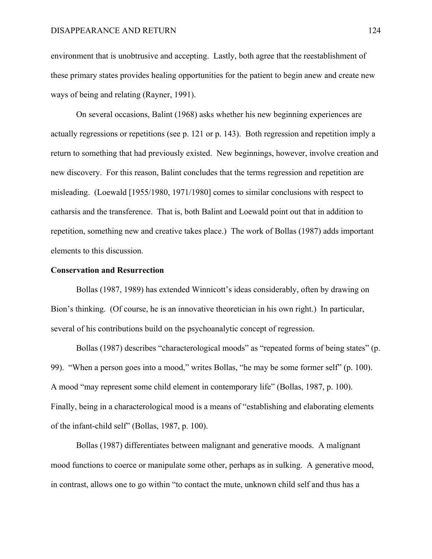environment that is unobtrusive and accepting. Lastly, both agree that the reestablishment of these primary states provides healing opportunities for the patient to begin anew and create new ways of being and relating (Rayner, 1991).

On several occasions, Balint (1968) asks whether his new beginning experiences are actually regressions or repetitions (see p. 121 or p. 143). Both regression and repetition imply a return to something that had previously existed. New beginnings, however, involve creation and new discovery. For this reason, Balint concludes that the terms regression and repetition are misleading. (Loewald [1955/1980, 1971/1980] comes to similar conclusions with respect to catharsis and the transference. That is, both Balint and Loewald point out that in addition to repetition, something new and creative takes place.) The work of Bollas (1987) adds important elements to this discussion.

## **Conservation and Resurrection**

Bollas (1987, 1989) has extended Winnicott's ideas considerably, often by drawing on Bion's thinking. (Of course, he is an innovative theoretician in his own right.) In particular, several of his contributions build on the psychoanalytic concept of regression.

Bollas (1987) describes "characterological moods" as "repeated forms of being states" (p. 99). "When a person goes into a mood," writes Bollas, "he may be some former self" (p. 100). A mood "may represent some child element in contemporary life" (Bollas, 1987, p. 100). Finally, being in a characterological mood is a means of "establishing and elaborating elements of the infant-child self" (Bollas, 1987, p. 100).

Bollas (1987) differentiates between malignant and generative moods. A malignant mood functions to coerce or manipulate some other, perhaps as in sulking. A generative mood, in contrast, allows one to go within "to contact the mute, unknown child self and thus has a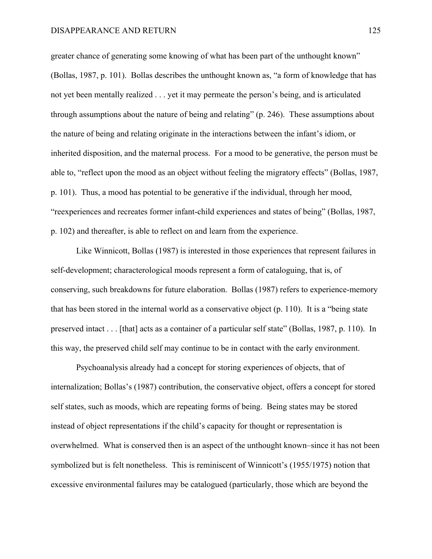greater chance of generating some knowing of what has been part of the unthought known" (Bollas, 1987, p. 101). Bollas describes the unthought known as, "a form of knowledge that has not yet been mentally realized . . . yet it may permeate the person's being, and is articulated through assumptions about the nature of being and relating" (p. 246). These assumptions about the nature of being and relating originate in the interactions between the infant's idiom, or inherited disposition, and the maternal process. For a mood to be generative, the person must be able to, "reflect upon the mood as an object without feeling the migratory effects" (Bollas, 1987, p. 101). Thus, a mood has potential to be generative if the individual, through her mood, "reexperiences and recreates former infant-child experiences and states of being" (Bollas, 1987, p. 102) and thereafter, is able to reflect on and learn from the experience.

 Like Winnicott, Bollas (1987) is interested in those experiences that represent failures in self-development; characterological moods represent a form of cataloguing, that is, of conserving, such breakdowns for future elaboration. Bollas (1987) refers to experience-memory that has been stored in the internal world as a conservative object (p. 110). It is a "being state preserved intact . . . [that] acts as a container of a particular self state" (Bollas, 1987, p. 110). In this way, the preserved child self may continue to be in contact with the early environment.

Psychoanalysis already had a concept for storing experiences of objects, that of internalization; Bollas's (1987) contribution, the conservative object, offers a concept for stored self states, such as moods, which are repeating forms of being. Being states may be stored instead of object representations if the child's capacity for thought or representation is overwhelmed. What is conserved then is an aspect of the unthought known–since it has not been symbolized but is felt nonetheless. This is reminiscent of Winnicott's (1955/1975) notion that excessive environmental failures may be catalogued (particularly, those which are beyond the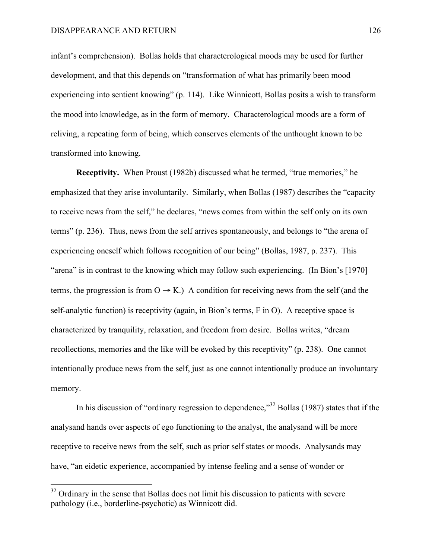infant's comprehension). Bollas holds that characterological moods may be used for further development, and that this depends on "transformation of what has primarily been mood experiencing into sentient knowing" (p. 114). Like Winnicott, Bollas posits a wish to transform the mood into knowledge, as in the form of memory. Characterological moods are a form of reliving, a repeating form of being, which conserves elements of the unthought known to be transformed into knowing.

**Receptivity.** When Proust (1982b) discussed what he termed, "true memories," he emphasized that they arise involuntarily. Similarly, when Bollas (1987) describes the "capacity to receive news from the self," he declares, "news comes from within the self only on its own terms" (p. 236). Thus, news from the self arrives spontaneously, and belongs to "the arena of experiencing oneself which follows recognition of our being" (Bollas, 1987, p. 237). This "arena" is in contrast to the knowing which may follow such experiencing. (In Bion's [1970] terms, the progression is from  $O \rightarrow K$ .) A condition for receiving news from the self (and the self-analytic function) is receptivity (again, in Bion's terms, F in O). A receptive space is characterized by tranquility, relaxation, and freedom from desire. Bollas writes, "dream recollections, memories and the like will be evoked by this receptivity" (p. 238). One cannot intentionally produce news from the self, just as one cannot intentionally produce an involuntary memory.

In his discussion of "ordinary regression to dependence,"<sup>32</sup> Bollas (1987) states that if the analysand hands over aspects of ego functioning to the analyst, the analysand will be more receptive to receive news from the self, such as prior self states or moods. Analysands may have, "an eidetic experience, accompanied by intense feeling and a sense of wonder or

 $32$  Ordinary in the sense that Bollas does not limit his discussion to patients with severe pathology (i.e., borderline-psychotic) as Winnicott did.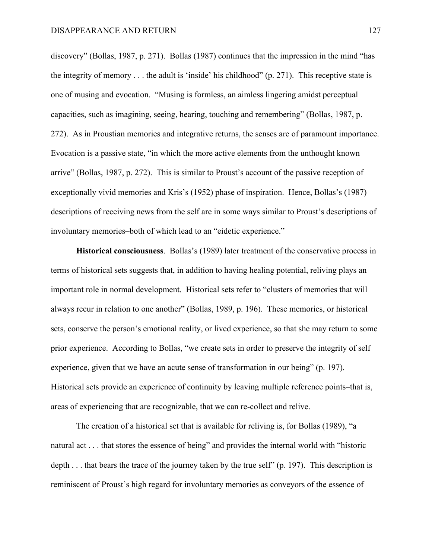discovery" (Bollas, 1987, p. 271). Bollas (1987) continues that the impression in the mind "has the integrity of memory . . . the adult is 'inside' his childhood" (p. 271). This receptive state is one of musing and evocation. "Musing is formless, an aimless lingering amidst perceptual capacities, such as imagining, seeing, hearing, touching and remembering" (Bollas, 1987, p. 272). As in Proustian memories and integrative returns, the senses are of paramount importance. Evocation is a passive state, "in which the more active elements from the unthought known arrive" (Bollas, 1987, p. 272). This is similar to Proust's account of the passive reception of exceptionally vivid memories and Kris's (1952) phase of inspiration. Hence, Bollas's (1987) descriptions of receiving news from the self are in some ways similar to Proust's descriptions of involuntary memories–both of which lead to an "eidetic experience."

**Historical consciousness**. Bollas's (1989) later treatment of the conservative process in terms of historical sets suggests that, in addition to having healing potential, reliving plays an important role in normal development. Historical sets refer to "clusters of memories that will always recur in relation to one another" (Bollas, 1989, p. 196). These memories, or historical sets, conserve the person's emotional reality, or lived experience, so that she may return to some prior experience. According to Bollas, "we create sets in order to preserve the integrity of self experience, given that we have an acute sense of transformation in our being" (p. 197). Historical sets provide an experience of continuity by leaving multiple reference points–that is, areas of experiencing that are recognizable, that we can re-collect and relive.

The creation of a historical set that is available for reliving is, for Bollas (1989), "a natural act . . . that stores the essence of being" and provides the internal world with "historic depth . . . that bears the trace of the journey taken by the true self" (p. 197). This description is reminiscent of Proust's high regard for involuntary memories as conveyors of the essence of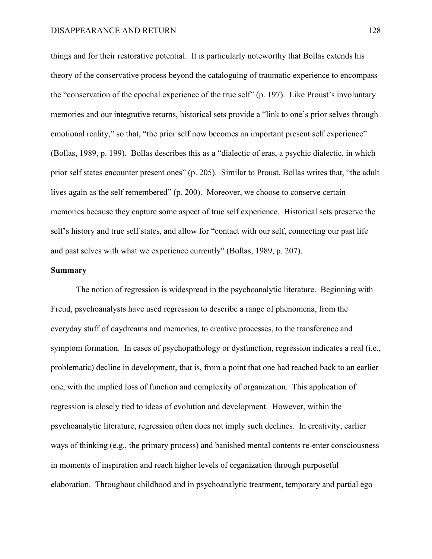things and for their restorative potential. It is particularly noteworthy that Bollas extends his theory of the conservative process beyond the cataloguing of traumatic experience to encompass the "conservation of the epochal experience of the true self" (p. 197). Like Proust's involuntary memories and our integrative returns, historical sets provide a "link to one's prior selves through emotional reality," so that, "the prior self now becomes an important present self experience" (Bollas, 1989, p. 199). Bollas describes this as a "dialectic of eras, a psychic dialectic, in which prior self states encounter present ones" (p. 205). Similar to Proust, Bollas writes that, "the adult lives again as the self remembered" (p. 200). Moreover, we choose to conserve certain memories because they capture some aspect of true self experience. Historical sets preserve the self's history and true self states, and allow for "contact with our self, connecting our past life and past selves with what we experience currently" (Bollas, 1989, p. 207).

# **Summary**

The notion of regression is widespread in the psychoanalytic literature. Beginning with Freud, psychoanalysts have used regression to describe a range of phenomena, from the everyday stuff of daydreams and memories, to creative processes, to the transference and symptom formation. In cases of psychopathology or dysfunction, regression indicates a real (i.e., problematic) decline in development, that is, from a point that one had reached back to an earlier one, with the implied loss of function and complexity of organization. This application of regression is closely tied to ideas of evolution and development. However, within the psychoanalytic literature, regression often does not imply such declines. In creativity, earlier ways of thinking (e.g., the primary process) and banished mental contents re-enter consciousness in moments of inspiration and reach higher levels of organization through purposeful elaboration. Throughout childhood and in psychoanalytic treatment, temporary and partial ego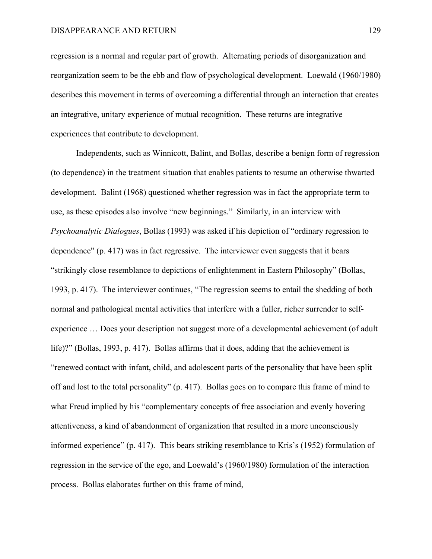regression is a normal and regular part of growth. Alternating periods of disorganization and reorganization seem to be the ebb and flow of psychological development. Loewald (1960/1980) describes this movement in terms of overcoming a differential through an interaction that creates an integrative, unitary experience of mutual recognition. These returns are integrative experiences that contribute to development.

Independents, such as Winnicott, Balint, and Bollas, describe a benign form of regression (to dependence) in the treatment situation that enables patients to resume an otherwise thwarted development. Balint (1968) questioned whether regression was in fact the appropriate term to use, as these episodes also involve "new beginnings." Similarly, in an interview with *Psychoanalytic Dialogues*, Bollas (1993) was asked if his depiction of "ordinary regression to dependence" (p. 417) was in fact regressive. The interviewer even suggests that it bears "strikingly close resemblance to depictions of enlightenment in Eastern Philosophy" (Bollas, 1993, p. 417). The interviewer continues, "The regression seems to entail the shedding of both normal and pathological mental activities that interfere with a fuller, richer surrender to selfexperience … Does your description not suggest more of a developmental achievement (of adult life)?" (Bollas, 1993, p. 417). Bollas affirms that it does, adding that the achievement is "renewed contact with infant, child, and adolescent parts of the personality that have been split off and lost to the total personality" (p. 417). Bollas goes on to compare this frame of mind to what Freud implied by his "complementary concepts of free association and evenly hovering attentiveness, a kind of abandonment of organization that resulted in a more unconsciously informed experience" (p. 417). This bears striking resemblance to Kris's (1952) formulation of regression in the service of the ego, and Loewald's (1960/1980) formulation of the interaction process. Bollas elaborates further on this frame of mind,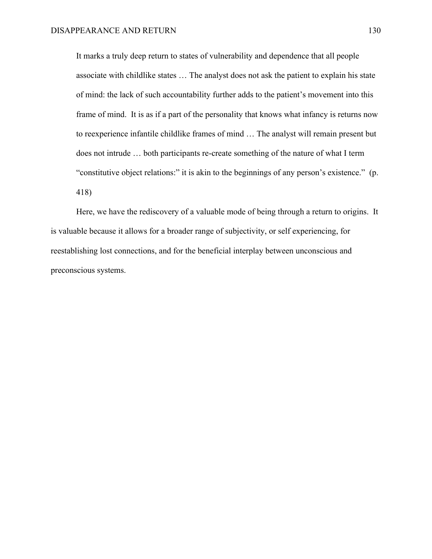It marks a truly deep return to states of vulnerability and dependence that all people associate with childlike states … The analyst does not ask the patient to explain his state of mind: the lack of such accountability further adds to the patient's movement into this frame of mind. It is as if a part of the personality that knows what infancy is returns now to reexperience infantile childlike frames of mind … The analyst will remain present but does not intrude … both participants re-create something of the nature of what I term "constitutive object relations:" it is akin to the beginnings of any person's existence." (p. 418)

Here, we have the rediscovery of a valuable mode of being through a return to origins. It is valuable because it allows for a broader range of subjectivity, or self experiencing, for reestablishing lost connections, and for the beneficial interplay between unconscious and preconscious systems.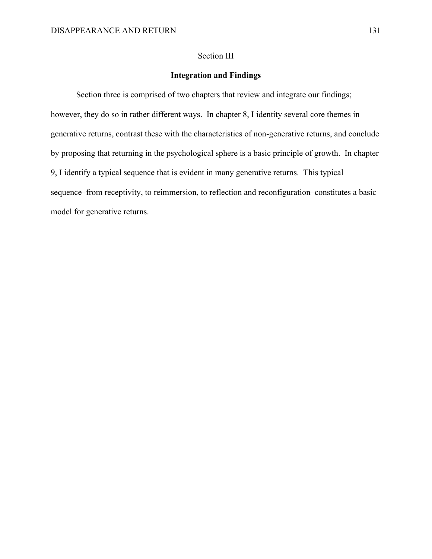# Section III

# **Integration and Findings**

Section three is comprised of two chapters that review and integrate our findings; however, they do so in rather different ways. In chapter 8, I identity several core themes in generative returns, contrast these with the characteristics of non-generative returns, and conclude by proposing that returning in the psychological sphere is a basic principle of growth. In chapter 9, I identify a typical sequence that is evident in many generative returns. This typical sequence–from receptivity, to reimmersion, to reflection and reconfiguration–constitutes a basic model for generative returns.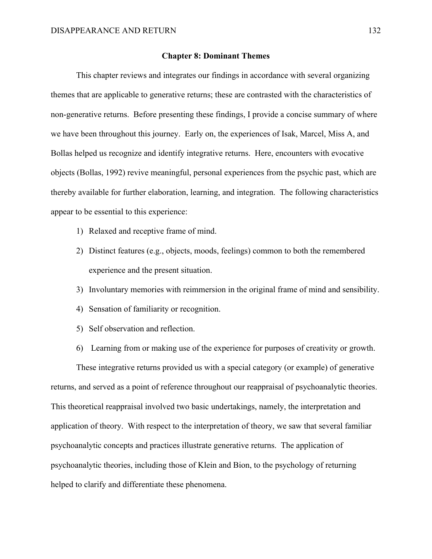#### **Chapter 8: Dominant Themes**

This chapter reviews and integrates our findings in accordance with several organizing themes that are applicable to generative returns; these are contrasted with the characteristics of non-generative returns. Before presenting these findings, I provide a concise summary of where we have been throughout this journey. Early on, the experiences of Isak, Marcel, Miss A, and Bollas helped us recognize and identify integrative returns. Here, encounters with evocative objects (Bollas, 1992) revive meaningful, personal experiences from the psychic past, which are thereby available for further elaboration, learning, and integration. The following characteristics appear to be essential to this experience:

- 1) Relaxed and receptive frame of mind.
- 2) Distinct features (e.g., objects, moods, feelings) common to both the remembered experience and the present situation.
- 3) Involuntary memories with reimmersion in the original frame of mind and sensibility.
- 4) Sensation of familiarity or recognition.
- 5) Self observation and reflection.
- 6) Learning from or making use of the experience for purposes of creativity or growth.

These integrative returns provided us with a special category (or example) of generative returns, and served as a point of reference throughout our reappraisal of psychoanalytic theories. This theoretical reappraisal involved two basic undertakings, namely, the interpretation and application of theory. With respect to the interpretation of theory, we saw that several familiar psychoanalytic concepts and practices illustrate generative returns. The application of psychoanalytic theories, including those of Klein and Bion, to the psychology of returning helped to clarify and differentiate these phenomena.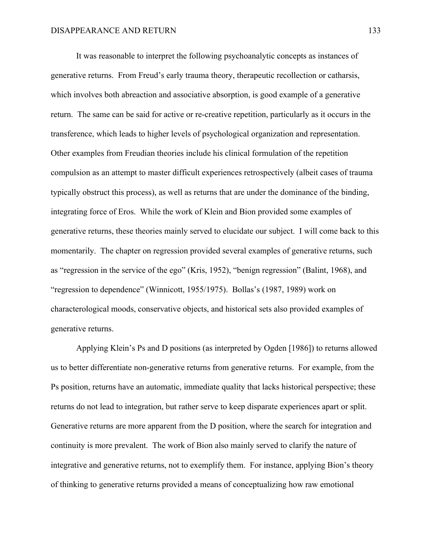It was reasonable to interpret the following psychoanalytic concepts as instances of generative returns. From Freud's early trauma theory, therapeutic recollection or catharsis, which involves both abreaction and associative absorption, is good example of a generative return. The same can be said for active or re-creative repetition, particularly as it occurs in the transference, which leads to higher levels of psychological organization and representation. Other examples from Freudian theories include his clinical formulation of the repetition compulsion as an attempt to master difficult experiences retrospectively (albeit cases of trauma typically obstruct this process), as well as returns that are under the dominance of the binding, integrating force of Eros. While the work of Klein and Bion provided some examples of generative returns, these theories mainly served to elucidate our subject. I will come back to this momentarily. The chapter on regression provided several examples of generative returns, such as "regression in the service of the ego" (Kris, 1952), "benign regression" (Balint, 1968), and "regression to dependence" (Winnicott, 1955/1975). Bollas's (1987, 1989) work on characterological moods, conservative objects, and historical sets also provided examples of generative returns.

Applying Klein's Ps and D positions (as interpreted by Ogden [1986]) to returns allowed us to better differentiate non-generative returns from generative returns. For example, from the Ps position, returns have an automatic, immediate quality that lacks historical perspective; these returns do not lead to integration, but rather serve to keep disparate experiences apart or split. Generative returns are more apparent from the D position, where the search for integration and continuity is more prevalent. The work of Bion also mainly served to clarify the nature of integrative and generative returns, not to exemplify them. For instance, applying Bion's theory of thinking to generative returns provided a means of conceptualizing how raw emotional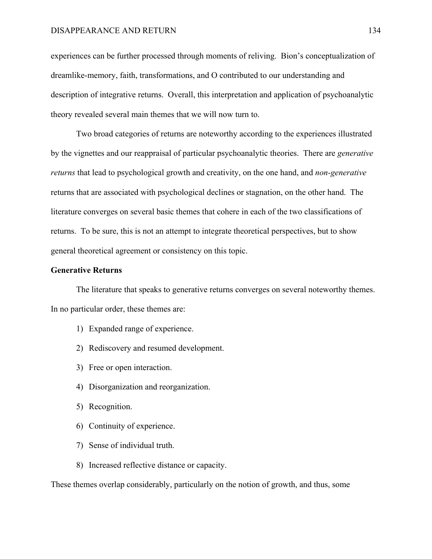# DISAPPEARANCE AND RETURN 134

experiences can be further processed through moments of reliving. Bion's conceptualization of dreamlike-memory, faith, transformations, and O contributed to our understanding and description of integrative returns. Overall, this interpretation and application of psychoanalytic theory revealed several main themes that we will now turn to.

Two broad categories of returns are noteworthy according to the experiences illustrated by the vignettes and our reappraisal of particular psychoanalytic theories. There are *generative returns* that lead to psychological growth and creativity, on the one hand, and *non-generative*  returns that are associated with psychological declines or stagnation, on the other hand. The literature converges on several basic themes that cohere in each of the two classifications of returns. To be sure, this is not an attempt to integrate theoretical perspectives, but to show general theoretical agreement or consistency on this topic.

# **Generative Returns**

The literature that speaks to generative returns converges on several noteworthy themes. In no particular order, these themes are:

- 1) Expanded range of experience.
- 2) Rediscovery and resumed development.
- 3) Free or open interaction.
- 4) Disorganization and reorganization.
- 5) Recognition.
- 6) Continuity of experience.
- 7) Sense of individual truth.
- 8) Increased reflective distance or capacity.

These themes overlap considerably, particularly on the notion of growth, and thus, some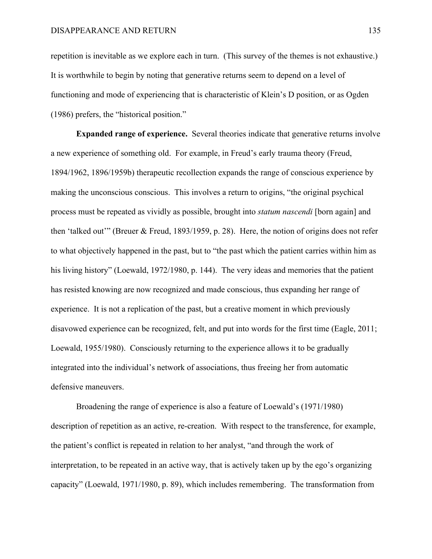repetition is inevitable as we explore each in turn. (This survey of the themes is not exhaustive.) It is worthwhile to begin by noting that generative returns seem to depend on a level of functioning and mode of experiencing that is characteristic of Klein's D position, or as Ogden (1986) prefers, the "historical position."

**Expanded range of experience.** Several theories indicate that generative returns involve a new experience of something old. For example, in Freud's early trauma theory (Freud, 1894/1962, 1896/1959b) therapeutic recollection expands the range of conscious experience by making the unconscious conscious. This involves a return to origins, "the original psychical process must be repeated as vividly as possible, brought into *statum nascendi* [born again] and then 'talked out'" (Breuer & Freud, 1893/1959, p. 28). Here, the notion of origins does not refer to what objectively happened in the past, but to "the past which the patient carries within him as his living history" (Loewald, 1972/1980, p. 144). The very ideas and memories that the patient has resisted knowing are now recognized and made conscious, thus expanding her range of experience. It is not a replication of the past, but a creative moment in which previously disavowed experience can be recognized, felt, and put into words for the first time (Eagle, 2011; Loewald, 1955/1980). Consciously returning to the experience allows it to be gradually integrated into the individual's network of associations, thus freeing her from automatic defensive maneuvers.

Broadening the range of experience is also a feature of Loewald's (1971/1980) description of repetition as an active, re-creation. With respect to the transference, for example, the patient's conflict is repeated in relation to her analyst, "and through the work of interpretation, to be repeated in an active way, that is actively taken up by the ego's organizing capacity" (Loewald, 1971/1980, p. 89), which includes remembering. The transformation from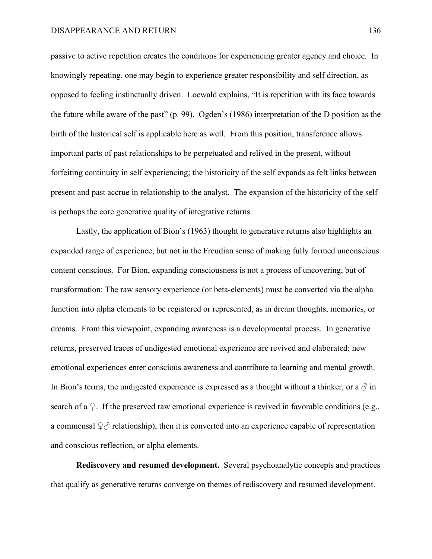# DISAPPEARANCE AND RETURN 136

passive to active repetition creates the conditions for experiencing greater agency and choice. In knowingly repeating, one may begin to experience greater responsibility and self direction, as opposed to feeling instinctually driven. Loewald explains, "It is repetition with its face towards the future while aware of the past" (p. 99). Ogden's (1986) interpretation of the D position as the birth of the historical self is applicable here as well. From this position, transference allows important parts of past relationships to be perpetuated and relived in the present, without forfeiting continuity in self experiencing; the historicity of the self expands as felt links between present and past accrue in relationship to the analyst. The expansion of the historicity of the self is perhaps the core generative quality of integrative returns.

Lastly, the application of Bion's (1963) thought to generative returns also highlights an expanded range of experience, but not in the Freudian sense of making fully formed unconscious content conscious. For Bion, expanding consciousness is not a process of uncovering, but of transformation: The raw sensory experience (or beta-elements) must be converted via the alpha function into alpha elements to be registered or represented, as in dream thoughts, memories, or dreams. From this viewpoint, expanding awareness is a developmental process. In generative returns, preserved traces of undigested emotional experience are revived and elaborated; new emotional experiences enter conscious awareness and contribute to learning and mental growth. In Bion's terms, the undigested experience is expressed as a thought without a thinker, or a  $\delta$  in search of a  $\varphi$ . If the preserved raw emotional experience is revived in favorable conditions (e.g., a commensal  $\mathcal{Q} \uparrow$  relationship), then it is converted into an experience capable of representation and conscious reflection, or alpha elements.

**Rediscovery and resumed development.** Several psychoanalytic concepts and practices that qualify as generative returns converge on themes of rediscovery and resumed development.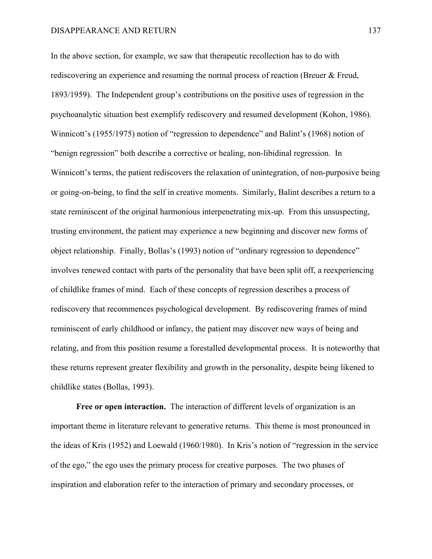# DISAPPEARANCE AND RETURN 137

In the above section, for example, we saw that therapeutic recollection has to do with rediscovering an experience and resuming the normal process of reaction (Breuer & Freud, 1893/1959). The Independent group's contributions on the positive uses of regression in the psychoanalytic situation best exemplify rediscovery and resumed development (Kohon, 1986). Winnicott's (1955/1975) notion of "regression to dependence" and Balint's (1968) notion of "benign regression" both describe a corrective or healing, non-libidinal regression. In Winnicott's terms, the patient rediscovers the relaxation of unintegration, of non-purposive being or going-on-being, to find the self in creative moments. Similarly, Balint describes a return to a state reminiscent of the original harmonious interpenetrating mix-up. From this unsuspecting, trusting environment, the patient may experience a new beginning and discover new forms of object relationship. Finally, Bollas's (1993) notion of "ordinary regression to dependence" involves renewed contact with parts of the personality that have been split off, a reexperiencing of childlike frames of mind. Each of these concepts of regression describes a process of rediscovery that recommences psychological development. By rediscovering frames of mind reminiscent of early childhood or infancy, the patient may discover new ways of being and relating, and from this position resume a forestalled developmental process. It is noteworthy that these returns represent greater flexibility and growth in the personality, despite being likened to childlike states (Bollas, 1993).

**Free or open interaction.** The interaction of different levels of organization is an important theme in literature relevant to generative returns. This theme is most pronounced in the ideas of Kris (1952) and Loewald (1960/1980). In Kris's notion of "regression in the service of the ego," the ego uses the primary process for creative purposes. The two phases of inspiration and elaboration refer to the interaction of primary and secondary processes, or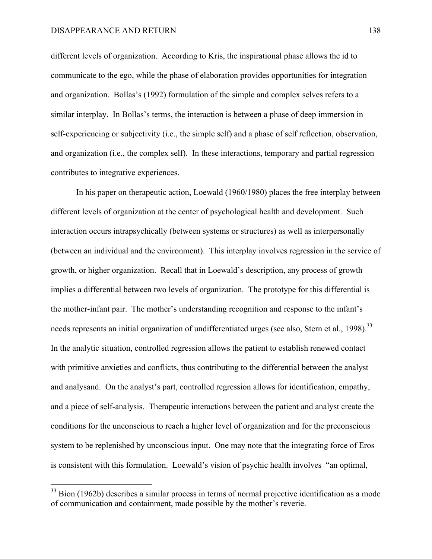different levels of organization. According to Kris, the inspirational phase allows the id to communicate to the ego, while the phase of elaboration provides opportunities for integration and organization. Bollas's (1992) formulation of the simple and complex selves refers to a similar interplay. In Bollas's terms, the interaction is between a phase of deep immersion in self-experiencing or subjectivity (i.e., the simple self) and a phase of self reflection, observation, and organization (i.e., the complex self). In these interactions, temporary and partial regression contributes to integrative experiences.

In his paper on therapeutic action, Loewald (1960/1980) places the free interplay between different levels of organization at the center of psychological health and development. Such interaction occurs intrapsychically (between systems or structures) as well as interpersonally (between an individual and the environment). This interplay involves regression in the service of growth, or higher organization. Recall that in Loewald's description, any process of growth implies a differential between two levels of organization. The prototype for this differential is the mother-infant pair. The mother's understanding recognition and response to the infant's needs represents an initial organization of undifferentiated urges (see also, Stern et al., 1998).<sup>33</sup> In the analytic situation, controlled regression allows the patient to establish renewed contact with primitive anxieties and conflicts, thus contributing to the differential between the analyst and analysand. On the analyst's part, controlled regression allows for identification, empathy, and a piece of self-analysis. Therapeutic interactions between the patient and analyst create the conditions for the unconscious to reach a higher level of organization and for the preconscious system to be replenished by unconscious input. One may note that the integrating force of Eros is consistent with this formulation. Loewald's vision of psychic health involves "an optimal,

 $33$  Bion (1962b) describes a similar process in terms of normal projective identification as a mode of communication and containment, made possible by the mother's reverie.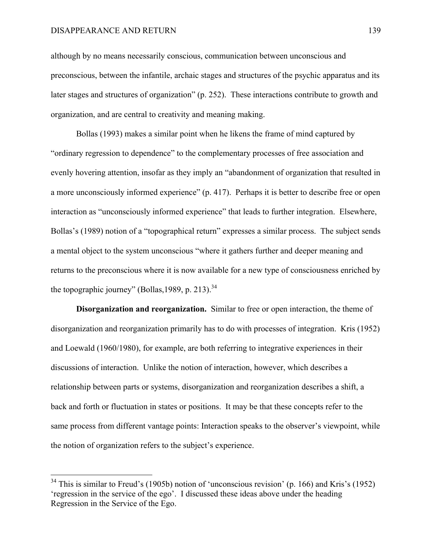although by no means necessarily conscious, communication between unconscious and preconscious, between the infantile, archaic stages and structures of the psychic apparatus and its later stages and structures of organization" (p. 252). These interactions contribute to growth and organization, and are central to creativity and meaning making.

Bollas (1993) makes a similar point when he likens the frame of mind captured by "ordinary regression to dependence" to the complementary processes of free association and evenly hovering attention, insofar as they imply an "abandonment of organization that resulted in a more unconsciously informed experience" (p. 417). Perhaps it is better to describe free or open interaction as "unconsciously informed experience" that leads to further integration. Elsewhere, Bollas's (1989) notion of a "topographical return" expresses a similar process. The subject sends a mental object to the system unconscious "where it gathers further and deeper meaning and returns to the preconscious where it is now available for a new type of consciousness enriched by the topographic journey" (Bollas, 1989, p. 213). $34$ 

**Disorganization and reorganization.** Similar to free or open interaction, the theme of disorganization and reorganization primarily has to do with processes of integration. Kris (1952) and Loewald (1960/1980), for example, are both referring to integrative experiences in their discussions of interaction. Unlike the notion of interaction, however, which describes a relationship between parts or systems, disorganization and reorganization describes a shift, a back and forth or fluctuation in states or positions. It may be that these concepts refer to the same process from different vantage points: Interaction speaks to the observer's viewpoint, while the notion of organization refers to the subject's experience.

<sup>&</sup>lt;sup>34</sup> This is similar to Freud's (1905b) notion of 'unconscious revision' (p. 166) and Kris's (1952) 'regression in the service of the ego'. I discussed these ideas above under the heading Regression in the Service of the Ego.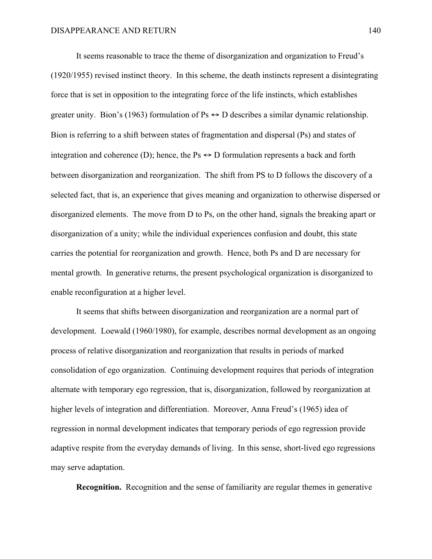It seems reasonable to trace the theme of disorganization and organization to Freud's (1920/1955) revised instinct theory. In this scheme, the death instincts represent a disintegrating force that is set in opposition to the integrating force of the life instincts, which establishes greater unity. Bion's (1963) formulation of  $Ps \leftrightarrow D$  describes a similar dynamic relationship. Bion is referring to a shift between states of fragmentation and dispersal (Ps) and states of integration and coherence (D); hence, the  $Ps \leftrightarrow D$  formulation represents a back and forth between disorganization and reorganization. The shift from PS to D follows the discovery of a selected fact, that is, an experience that gives meaning and organization to otherwise dispersed or disorganized elements. The move from D to Ps, on the other hand, signals the breaking apart or disorganization of a unity; while the individual experiences confusion and doubt, this state carries the potential for reorganization and growth. Hence, both Ps and D are necessary for mental growth. In generative returns, the present psychological organization is disorganized to enable reconfiguration at a higher level.

It seems that shifts between disorganization and reorganization are a normal part of development. Loewald (1960/1980), for example, describes normal development as an ongoing process of relative disorganization and reorganization that results in periods of marked consolidation of ego organization. Continuing development requires that periods of integration alternate with temporary ego regression, that is, disorganization, followed by reorganization at higher levels of integration and differentiation. Moreover, Anna Freud's (1965) idea of regression in normal development indicates that temporary periods of ego regression provide adaptive respite from the everyday demands of living. In this sense, short-lived ego regressions may serve adaptation.

**Recognition.** Recognition and the sense of familiarity are regular themes in generative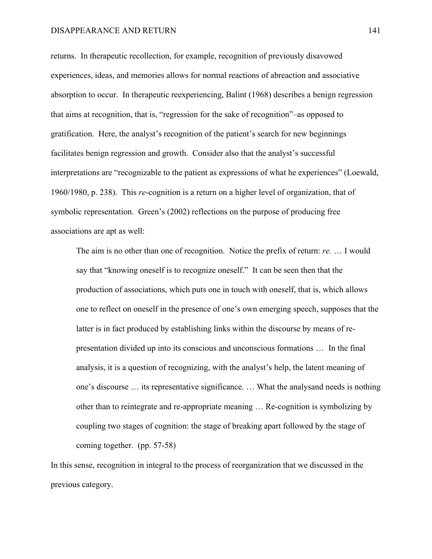returns. In therapeutic recollection, for example, recognition of previously disavowed experiences, ideas, and memories allows for normal reactions of abreaction and associative absorption to occur. In therapeutic reexperiencing, Balint (1968) describes a benign regression that aims at recognition, that is, "regression for the sake of recognition"–as opposed to gratification. Here, the analyst's recognition of the patient's search for new beginnings facilitates benign regression and growth. Consider also that the analyst's successful interpretations are "recognizable to the patient as expressions of what he experiences" (Loewald, 1960/1980, p. 238). This *re*-cognition is a return on a higher level of organization, that of symbolic representation. Green's (2002) reflections on the purpose of producing free associations are apt as well:

The aim is no other than one of recognition. Notice the prefix of return: *re.* … I would say that "knowing oneself is to recognize oneself." It can be seen then that the production of associations, which puts one in touch with oneself, that is, which allows one to reflect on oneself in the presence of one's own emerging speech, supposes that the latter is in fact produced by establishing links within the discourse by means of representation divided up into its conscious and unconscious formations … In the final analysis, it is a question of recognizing, with the analyst's help, the latent meaning of one's discourse … its representative significance. … What the analysand needs is nothing other than to reintegrate and re-appropriate meaning … Re-cognition is symbolizing by coupling two stages of cognition: the stage of breaking apart followed by the stage of coming together. (pp. 57-58)

In this sense, recognition in integral to the process of reorganization that we discussed in the previous category.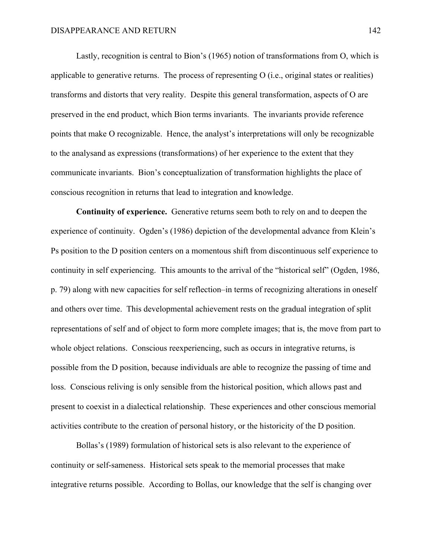Lastly, recognition is central to Bion's (1965) notion of transformations from O, which is applicable to generative returns. The process of representing O (i.e., original states or realities) transforms and distorts that very reality. Despite this general transformation, aspects of O are preserved in the end product, which Bion terms invariants. The invariants provide reference points that make O recognizable. Hence, the analyst's interpretations will only be recognizable to the analysand as expressions (transformations) of her experience to the extent that they communicate invariants. Bion's conceptualization of transformation highlights the place of conscious recognition in returns that lead to integration and knowledge.

**Continuity of experience.** Generative returns seem both to rely on and to deepen the experience of continuity. Ogden's (1986) depiction of the developmental advance from Klein's Ps position to the D position centers on a momentous shift from discontinuous self experience to continuity in self experiencing. This amounts to the arrival of the "historical self" (Ogden, 1986, p. 79) along with new capacities for self reflection–in terms of recognizing alterations in oneself and others over time. This developmental achievement rests on the gradual integration of split representations of self and of object to form more complete images; that is, the move from part to whole object relations. Conscious reexperiencing, such as occurs in integrative returns, is possible from the D position, because individuals are able to recognize the passing of time and loss. Conscious reliving is only sensible from the historical position, which allows past and present to coexist in a dialectical relationship. These experiences and other conscious memorial activities contribute to the creation of personal history, or the historicity of the D position.

Bollas's (1989) formulation of historical sets is also relevant to the experience of continuity or self-sameness. Historical sets speak to the memorial processes that make integrative returns possible. According to Bollas, our knowledge that the self is changing over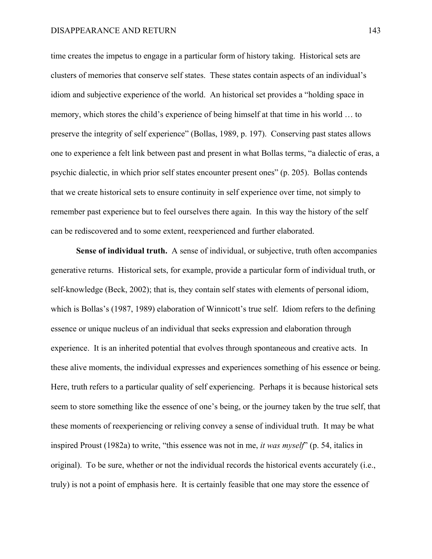time creates the impetus to engage in a particular form of history taking. Historical sets are clusters of memories that conserve self states. These states contain aspects of an individual's idiom and subjective experience of the world. An historical set provides a "holding space in memory, which stores the child's experience of being himself at that time in his world … to preserve the integrity of self experience" (Bollas, 1989, p. 197). Conserving past states allows one to experience a felt link between past and present in what Bollas terms, "a dialectic of eras, a psychic dialectic, in which prior self states encounter present ones" (p. 205). Bollas contends that we create historical sets to ensure continuity in self experience over time, not simply to remember past experience but to feel ourselves there again. In this way the history of the self can be rediscovered and to some extent, reexperienced and further elaborated.

**Sense of individual truth.** A sense of individual, or subjective, truth often accompanies generative returns. Historical sets, for example, provide a particular form of individual truth, or self-knowledge (Beck, 2002); that is, they contain self states with elements of personal idiom, which is Bollas's (1987, 1989) elaboration of Winnicott's true self. Idiom refers to the defining essence or unique nucleus of an individual that seeks expression and elaboration through experience. It is an inherited potential that evolves through spontaneous and creative acts. In these alive moments, the individual expresses and experiences something of his essence or being. Here, truth refers to a particular quality of self experiencing. Perhaps it is because historical sets seem to store something like the essence of one's being, or the journey taken by the true self, that these moments of reexperiencing or reliving convey a sense of individual truth. It may be what inspired Proust (1982a) to write, "this essence was not in me, *it was myself*" (p. 54, italics in original). To be sure, whether or not the individual records the historical events accurately (i.e., truly) is not a point of emphasis here. It is certainly feasible that one may store the essence of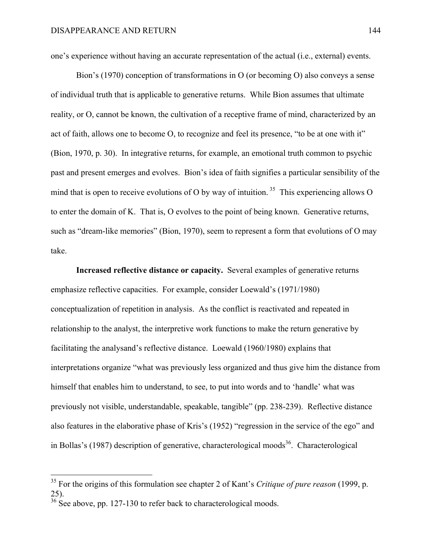one's experience without having an accurate representation of the actual (i.e., external) events.

Bion's (1970) conception of transformations in O (or becoming O) also conveys a sense of individual truth that is applicable to generative returns. While Bion assumes that ultimate reality, or O, cannot be known, the cultivation of a receptive frame of mind, characterized by an act of faith, allows one to become O, to recognize and feel its presence, "to be at one with it" (Bion, 1970, p. 30). In integrative returns, for example, an emotional truth common to psychic past and present emerges and evolves. Bion's idea of faith signifies a particular sensibility of the mind that is open to receive evolutions of O by way of intuition.<sup>35</sup> This experiencing allows O to enter the domain of K. That is, O evolves to the point of being known. Generative returns, such as "dream-like memories" (Bion, 1970), seem to represent a form that evolutions of O may take.

**Increased reflective distance or capacity.** Several examples of generative returns emphasize reflective capacities. For example, consider Loewald's (1971/1980) conceptualization of repetition in analysis. As the conflict is reactivated and repeated in relationship to the analyst, the interpretive work functions to make the return generative by facilitating the analysand's reflective distance. Loewald (1960/1980) explains that interpretations organize "what was previously less organized and thus give him the distance from himself that enables him to understand, to see, to put into words and to 'handle' what was previously not visible, understandable, speakable, tangible" (pp. 238-239). Reflective distance also features in the elaborative phase of Kris's (1952) "regression in the service of the ego" and in Bollas's (1987) description of generative, characterological moods<sup>36</sup>. Characterological

 <sup>35</sup> For the origins of this formulation see chapter 2 of Kant's *Critique of pure reason* (1999, p. 25).

<sup>&</sup>lt;sup>36</sup> See above, pp. 127-130 to refer back to characterological moods.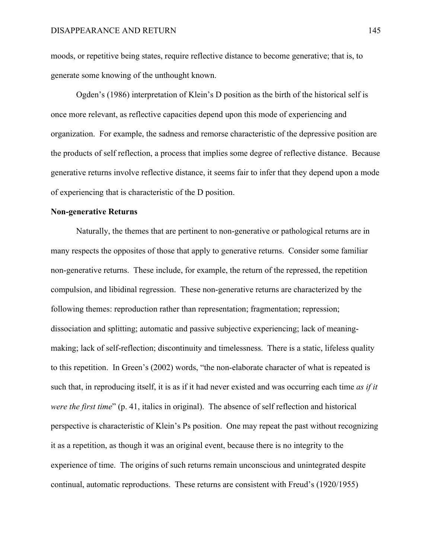moods, or repetitive being states, require reflective distance to become generative; that is, to generate some knowing of the unthought known.

Ogden's (1986) interpretation of Klein's D position as the birth of the historical self is once more relevant, as reflective capacities depend upon this mode of experiencing and organization. For example, the sadness and remorse characteristic of the depressive position are the products of self reflection, a process that implies some degree of reflective distance. Because generative returns involve reflective distance, it seems fair to infer that they depend upon a mode of experiencing that is characteristic of the D position.

# **Non-generative Returns**

Naturally, the themes that are pertinent to non-generative or pathological returns are in many respects the opposites of those that apply to generative returns. Consider some familiar non-generative returns. These include, for example, the return of the repressed, the repetition compulsion, and libidinal regression. These non-generative returns are characterized by the following themes: reproduction rather than representation; fragmentation; repression; dissociation and splitting; automatic and passive subjective experiencing; lack of meaningmaking; lack of self-reflection; discontinuity and timelessness. There is a static, lifeless quality to this repetition. In Green's (2002) words, "the non-elaborate character of what is repeated is such that, in reproducing itself, it is as if it had never existed and was occurring each time *as if it were the first time*" (p. 41, italics in original). The absence of self reflection and historical perspective is characteristic of Klein's Ps position. One may repeat the past without recognizing it as a repetition, as though it was an original event, because there is no integrity to the experience of time. The origins of such returns remain unconscious and unintegrated despite continual, automatic reproductions. These returns are consistent with Freud's (1920/1955)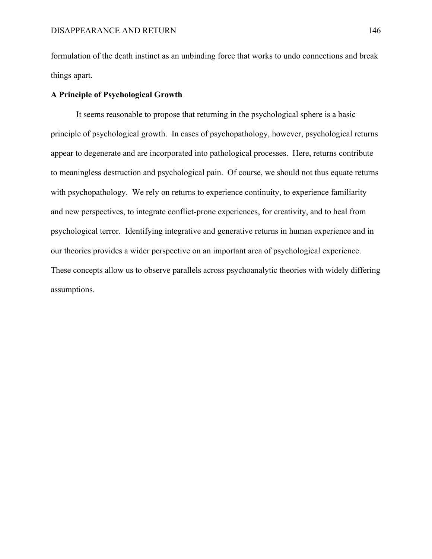formulation of the death instinct as an unbinding force that works to undo connections and break things apart.

# **A Principle of Psychological Growth**

It seems reasonable to propose that returning in the psychological sphere is a basic principle of psychological growth. In cases of psychopathology, however, psychological returns appear to degenerate and are incorporated into pathological processes. Here, returns contribute to meaningless destruction and psychological pain. Of course, we should not thus equate returns with psychopathology. We rely on returns to experience continuity, to experience familiarity and new perspectives, to integrate conflict-prone experiences, for creativity, and to heal from psychological terror. Identifying integrative and generative returns in human experience and in our theories provides a wider perspective on an important area of psychological experience. These concepts allow us to observe parallels across psychoanalytic theories with widely differing assumptions.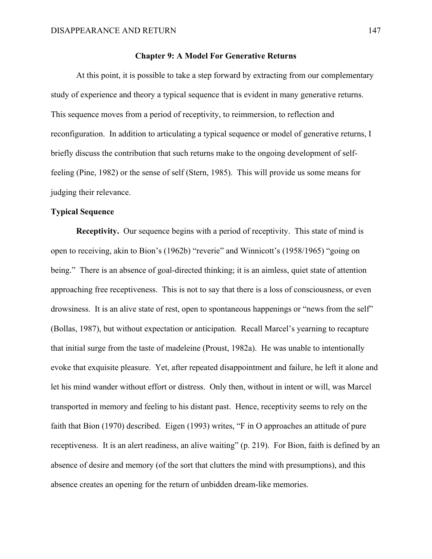#### **Chapter 9: A Model For Generative Returns**

At this point, it is possible to take a step forward by extracting from our complementary study of experience and theory a typical sequence that is evident in many generative returns. This sequence moves from a period of receptivity, to reimmersion, to reflection and reconfiguration. In addition to articulating a typical sequence or model of generative returns, I briefly discuss the contribution that such returns make to the ongoing development of selffeeling (Pine, 1982) or the sense of self (Stern, 1985). This will provide us some means for judging their relevance.

# **Typical Sequence**

**Receptivity.** Our sequence begins with a period of receptivity. This state of mind is open to receiving, akin to Bion's (1962b) "reverie" and Winnicott's (1958/1965) "going on being." There is an absence of goal-directed thinking; it is an aimless, quiet state of attention approaching free receptiveness. This is not to say that there is a loss of consciousness, or even drowsiness. It is an alive state of rest, open to spontaneous happenings or "news from the self" (Bollas, 1987), but without expectation or anticipation. Recall Marcel's yearning to recapture that initial surge from the taste of madeleine (Proust, 1982a). He was unable to intentionally evoke that exquisite pleasure. Yet, after repeated disappointment and failure, he left it alone and let his mind wander without effort or distress. Only then, without in intent or will, was Marcel transported in memory and feeling to his distant past. Hence, receptivity seems to rely on the faith that Bion (1970) described. Eigen (1993) writes, "F in O approaches an attitude of pure receptiveness. It is an alert readiness, an alive waiting" (p. 219). For Bion, faith is defined by an absence of desire and memory (of the sort that clutters the mind with presumptions), and this absence creates an opening for the return of unbidden dream-like memories.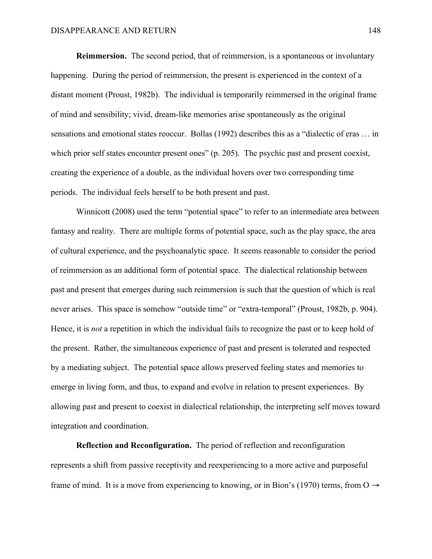**Reimmersion.** The second period, that of reimmersion, is a spontaneous or involuntary happening. During the period of reimmersion, the present is experienced in the context of a distant moment (Proust, 1982b). The individual is temporarily reimmersed in the original frame of mind and sensibility; vivid, dream-like memories arise spontaneously as the original sensations and emotional states reoccur. Bollas (1992) describes this as a "dialectic of eras … in which prior self states encounter present ones" (p. 205). The psychic past and present coexist, creating the experience of a double, as the individual hovers over two corresponding time periods. The individual feels herself to be both present and past.

Winnicott (2008) used the term "potential space" to refer to an intermediate area between fantasy and reality. There are multiple forms of potential space, such as the play space, the area of cultural experience, and the psychoanalytic space. It seems reasonable to consider the period of reimmersion as an additional form of potential space. The dialectical relationship between past and present that emerges during such reimmersion is such that the question of which is real never arises. This space is somehow "outside time" or "extra-temporal" (Proust, 1982b, p. 904). Hence, it is *not* a repetition in which the individual fails to recognize the past or to keep hold of the present. Rather, the simultaneous experience of past and present is tolerated and respected by a mediating subject. The potential space allows preserved feeling states and memories to emerge in living form, and thus, to expand and evolve in relation to present experiences. By allowing past and present to coexist in dialectical relationship, the interpreting self moves toward integration and coordination.

**Reflection and Reconfiguration.** The period of reflection and reconfiguration represents a shift from passive receptivity and reexperiencing to a more active and purposeful frame of mind. It is a move from experiencing to knowing, or in Bion's (1970) terms, from  $O \rightarrow$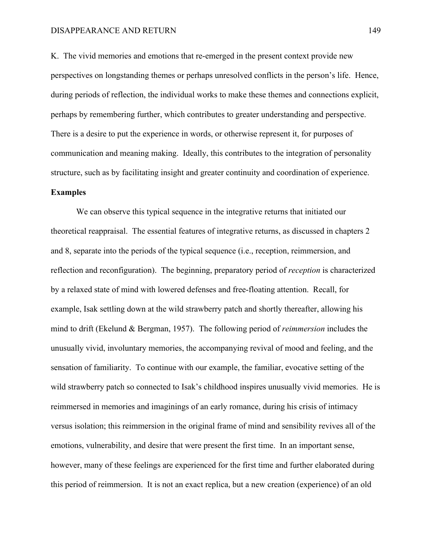K. The vivid memories and emotions that re-emerged in the present context provide new perspectives on longstanding themes or perhaps unresolved conflicts in the person's life. Hence, during periods of reflection, the individual works to make these themes and connections explicit, perhaps by remembering further, which contributes to greater understanding and perspective. There is a desire to put the experience in words, or otherwise represent it, for purposes of communication and meaning making. Ideally, this contributes to the integration of personality structure, such as by facilitating insight and greater continuity and coordination of experience.

# **Examples**

We can observe this typical sequence in the integrative returns that initiated our theoretical reappraisal. The essential features of integrative returns, as discussed in chapters 2 and 8, separate into the periods of the typical sequence (i.e., reception, reimmersion, and reflection and reconfiguration). The beginning, preparatory period of *reception* is characterized by a relaxed state of mind with lowered defenses and free-floating attention. Recall, for example, Isak settling down at the wild strawberry patch and shortly thereafter, allowing his mind to drift (Ekelund & Bergman, 1957). The following period of *reimmersion* includes the unusually vivid, involuntary memories, the accompanying revival of mood and feeling, and the sensation of familiarity. To continue with our example, the familiar, evocative setting of the wild strawberry patch so connected to Isak's childhood inspires unusually vivid memories. He is reimmersed in memories and imaginings of an early romance, during his crisis of intimacy versus isolation; this reimmersion in the original frame of mind and sensibility revives all of the emotions, vulnerability, and desire that were present the first time. In an important sense, however, many of these feelings are experienced for the first time and further elaborated during this period of reimmersion. It is not an exact replica, but a new creation (experience) of an old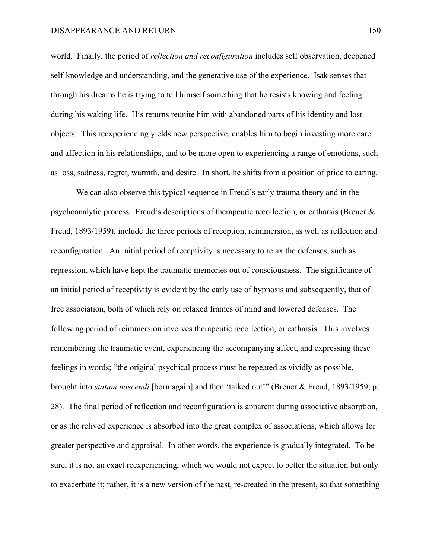world. Finally, the period of *reflection and reconfiguration* includes self observation, deepened self-knowledge and understanding, and the generative use of the experience. Isak senses that through his dreams he is trying to tell himself something that he resists knowing and feeling during his waking life. His returns reunite him with abandoned parts of his identity and lost objects. This reexperiencing yields new perspective, enables him to begin investing more care and affection in his relationships, and to be more open to experiencing a range of emotions, such as loss, sadness, regret, warmth, and desire. In short, he shifts from a position of pride to caring.

We can also observe this typical sequence in Freud's early trauma theory and in the psychoanalytic process. Freud's descriptions of therapeutic recollection, or catharsis (Breuer & Freud, 1893/1959), include the three periods of reception, reimmersion, as well as reflection and reconfiguration. An initial period of receptivity is necessary to relax the defenses, such as repression, which have kept the traumatic memories out of consciousness. The significance of an initial period of receptivity is evident by the early use of hypnosis and subsequently, that of free association, both of which rely on relaxed frames of mind and lowered defenses. The following period of reimmersion involves therapeutic recollection, or catharsis. This involves remembering the traumatic event, experiencing the accompanying affect, and expressing these feelings in words; "the original psychical process must be repeated as vividly as possible, brought into *statum nascendi* [born again] and then 'talked out'" (Breuer & Freud, 1893/1959, p. 28). The final period of reflection and reconfiguration is apparent during associative absorption, or as the relived experience is absorbed into the great complex of associations, which allows for greater perspective and appraisal. In other words, the experience is gradually integrated. To be sure, it is not an exact reexperiencing, which we would not expect to better the situation but only to exacerbate it; rather, it is a new version of the past, re-created in the present, so that something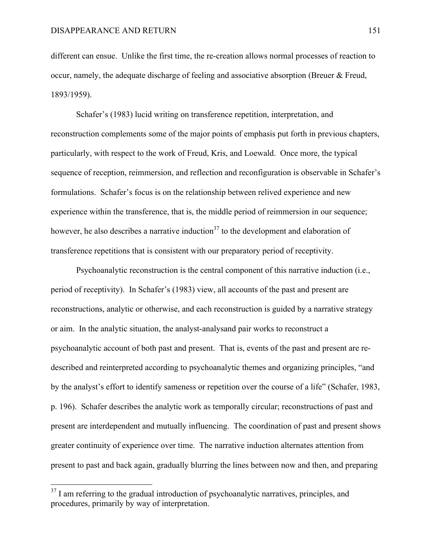different can ensue. Unlike the first time, the re-creation allows normal processes of reaction to occur, namely, the adequate discharge of feeling and associative absorption (Breuer & Freud, 1893/1959).

Schafer's (1983) lucid writing on transference repetition, interpretation, and reconstruction complements some of the major points of emphasis put forth in previous chapters, particularly, with respect to the work of Freud, Kris, and Loewald. Once more, the typical sequence of reception, reimmersion, and reflection and reconfiguration is observable in Schafer's formulations. Schafer's focus is on the relationship between relived experience and new experience within the transference, that is, the middle period of reimmersion in our sequence; however, he also describes a narrative induction<sup>37</sup> to the development and elaboration of transference repetitions that is consistent with our preparatory period of receptivity.

Psychoanalytic reconstruction is the central component of this narrative induction (i.e., period of receptivity). In Schafer's (1983) view, all accounts of the past and present are reconstructions, analytic or otherwise, and each reconstruction is guided by a narrative strategy or aim. In the analytic situation, the analyst-analysand pair works to reconstruct a psychoanalytic account of both past and present. That is, events of the past and present are redescribed and reinterpreted according to psychoanalytic themes and organizing principles, "and by the analyst's effort to identify sameness or repetition over the course of a life" (Schafer, 1983, p. 196). Schafer describes the analytic work as temporally circular; reconstructions of past and present are interdependent and mutually influencing. The coordination of past and present shows greater continuity of experience over time. The narrative induction alternates attention from present to past and back again, gradually blurring the lines between now and then, and preparing

 $37$  I am referring to the gradual introduction of psychoanalytic narratives, principles, and procedures, primarily by way of interpretation.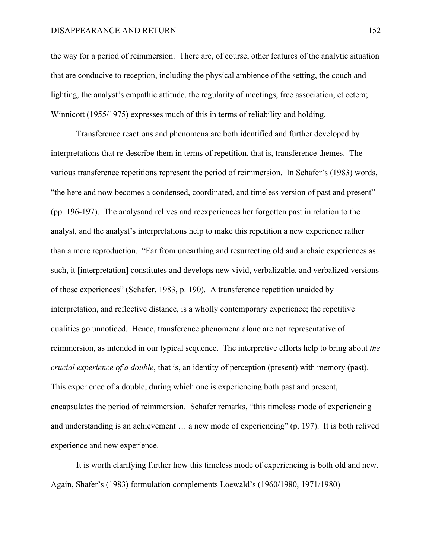the way for a period of reimmersion. There are, of course, other features of the analytic situation that are conducive to reception, including the physical ambience of the setting, the couch and lighting, the analyst's empathic attitude, the regularity of meetings, free association, et cetera; Winnicott (1955/1975) expresses much of this in terms of reliability and holding.

Transference reactions and phenomena are both identified and further developed by interpretations that re-describe them in terms of repetition, that is, transference themes. The various transference repetitions represent the period of reimmersion. In Schafer's (1983) words, "the here and now becomes a condensed, coordinated, and timeless version of past and present" (pp. 196-197). The analysand relives and reexperiences her forgotten past in relation to the analyst, and the analyst's interpretations help to make this repetition a new experience rather than a mere reproduction. "Far from unearthing and resurrecting old and archaic experiences as such, it [interpretation] constitutes and develops new vivid, verbalizable, and verbalized versions of those experiences" (Schafer, 1983, p. 190). A transference repetition unaided by interpretation, and reflective distance, is a wholly contemporary experience; the repetitive qualities go unnoticed. Hence, transference phenomena alone are not representative of reimmersion, as intended in our typical sequence. The interpretive efforts help to bring about *the crucial experience of a double*, that is, an identity of perception (present) with memory (past). This experience of a double, during which one is experiencing both past and present, encapsulates the period of reimmersion. Schafer remarks, "this timeless mode of experiencing and understanding is an achievement … a new mode of experiencing" (p. 197). It is both relived experience and new experience.

It is worth clarifying further how this timeless mode of experiencing is both old and new. Again, Shafer's (1983) formulation complements Loewald's (1960/1980, 1971/1980)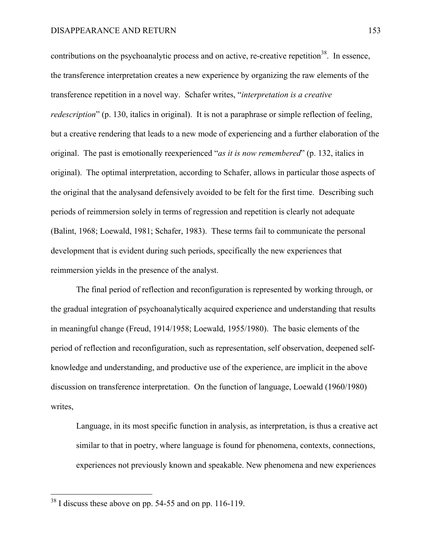contributions on the psychoanalytic process and on active, re-creative repetition<sup>38</sup>. In essence, the transference interpretation creates a new experience by organizing the raw elements of the transference repetition in a novel way. Schafer writes, "*interpretation is a creative redescription*" (p. 130, italics in original). It is not a paraphrase or simple reflection of feeling, but a creative rendering that leads to a new mode of experiencing and a further elaboration of the original. The past is emotionally reexperienced "*as it is now remembered*" (p. 132, italics in original). The optimal interpretation, according to Schafer, allows in particular those aspects of the original that the analysand defensively avoided to be felt for the first time. Describing such periods of reimmersion solely in terms of regression and repetition is clearly not adequate (Balint, 1968; Loewald, 1981; Schafer, 1983). These terms fail to communicate the personal development that is evident during such periods, specifically the new experiences that reimmersion yields in the presence of the analyst.

The final period of reflection and reconfiguration is represented by working through, or the gradual integration of psychoanalytically acquired experience and understanding that results in meaningful change (Freud, 1914/1958; Loewald, 1955/1980). The basic elements of the period of reflection and reconfiguration, such as representation, self observation, deepened selfknowledge and understanding, and productive use of the experience, are implicit in the above discussion on transference interpretation. On the function of language, Loewald (1960/1980) writes,

Language, in its most specific function in analysis, as interpretation, is thus a creative act similar to that in poetry, where language is found for phenomena, contexts, connections, experiences not previously known and speakable. New phenomena and new experiences

 <sup>38</sup> I discuss these above on pp. 54-55 and on pp. 116-119.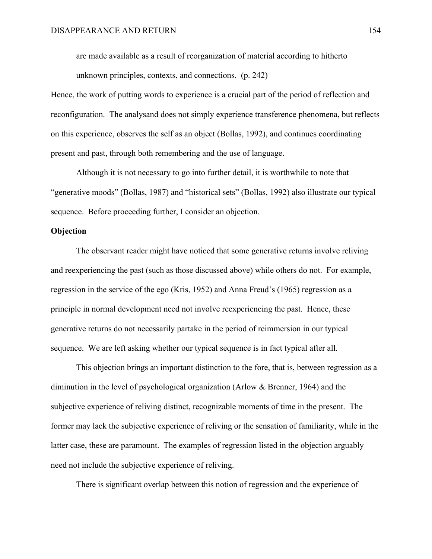are made available as a result of reorganization of material according to hitherto unknown principles, contexts, and connections. (p. 242)

Hence, the work of putting words to experience is a crucial part of the period of reflection and reconfiguration. The analysand does not simply experience transference phenomena, but reflects on this experience, observes the self as an object (Bollas, 1992), and continues coordinating present and past, through both remembering and the use of language.

Although it is not necessary to go into further detail, it is worthwhile to note that "generative moods" (Bollas, 1987) and "historical sets" (Bollas, 1992) also illustrate our typical sequence. Before proceeding further, I consider an objection.

# **Objection**

The observant reader might have noticed that some generative returns involve reliving and reexperiencing the past (such as those discussed above) while others do not. For example, regression in the service of the ego (Kris, 1952) and Anna Freud's (1965) regression as a principle in normal development need not involve reexperiencing the past. Hence, these generative returns do not necessarily partake in the period of reimmersion in our typical sequence. We are left asking whether our typical sequence is in fact typical after all.

This objection brings an important distinction to the fore, that is, between regression as a diminution in the level of psychological organization (Arlow & Brenner, 1964) and the subjective experience of reliving distinct, recognizable moments of time in the present. The former may lack the subjective experience of reliving or the sensation of familiarity, while in the latter case, these are paramount. The examples of regression listed in the objection arguably need not include the subjective experience of reliving.

There is significant overlap between this notion of regression and the experience of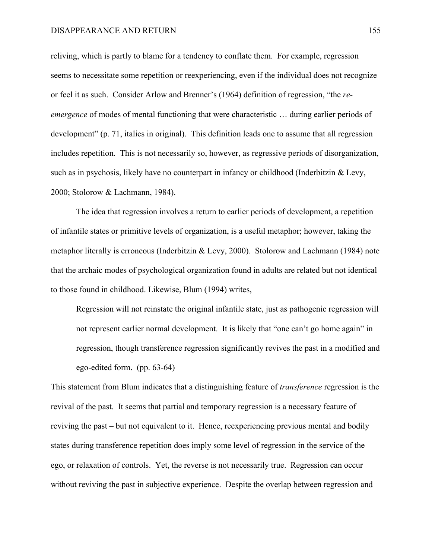reliving, which is partly to blame for a tendency to conflate them. For example, regression seems to necessitate some repetition or reexperiencing, even if the individual does not recognize or feel it as such. Consider Arlow and Brenner's (1964) definition of regression, "the *reemergence* of modes of mental functioning that were characteristic … during earlier periods of development" (p. 71, italics in original). This definition leads one to assume that all regression includes repetition. This is not necessarily so, however, as regressive periods of disorganization, such as in psychosis, likely have no counterpart in infancy or childhood (Inderbitzin & Levy, 2000; Stolorow & Lachmann, 1984).

The idea that regression involves a return to earlier periods of development, a repetition of infantile states or primitive levels of organization, is a useful metaphor; however, taking the metaphor literally is erroneous (Inderbitzin & Levy, 2000). Stolorow and Lachmann (1984) note that the archaic modes of psychological organization found in adults are related but not identical to those found in childhood. Likewise, Blum (1994) writes,

Regression will not reinstate the original infantile state, just as pathogenic regression will not represent earlier normal development. It is likely that "one can't go home again" in regression, though transference regression significantly revives the past in a modified and ego-edited form. (pp. 63-64)

This statement from Blum indicates that a distinguishing feature of *transference* regression is the revival of the past. It seems that partial and temporary regression is a necessary feature of reviving the past – but not equivalent to it. Hence, reexperiencing previous mental and bodily states during transference repetition does imply some level of regression in the service of the ego, or relaxation of controls. Yet, the reverse is not necessarily true. Regression can occur without reviving the past in subjective experience. Despite the overlap between regression and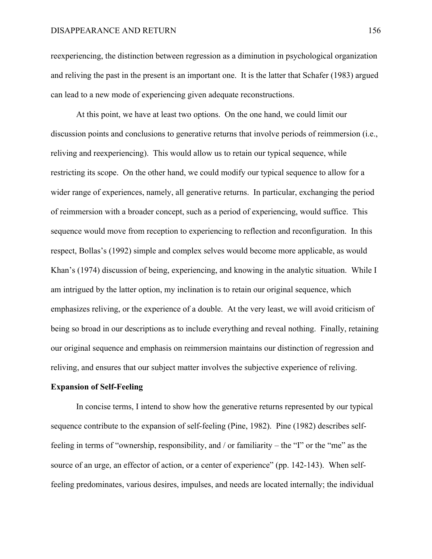reexperiencing, the distinction between regression as a diminution in psychological organization and reliving the past in the present is an important one. It is the latter that Schafer (1983) argued can lead to a new mode of experiencing given adequate reconstructions.

At this point, we have at least two options. On the one hand, we could limit our discussion points and conclusions to generative returns that involve periods of reimmersion (i.e., reliving and reexperiencing). This would allow us to retain our typical sequence, while restricting its scope. On the other hand, we could modify our typical sequence to allow for a wider range of experiences, namely, all generative returns. In particular, exchanging the period of reimmersion with a broader concept, such as a period of experiencing, would suffice. This sequence would move from reception to experiencing to reflection and reconfiguration. In this respect, Bollas's (1992) simple and complex selves would become more applicable, as would Khan's (1974) discussion of being, experiencing, and knowing in the analytic situation. While I am intrigued by the latter option, my inclination is to retain our original sequence, which emphasizes reliving, or the experience of a double. At the very least, we will avoid criticism of being so broad in our descriptions as to include everything and reveal nothing. Finally, retaining our original sequence and emphasis on reimmersion maintains our distinction of regression and reliving, and ensures that our subject matter involves the subjective experience of reliving.

# **Expansion of Self-Feeling**

In concise terms, I intend to show how the generative returns represented by our typical sequence contribute to the expansion of self-feeling (Pine, 1982). Pine (1982) describes selffeeling in terms of "ownership, responsibility, and / or familiarity – the "I" or the "me" as the source of an urge, an effector of action, or a center of experience" (pp. 142-143). When selffeeling predominates, various desires, impulses, and needs are located internally; the individual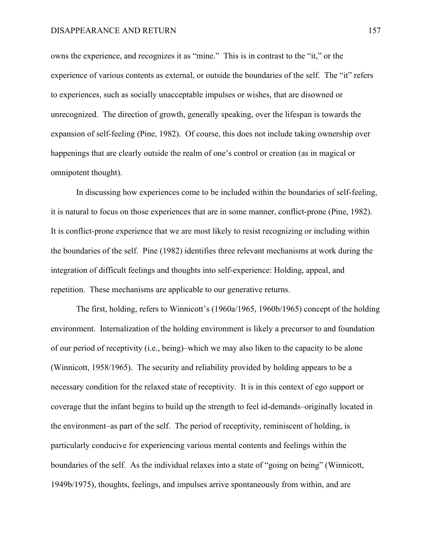owns the experience, and recognizes it as "mine." This is in contrast to the "it," or the experience of various contents as external, or outside the boundaries of the self. The "it" refers to experiences, such as socially unacceptable impulses or wishes, that are disowned or unrecognized. The direction of growth, generally speaking, over the lifespan is towards the expansion of self-feeling (Pine, 1982). Of course, this does not include taking ownership over happenings that are clearly outside the realm of one's control or creation (as in magical or omnipotent thought).

In discussing how experiences come to be included within the boundaries of self-feeling, it is natural to focus on those experiences that are in some manner, conflict-prone (Pine, 1982). It is conflict-prone experience that we are most likely to resist recognizing or including within the boundaries of the self. Pine (1982) identifies three relevant mechanisms at work during the integration of difficult feelings and thoughts into self-experience: Holding, appeal, and repetition. These mechanisms are applicable to our generative returns.

The first, holding, refers to Winnicott's (1960a/1965, 1960b/1965) concept of the holding environment. Internalization of the holding environment is likely a precursor to and foundation of our period of receptivity (i.e., being)–which we may also liken to the capacity to be alone (Winnicott, 1958/1965). The security and reliability provided by holding appears to be a necessary condition for the relaxed state of receptivity. It is in this context of ego support or coverage that the infant begins to build up the strength to feel id-demands–originally located in the environment–as part of the self. The period of receptivity, reminiscent of holding, is particularly conducive for experiencing various mental contents and feelings within the boundaries of the self. As the individual relaxes into a state of "going on being" (Winnicott, 1949b/1975), thoughts, feelings, and impulses arrive spontaneously from within, and are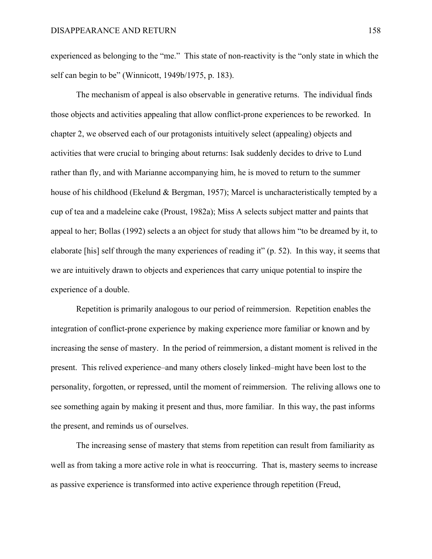experienced as belonging to the "me." This state of non-reactivity is the "only state in which the self can begin to be" (Winnicott, 1949b/1975, p. 183).

The mechanism of appeal is also observable in generative returns. The individual finds those objects and activities appealing that allow conflict-prone experiences to be reworked. In chapter 2, we observed each of our protagonists intuitively select (appealing) objects and activities that were crucial to bringing about returns: Isak suddenly decides to drive to Lund rather than fly, and with Marianne accompanying him, he is moved to return to the summer house of his childhood (Ekelund & Bergman, 1957); Marcel is uncharacteristically tempted by a cup of tea and a madeleine cake (Proust, 1982a); Miss A selects subject matter and paints that appeal to her; Bollas (1992) selects a an object for study that allows him "to be dreamed by it, to elaborate [his] self through the many experiences of reading it" (p. 52). In this way, it seems that we are intuitively drawn to objects and experiences that carry unique potential to inspire the experience of a double.

Repetition is primarily analogous to our period of reimmersion. Repetition enables the integration of conflict-prone experience by making experience more familiar or known and by increasing the sense of mastery. In the period of reimmersion, a distant moment is relived in the present. This relived experience–and many others closely linked–might have been lost to the personality, forgotten, or repressed, until the moment of reimmersion. The reliving allows one to see something again by making it present and thus, more familiar. In this way, the past informs the present, and reminds us of ourselves.

The increasing sense of mastery that stems from repetition can result from familiarity as well as from taking a more active role in what is reoccurring. That is, mastery seems to increase as passive experience is transformed into active experience through repetition (Freud,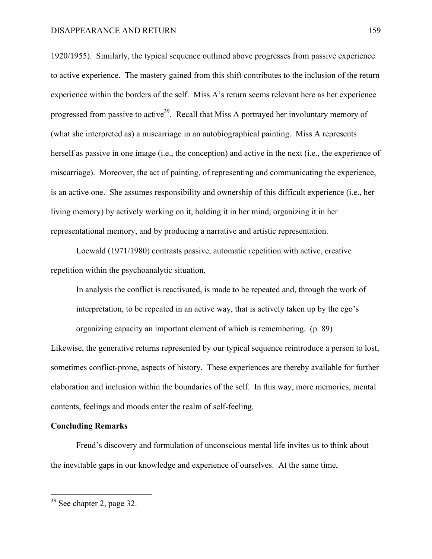1920/1955). Similarly, the typical sequence outlined above progresses from passive experience to active experience. The mastery gained from this shift contributes to the inclusion of the return experience within the borders of the self. Miss A's return seems relevant here as her experience progressed from passive to active<sup>39</sup>. Recall that Miss A portrayed her involuntary memory of (what she interpreted as) a miscarriage in an autobiographical painting. Miss A represents herself as passive in one image (i.e., the conception) and active in the next (i.e., the experience of miscarriage). Moreover, the act of painting, of representing and communicating the experience, is an active one. She assumes responsibility and ownership of this difficult experience (i.e., her living memory) by actively working on it, holding it in her mind, organizing it in her representational memory, and by producing a narrative and artistic representation.

Loewald (1971/1980) contrasts passive, automatic repetition with active, creative repetition within the psychoanalytic situation,

In analysis the conflict is reactivated, is made to be repeated and, through the work of interpretation, to be repeated in an active way, that is actively taken up by the ego's organizing capacity an important element of which is remembering. (p. 89)

Likewise, the generative returns represented by our typical sequence reintroduce a person to lost, sometimes conflict-prone, aspects of history. These experiences are thereby available for further elaboration and inclusion within the boundaries of the self. In this way, more memories, mental contents, feelings and moods enter the realm of self-feeling.

# **Concluding Remarks**

Freud's discovery and formulation of unconscious mental life invites us to think about the inevitable gaps in our knowledge and experience of ourselves. At the same time,

<sup>&</sup>lt;sup>39</sup> See chapter 2, page 32.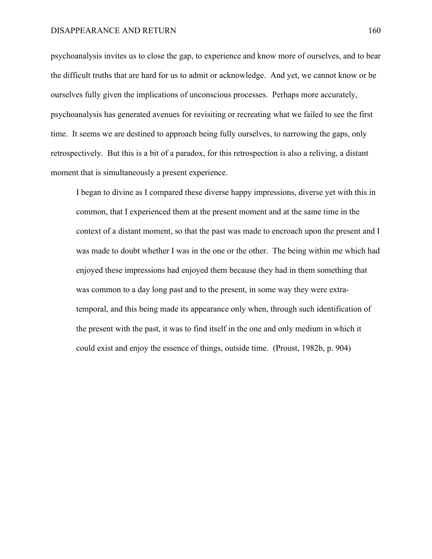psychoanalysis invites us to close the gap, to experience and know more of ourselves, and to bear the difficult truths that are hard for us to admit or acknowledge. And yet, we cannot know or be ourselves fully given the implications of unconscious processes. Perhaps more accurately, psychoanalysis has generated avenues for revisiting or recreating what we failed to see the first time. It seems we are destined to approach being fully ourselves, to narrowing the gaps, only retrospectively. But this is a bit of a paradox, for this retrospection is also a reliving, a distant moment that is simultaneously a present experience.

I began to divine as I compared these diverse happy impressions, diverse yet with this in common, that I experienced them at the present moment and at the same time in the context of a distant moment, so that the past was made to encroach upon the present and I was made to doubt whether I was in the one or the other. The being within me which had enjoyed these impressions had enjoyed them because they had in them something that was common to a day long past and to the present, in some way they were extratemporal, and this being made its appearance only when, through such identification of the present with the past, it was to find itself in the one and only medium in which it could exist and enjoy the essence of things, outside time. (Proust, 1982b, p. 904)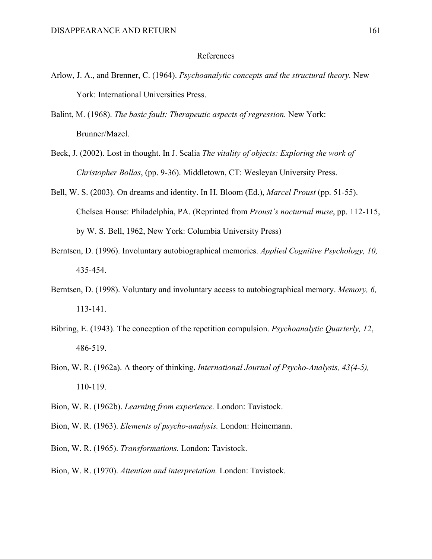#### References

- Arlow, J. A., and Brenner, C. (1964). *Psychoanalytic concepts and the structural theory.* New York: International Universities Press.
- Balint, M. (1968). *The basic fault: Therapeutic aspects of regression.* New York: Brunner/Mazel.
- Beck, J. (2002). Lost in thought. In J. Scalia *The vitality of objects: Exploring the work of Christopher Bollas*, (pp. 9-36). Middletown, CT: Wesleyan University Press.
- Bell, W. S. (2003). On dreams and identity. In H. Bloom (Ed.), *Marcel Proust* (pp. 51-55). Chelsea House: Philadelphia, PA. (Reprinted from *Proust's nocturnal muse*, pp. 112-115, by W. S. Bell, 1962, New York: Columbia University Press)
- Berntsen, D. (1996). Involuntary autobiographical memories. *Applied Cognitive Psychology, 10,*  435-454.
- Berntsen, D. (1998). Voluntary and involuntary access to autobiographical memory. *Memory, 6,* 113-141.
- Bibring, E. (1943). The conception of the repetition compulsion. *Psychoanalytic Quarterly, 12*, 486-519.
- Bion, W. R. (1962a). A theory of thinking. *International Journal of Psycho-Analysis, 43(4-5),*  110-119.
- Bion, W. R. (1962b). *Learning from experience.* London: Tavistock.
- Bion, W. R. (1963). *Elements of psycho-analysis.* London: Heinemann.
- Bion, W. R. (1965). *Transformations.* London: Tavistock.
- Bion, W. R. (1970). *Attention and interpretation.* London: Tavistock.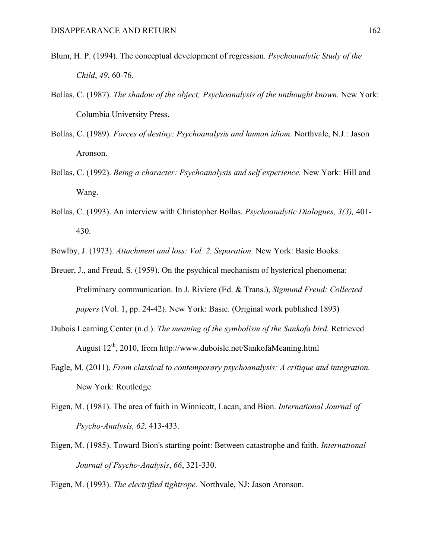- Blum, H. P. (1994). The conceptual development of regression. *Psychoanalytic Study of the Child*, *49*, 60-76.
- Bollas, C. (1987). *The shadow of the object; Psychoanalysis of the unthought known*. New York: Columbia University Press.
- Bollas, C. (1989). *Forces of destiny: Psychoanalysis and human idiom.* Northvale, N.J.: Jason Aronson.
- Bollas, C. (1992). *Being a character: Psychoanalysis and self experience.* New York: Hill and Wang.
- Bollas, C. (1993). An interview with Christopher Bollas. *Psychoanalytic Dialogues, 3(3),* 401- 430.

Bowlby, J. (1973). *Attachment and loss: Vol. 2. Separation.* New York: Basic Books.

- Breuer, J., and Freud, S. (1959). On the psychical mechanism of hysterical phenomena: Preliminary communication. In J. Riviere (Ed. & Trans.), *Sigmund Freud: Collected papers* (Vol. 1, pp. 24-42). New York: Basic. (Original work published 1893)
- Dubois Learning Center (n.d.). *The meaning of the symbolism of the Sankofa bird.* Retrieved August 12<sup>th</sup>, 2010, from http://www.duboislc.net/SankofaMeaning.html
- Eagle, M. (2011). *From classical to contemporary psychoanalysis: A critique and integration.*  New York: Routledge.
- Eigen, M. (1981). The area of faith in Winnicott, Lacan, and Bion. *International Journal of Psycho-Analysis, 62,* 413-433.
- Eigen, M. (1985). Toward Bion's starting point: Between catastrophe and faith. *International Journal of Psycho-Analysis*, *66*, 321-330.

Eigen, M. (1993). *The electrified tightrope.* Northvale, NJ: Jason Aronson.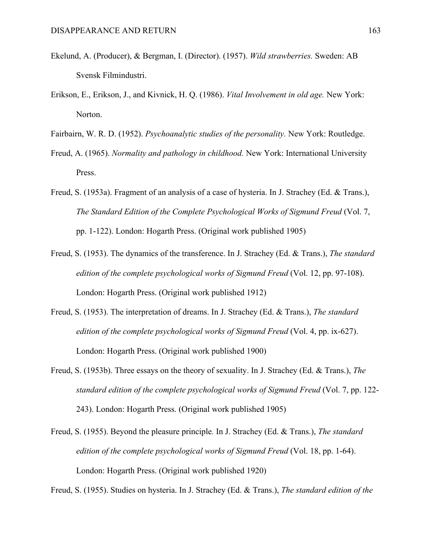- Ekelund, A. (Producer), & Bergman, I. (Director). (1957). *Wild strawberries.* Sweden: AB Svensk Filmindustri.
- Erikson, E., Erikson, J., and Kivnick, H. Q. (1986). *Vital Involvement in old age.* New York: Norton.
- Fairbairn, W. R. D. (1952). *Psychoanalytic studies of the personality.* New York: Routledge.
- Freud, A. (1965). *Normality and pathology in childhood.* New York: International University Press.
- Freud, S. (1953a). Fragment of an analysis of a case of hysteria. In J. Strachey (Ed. & Trans.), *The Standard Edition of the Complete Psychological Works of Sigmund Freud* (Vol. 7, pp. 1-122). London: Hogarth Press. (Original work published 1905)
- Freud, S. (1953). The dynamics of the transference. In J. Strachey (Ed. & Trans.), *The standard edition of the complete psychological works of Sigmund Freud (Vol. 12, pp. 97-108).* London: Hogarth Press. (Original work published 1912)
- Freud, S. (1953). The interpretation of dreams. In J. Strachey (Ed. & Trans.), *The standard edition of the complete psychological works of Sigmund Freud* (Vol. 4, pp. ix-627). London: Hogarth Press. (Original work published 1900)
- Freud, S. (1953b). Three essays on the theory of sexuality. In J. Strachey (Ed. & Trans.), *The standard edition of the complete psychological works of Sigmund Freud* (Vol. 7, pp. 122- 243). London: Hogarth Press. (Original work published 1905)
- Freud, S. (1955). Beyond the pleasure principle*.* In J. Strachey (Ed. & Trans.), *The standard edition of the complete psychological works of Sigmund Freud* (Vol. 18, pp. 1-64). London: Hogarth Press. (Original work published 1920)

Freud, S. (1955). Studies on hysteria. In J. Strachey (Ed. & Trans.), *The standard edition of the*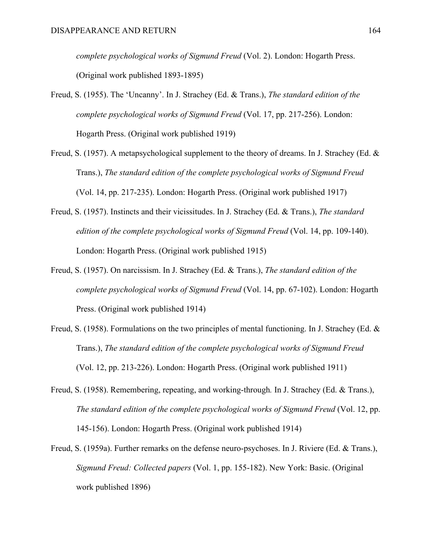*complete psychological works of Sigmund Freud* (Vol. 2). London: Hogarth Press. (Original work published 1893-1895)

- Freud, S. (1955). The 'Uncanny'. In J. Strachey (Ed. & Trans.), *The standard edition of the complete psychological works of Sigmund Freud* (Vol. 17, pp. 217-256). London: Hogarth Press. (Original work published 1919)
- Freud, S. (1957). A metapsychological supplement to the theory of dreams. In J. Strachey (Ed. & Trans.), *The standard edition of the complete psychological works of Sigmund Freud* (Vol. 14, pp. 217-235). London: Hogarth Press. (Original work published 1917)
- Freud, S. (1957). Instincts and their vicissitudes. In J. Strachey (Ed. & Trans.), *The standard edition of the complete psychological works of Sigmund Freud* (Vol. 14, pp. 109-140). London: Hogarth Press. (Original work published 1915)
- Freud, S. (1957). On narcissism. In J. Strachey (Ed. & Trans.), *The standard edition of the complete psychological works of Sigmund Freud* (Vol. 14, pp. 67-102). London: Hogarth Press. (Original work published 1914)
- Freud, S. (1958). Formulations on the two principles of mental functioning. In J. Strachey (Ed. & Trans.), *The standard edition of the complete psychological works of Sigmund Freud*  (Vol. 12, pp. 213-226). London: Hogarth Press. (Original work published 1911)
- Freud, S. (1958). Remembering, repeating, and working-through*.* In J. Strachey (Ed. & Trans.), *The standard edition of the complete psychological works of Sigmund Freud* (Vol. 12, pp. 145-156). London: Hogarth Press. (Original work published 1914)
- Freud, S. (1959a). Further remarks on the defense neuro-psychoses. In J. Riviere (Ed. & Trans.), *Sigmund Freud: Collected papers* (Vol. 1, pp. 155-182). New York: Basic. (Original work published 1896)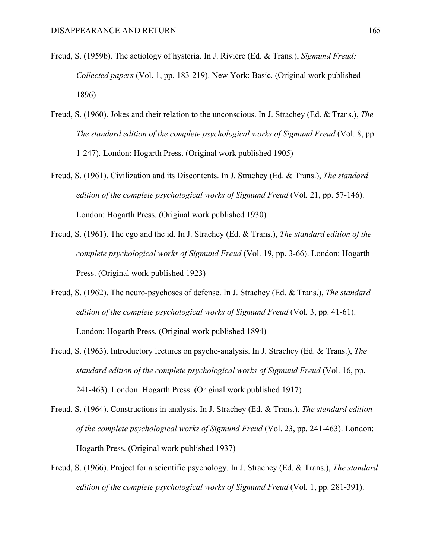- Freud, S. (1959b). The aetiology of hysteria. In J. Riviere (Ed. & Trans.), *Sigmund Freud: Collected papers* (Vol. 1, pp. 183-219). New York: Basic. (Original work published 1896)
- Freud, S. (1960). Jokes and their relation to the unconscious. In J. Strachey (Ed. & Trans.), *The The standard edition of the complete psychological works of Sigmund Freud* (Vol. 8, pp. 1-247). London: Hogarth Press. (Original work published 1905)
- Freud, S. (1961). Civilization and its Discontents. In J. Strachey (Ed. & Trans.), *The standard edition of the complete psychological works of Sigmund Freud* (Vol. 21, pp. 57-146). London: Hogarth Press. (Original work published 1930)
- Freud, S. (1961). The ego and the id. In J. Strachey (Ed. & Trans.), *The standard edition of the complete psychological works of Sigmund Freud* (Vol. 19, pp. 3-66). London: Hogarth Press. (Original work published 1923)
- Freud, S. (1962). The neuro-psychoses of defense. In J. Strachey (Ed. & Trans.), *The standard edition of the complete psychological works of Sigmund Freud* (Vol. 3, pp. 41-61). London: Hogarth Press. (Original work published 1894)
- Freud, S. (1963). Introductory lectures on psycho-analysis. In J. Strachey (Ed. & Trans.), *The standard edition of the complete psychological works of Sigmund Freud* (Vol. 16, pp. 241-463). London: Hogarth Press. (Original work published 1917)
- Freud, S. (1964). Constructions in analysis. In J. Strachey (Ed. & Trans.), *The standard edition of the complete psychological works of Sigmund Freud* (Vol. 23, pp. 241-463). London: Hogarth Press. (Original work published 1937)
- Freud, S. (1966). Project for a scientific psychology*.* In J. Strachey (Ed. & Trans.), *The standard edition of the complete psychological works of Sigmund Freud* (Vol. 1, pp. 281-391).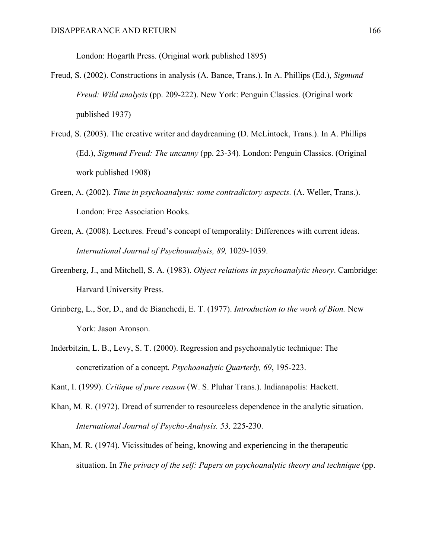London: Hogarth Press. (Original work published 1895)

- Freud, S. (2002). Constructions in analysis (A. Bance, Trans.). In A. Phillips (Ed.), *Sigmund Freud: Wild analysis* (pp. 209-222). New York: Penguin Classics. (Original work published 1937)
- Freud, S. (2003). The creative writer and daydreaming (D. McLintock, Trans.). In A. Phillips (Ed.), *Sigmund Freud: The uncanny* (pp. 23-34)*.* London: Penguin Classics. (Original work published 1908)
- Green, A. (2002). *Time in psychoanalysis: some contradictory aspects.* (A. Weller, Trans.). London: Free Association Books.
- Green, A. (2008). Lectures. Freud's concept of temporality: Differences with current ideas. *International Journal of Psychoanalysis, 89,* 1029-1039.
- Greenberg, J., and Mitchell, S. A. (1983). *Object relations in psychoanalytic theory*. Cambridge: Harvard University Press.
- Grinberg, L., Sor, D., and de Bianchedi, E. T. (1977). *Introduction to the work of Bion.* New York: Jason Aronson.
- Inderbitzin, L. B., Levy, S. T. (2000). Regression and psychoanalytic technique: The concretization of a concept. *Psychoanalytic Quarterly, 69*, 195-223.
- Kant, I. (1999). *Critique of pure reason* (W. S. Pluhar Trans.). Indianapolis: Hackett.
- Khan, M. R. (1972). Dread of surrender to resourceless dependence in the analytic situation. *International Journal of Psycho-Analysis. 53,* 225-230.
- Khan, M. R. (1974). Vicissitudes of being, knowing and experiencing in the therapeutic situation. In *The privacy of the self: Papers on psychoanalytic theory and technique* (pp.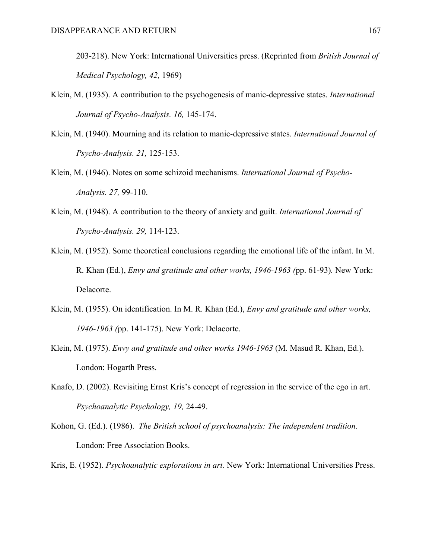203-218). New York: International Universities press. (Reprinted from *British Journal of Medical Psychology, 42,* 1969)

- Klein, M. (1935). A contribution to the psychogenesis of manic-depressive states. *International Journal of Psycho-Analysis. 16,* 145-174.
- Klein, M. (1940). Mourning and its relation to manic-depressive states. *International Journal of Psycho-Analysis. 21,* 125-153.
- Klein, M. (1946). Notes on some schizoid mechanisms. *International Journal of Psycho-Analysis. 27,* 99-110.
- Klein, M. (1948). A contribution to the theory of anxiety and guilt. *International Journal of Psycho-Analysis. 29,* 114-123.
- Klein, M. (1952). Some theoretical conclusions regarding the emotional life of the infant. In M. R. Khan (Ed.), *Envy and gratitude and other works, 1946-1963 (*pp. 61-93)*.* New York: Delacorte.
- Klein, M. (1955). On identification. In M. R. Khan (Ed.), *Envy and gratitude and other works, 1946-1963 (*pp. 141-175). New York: Delacorte.
- Klein, M. (1975). *Envy and gratitude and other works 1946-1963* (M. Masud R. Khan, Ed.). London: Hogarth Press.
- Knafo, D. (2002). Revisiting Ernst Kris's concept of regression in the service of the ego in art. *Psychoanalytic Psychology, 19,* 24-49.
- Kohon, G. (Ed.). (1986). *The British school of psychoanalysis: The independent tradition.* London: Free Association Books.

Kris, E. (1952). *Psychoanalytic explorations in art.* New York: International Universities Press.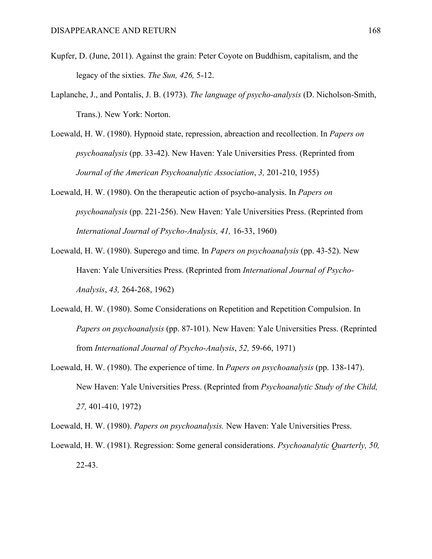- Kupfer, D. (June, 2011). Against the grain: Peter Coyote on Buddhism, capitalism, and the legacy of the sixties. *The Sun, 426,* 5-12.
- Laplanche, J., and Pontalis, J. B. (1973). *The language of psycho-analysis* (D. Nicholson-Smith, Trans.). New York: Norton.
- Loewald, H. W. (1980). Hypnoid state, repression, abreaction and recollection. In *Papers on psychoanalysis* (pp. 33-42). New Haven: Yale Universities Press. (Reprinted from *Journal of the American Psychoanalytic Association*, *3,* 201-210, 1955)
- Loewald, H. W. (1980). On the therapeutic action of psycho-analysis. In *Papers on psychoanalysis* (pp. 221-256). New Haven: Yale Universities Press. (Reprinted from *International Journal of Psycho-Analysis, 41,* 16-33, 1960)
- Loewald, H. W. (1980). Superego and time. In *Papers on psychoanalysis* (pp. 43-52). New Haven: Yale Universities Press. (Reprinted from *International Journal of Psycho-Analysis*, *43,* 264-268, 1962)
- Loewald, H. W. (1980). Some Considerations on Repetition and Repetition Compulsion. In *Papers on psychoanalysis* (pp. 87-101). New Haven: Yale Universities Press. (Reprinted from *International Journal of Psycho-Analysis*, *52,* 59-66, 1971)
- Loewald, H. W. (1980). The experience of time. In *Papers on psychoanalysis* (pp. 138-147). New Haven: Yale Universities Press. (Reprinted from *Psychoanalytic Study of the Child, 27,* 401-410, 1972)

Loewald, H. W. (1980). *Papers on psychoanalysis.* New Haven: Yale Universities Press.

Loewald, H. W. (1981). Regression: Some general considerations. *Psychoanalytic Quarterly, 50,* 22-43.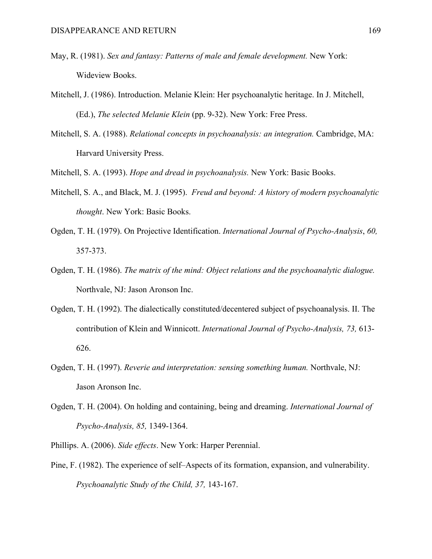- May, R. (1981). *Sex and fantasy: Patterns of male and female development.* New York: Wideview Books.
- Mitchell, J. (1986). Introduction. Melanie Klein: Her psychoanalytic heritage. In J. Mitchell, (Ed.), *The selected Melanie Klein* (pp. 9-32). New York: Free Press.
- Mitchell, S. A. (1988). *Relational concepts in psychoanalysis: an integration.* Cambridge, MA: Harvard University Press.

Mitchell, S. A. (1993). *Hope and dread in psychoanalysis.* New York: Basic Books.

- Mitchell, S. A., and Black, M. J. (1995). *Freud and beyond: A history of modern psychoanalytic thought*. New York: Basic Books.
- Ogden, T. H. (1979). On Projective Identification. *International Journal of Psycho-Analysis*, *60,* 357-373.
- Ogden, T. H. (1986). *The matrix of the mind: Object relations and the psychoanalytic dialogue.*  Northvale, NJ: Jason Aronson Inc.
- Ogden, T. H. (1992). The dialectically constituted/decentered subject of psychoanalysis. II. The contribution of Klein and Winnicott. *International Journal of Psycho-Analysis, 73,* 613- 626.
- Ogden, T. H. (1997). *Reverie and interpretation: sensing something human.* Northvale, NJ: Jason Aronson Inc.
- Ogden, T. H. (2004). On holding and containing, being and dreaming. *International Journal of Psycho-Analysis, 85,* 1349-1364.
- Phillips. A. (2006). *Side effects*. New York: Harper Perennial.
- Pine, F. (1982). The experience of self–Aspects of its formation, expansion, and vulnerability. *Psychoanalytic Study of the Child, 37,* 143-167.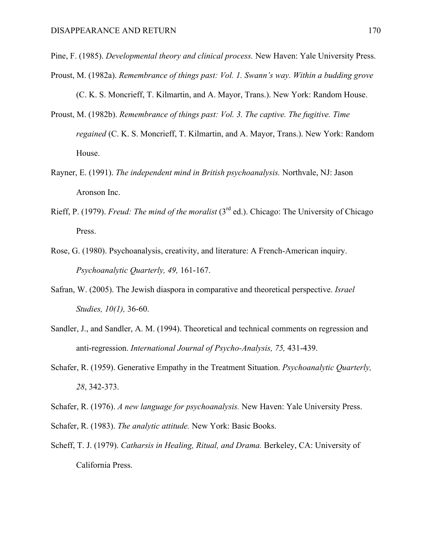- Pine, F. (1985). *Developmental theory and clinical process.* New Haven: Yale University Press.
- Proust, M. (1982a). *Remembrance of things past: Vol. 1. Swann's way. Within a budding grove*  (C. K. S. Moncrieff, T. Kilmartin, and A. Mayor, Trans.). New York: Random House.
- Proust, M. (1982b). *Remembrance of things past: Vol. 3. The captive. The fugitive. Time regained* (C. K. S. Moncrieff, T. Kilmartin, and A. Mayor, Trans.). New York: Random House.
- Rayner, E. (1991). *The independent mind in British psychoanalysis.* Northvale, NJ: Jason Aronson Inc.
- Rieff, P. (1979). *Freud: The mind of the moralist* (3rd ed.). Chicago: The University of Chicago Press.
- Rose, G. (1980). Psychoanalysis, creativity, and literature: A French-American inquiry. *Psychoanalytic Quarterly, 49,* 161-167.
- Safran, W. (2005). The Jewish diaspora in comparative and theoretical perspective. *Israel Studies, 10(1),* 36-60.
- Sandler, J., and Sandler, A. M. (1994). Theoretical and technical comments on regression and anti-regression. *International Journal of Psycho-Analysis, 75,* 431-439.
- Schafer, R. (1959). Generative Empathy in the Treatment Situation. *Psychoanalytic Quarterly, 28*, 342-373.
- Schafer, R. (1976). *A new language for psychoanalysis.* New Haven: Yale University Press.
- Schafer, R. (1983). *The analytic attitude.* New York: Basic Books.
- Scheff, T. J. (1979). *Catharsis in Healing, Ritual, and Drama.* Berkeley, CA: University of California Press.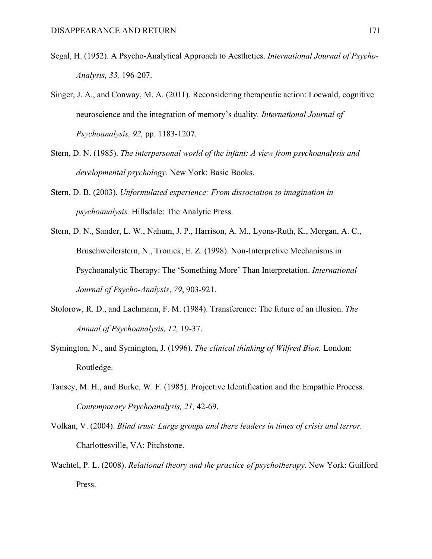- Segal, H. (1952). A Psycho-Analytical Approach to Aesthetics. *International Journal of Psycho-Analysis, 33,* 196-207.
- Singer, J. A., and Conway, M. A. (2011). Reconsidering therapeutic action: Loewald, cognitive neuroscience and the integration of memory's duality*. International Journal of Psychoanalysis, 92,* pp. 1183-1207.
- Stern, D. N. (1985). *The interpersonal world of the infant: A view from psychoanalysis and developmental psychology.* New York: Basic Books.
- Stern, D. B. (2003). *Unformulated experience: From dissociation to imagination in psychoanalysis.* Hillsdale: The Analytic Press.
- Stern, D. N., Sander, L. W., Nahum, J. P., Harrison, A. M., Lyons-Ruth, K., Morgan, A. C., Bruschweilerstern, N., Tronick, E. Z. (1998). Non-Interpretive Mechanisms in Psychoanalytic Therapy: The 'Something More' Than Interpretation. *International Journal of Psycho-Analysis*, *79*, 903-921.
- Stolorow, R. D., and Lachmann, F. M. (1984). Transference: The future of an illusion. *The Annual of Psychoanalysis, 12,* 19-37.
- Symington, N., and Symington, J. (1996). *The clinical thinking of Wilfred Bion.* London: Routledge.
- Tansey, M. H., and Burke, W. F. (1985). Projective Identification and the Empathic Process. *Contemporary Psychoanalysis, 21,* 42-69.
- Volkan, V. (2004). *Blind trust: Large groups and there leaders in times of crisis and terror.*  Charlottesville, VA: Pitchstone.
- Wachtel, P. L. (2008). *Relational theory and the practice of psychotherapy.* New York: Guilford Press.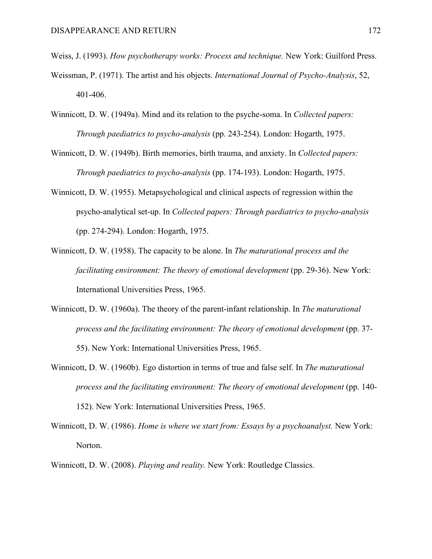- Weiss, J. (1993). *How psychotherapy works: Process and technique.* New York: Guilford Press.
- Weissman, P. (1971). The artist and his objects. *International Journal of Psycho-Analysis*, 52, 401-406.
- Winnicott, D. W. (1949a). Mind and its relation to the psyche-soma. In *Collected papers: Through paediatrics to psycho-analysis* (pp. 243-254). London: Hogarth, 1975.
- Winnicott, D. W. (1949b). Birth memories, birth trauma, and anxiety. In *Collected papers: Through paediatrics to psycho-analysis* (pp. 174-193). London: Hogarth, 1975.
- Winnicott, D. W. (1955). Metapsychological and clinical aspects of regression within the psycho-analytical set-up. In *Collected papers: Through paediatrics to psycho-analysis* (pp. 274-294). London: Hogarth, 1975.
- Winnicott, D. W. (1958). The capacity to be alone. In *The maturational process and the facilitating environment: The theory of emotional development* (pp. 29-36). New York: International Universities Press, 1965.
- Winnicott, D. W. (1960a). The theory of the parent-infant relationship. In *The maturational process and the facilitating environment: The theory of emotional development* (pp. 37- 55). New York: International Universities Press, 1965.
- Winnicott, D. W. (1960b). Ego distortion in terms of true and false self. In *The maturational process and the facilitating environment: The theory of emotional development* (pp. 140- 152). New York: International Universities Press, 1965.
- Winnicott, D. W. (1986). *Home is where we start from: Essays by a psychoanalyst.* New York: Norton.
- Winnicott, D. W. (2008). *Playing and reality.* New York: Routledge Classics.